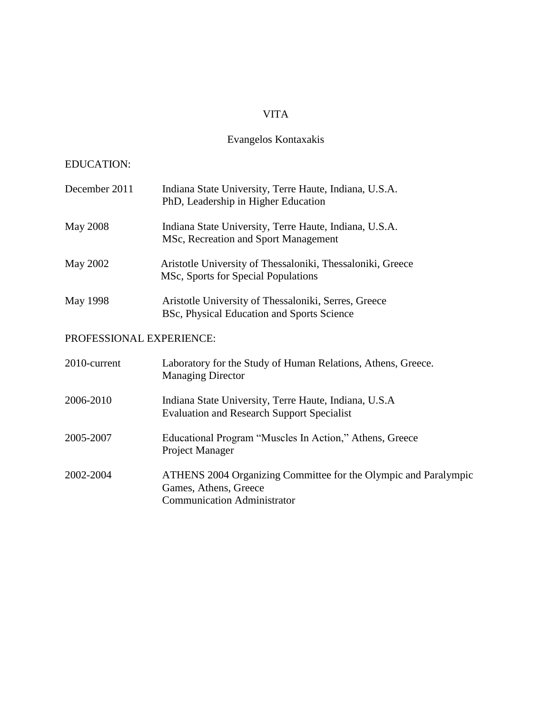# VITA

# Evangelos Kontaxakis

# EDUCATION:

| December 2011            | Indiana State University, Terre Haute, Indiana, U.S.A.<br>PhD, Leadership in Higher Education                                  |
|--------------------------|--------------------------------------------------------------------------------------------------------------------------------|
| May 2008                 | Indiana State University, Terre Haute, Indiana, U.S.A.<br>MSc, Recreation and Sport Management                                 |
| May 2002                 | Aristotle University of Thessaloniki, Thessaloniki, Greece<br>MSc, Sports for Special Populations                              |
| May 1998                 | Aristotle University of Thessaloniki, Serres, Greece<br>BSc, Physical Education and Sports Science                             |
| PROFESSIONAL EXPERIENCE: |                                                                                                                                |
| 2010-current             | Laboratory for the Study of Human Relations, Athens, Greece.<br><b>Managing Director</b>                                       |
| 2006-2010                | Indiana State University, Terre Haute, Indiana, U.S.A<br><b>Evaluation and Research Support Specialist</b>                     |
| 2005-2007                | Educational Program "Muscles In Action," Athens, Greece<br>Project Manager                                                     |
| 2002-2004                | ATHENS 2004 Organizing Committee for the Olympic and Paralympic<br>Games, Athens, Greece<br><b>Communication Administrator</b> |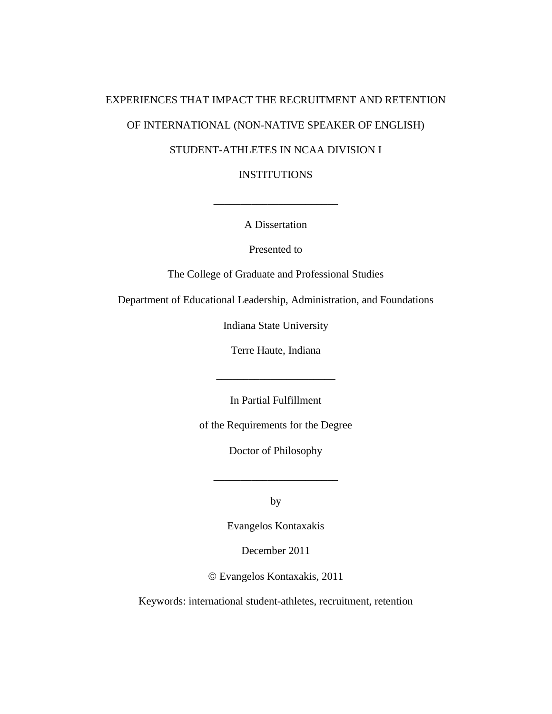# EXPERIENCES THAT IMPACT THE RECRUITMENT AND RETENTION OF INTERNATIONAL (NON-NATIVE SPEAKER OF ENGLISH) STUDENT-ATHLETES IN NCAA DIVISION I

INSTITUTIONS

A Dissertation

 $\overline{\phantom{a}}$  , where  $\overline{\phantom{a}}$  , where  $\overline{\phantom{a}}$ 

Presented to

The College of Graduate and Professional Studies

Department of Educational Leadership, Administration, and Foundations

Indiana State University

Terre Haute, Indiana

\_\_\_\_\_\_\_\_\_\_\_\_\_\_\_\_\_\_\_\_\_\_

In Partial Fulfillment

of the Requirements for the Degree

Doctor of Philosophy

by

\_\_\_\_\_\_\_\_\_\_\_\_\_\_\_\_\_\_\_\_\_\_\_

Evangelos Kontaxakis

December 2011

Evangelos Kontaxakis, 2011

Keywords: international student-athletes, recruitment, retention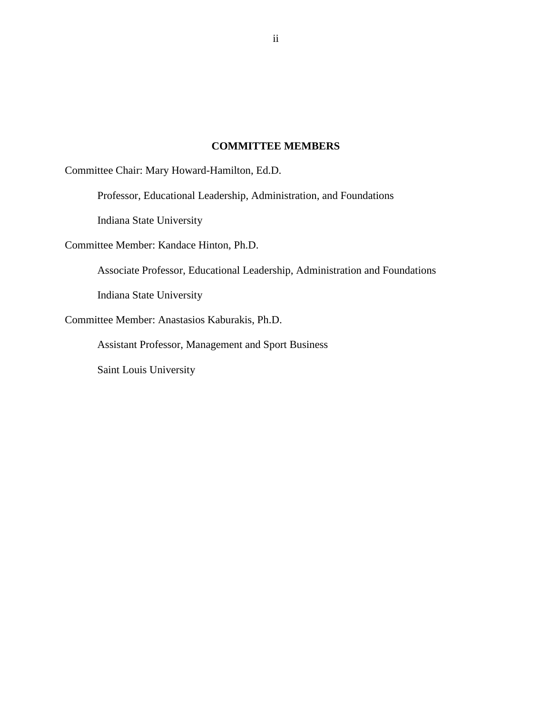## **COMMITTEE MEMBERS**

Committee Chair: Mary Howard-Hamilton, Ed.D.

Professor, Educational Leadership, Administration, and Foundations

Indiana State University

Committee Member: Kandace Hinton, Ph.D.

Associate Professor, Educational Leadership, Administration and Foundations

Indiana State University

Committee Member: Anastasios Kaburakis, Ph.D.

Assistant Professor, Management and Sport Business

Saint Louis University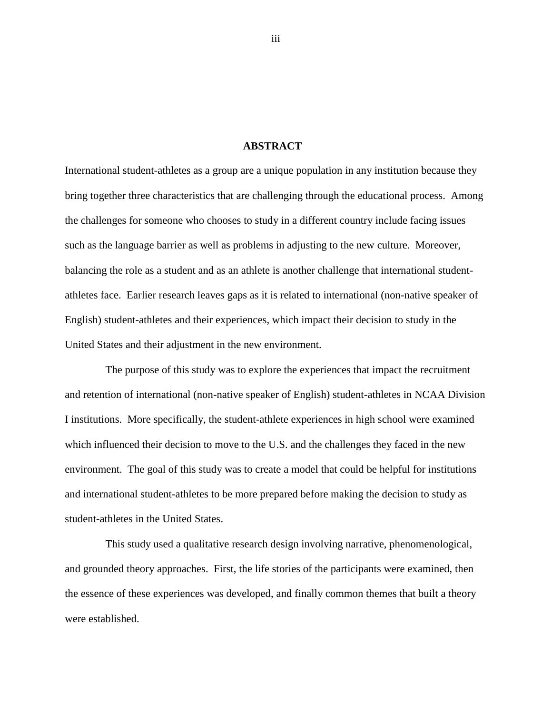## **ABSTRACT**

International student-athletes as a group are a unique population in any institution because they bring together three characteristics that are challenging through the educational process. Among the challenges for someone who chooses to study in a different country include facing issues such as the language barrier as well as problems in adjusting to the new culture. Moreover, balancing the role as a student and as an athlete is another challenge that international studentathletes face. Earlier research leaves gaps as it is related to international (non-native speaker of English) student-athletes and their experiences, which impact their decision to study in the United States and their adjustment in the new environment.

The purpose of this study was to explore the experiences that impact the recruitment and retention of international (non-native speaker of English) student-athletes in NCAA Division I institutions. More specifically, the student-athlete experiences in high school were examined which influenced their decision to move to the U.S. and the challenges they faced in the new environment. The goal of this study was to create a model that could be helpful for institutions and international student-athletes to be more prepared before making the decision to study as student-athletes in the United States.

This study used a qualitative research design involving narrative, phenomenological, and grounded theory approaches. First, the life stories of the participants were examined, then the essence of these experiences was developed, and finally common themes that built a theory were established.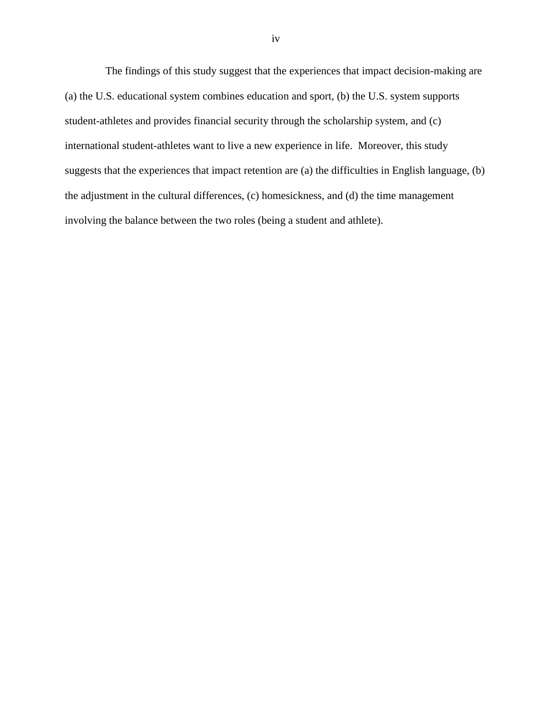The findings of this study suggest that the experiences that impact decision-making are (a) the U.S. educational system combines education and sport, (b) the U.S. system supports student-athletes and provides financial security through the scholarship system, and (c) international student-athletes want to live a new experience in life. Moreover, this study suggests that the experiences that impact retention are (a) the difficulties in English language, (b) the adjustment in the cultural differences, (c) homesickness, and (d) the time management involving the balance between the two roles (being a student and athlete).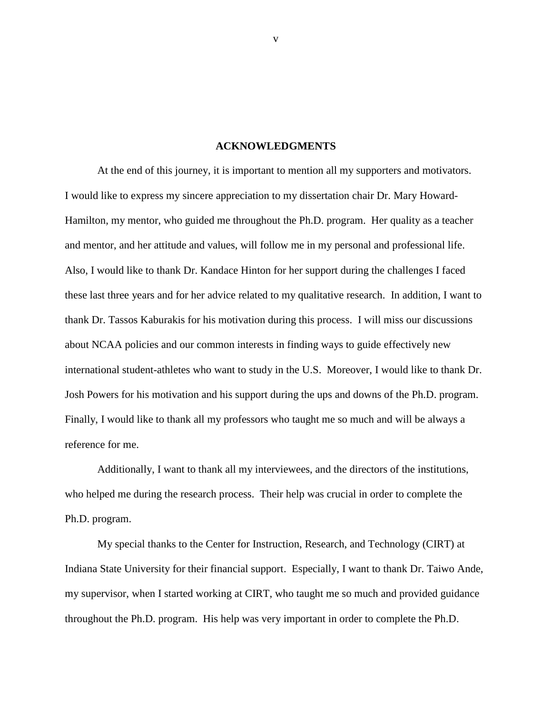#### **ACKNOWLEDGMENTS**

At the end of this journey, it is important to mention all my supporters and motivators. I would like to express my sincere appreciation to my dissertation chair Dr. Mary Howard-Hamilton, my mentor, who guided me throughout the Ph.D. program. Her quality as a teacher and mentor, and her attitude and values, will follow me in my personal and professional life. Also, I would like to thank Dr. Kandace Hinton for her support during the challenges I faced these last three years and for her advice related to my qualitative research. In addition, I want to thank Dr. Tassos Kaburakis for his motivation during this process. I will miss our discussions about NCAA policies and our common interests in finding ways to guide effectively new international student-athletes who want to study in the U.S. Moreover, I would like to thank Dr. Josh Powers for his motivation and his support during the ups and downs of the Ph.D. program. Finally, I would like to thank all my professors who taught me so much and will be always a reference for me.

Additionally, I want to thank all my interviewees, and the directors of the institutions, who helped me during the research process. Their help was crucial in order to complete the Ph.D. program.

My special thanks to the Center for Instruction, Research, and Technology (CIRT) at Indiana State University for their financial support. Especially, I want to thank Dr. Taiwo Ande, my supervisor, when I started working at CIRT, who taught me so much and provided guidance throughout the Ph.D. program. His help was very important in order to complete the Ph.D.

v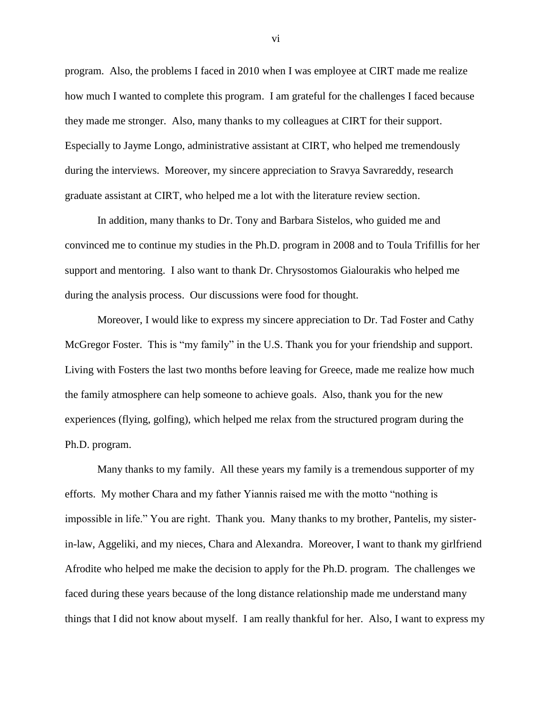program. Also, the problems I faced in 2010 when I was employee at CIRT made me realize how much I wanted to complete this program. I am grateful for the challenges I faced because they made me stronger. Also, many thanks to my colleagues at CIRT for their support. Especially to Jayme Longo, administrative assistant at CIRT, who helped me tremendously during the interviews. Moreover, my sincere appreciation to Sravya Savrareddy, research graduate assistant at CIRT, who helped me a lot with the literature review section.

In addition, many thanks to Dr. Tony and Barbara Sistelos, who guided me and convinced me to continue my studies in the Ph.D. program in 2008 and to Toula Trifillis for her support and mentoring. I also want to thank Dr. Chrysostomos Gialourakis who helped me during the analysis process. Our discussions were food for thought.

Moreover, I would like to express my sincere appreciation to Dr. Tad Foster and Cathy McGregor Foster. This is "my family" in the U.S. Thank you for your friendship and support. Living with Fosters the last two months before leaving for Greece, made me realize how much the family atmosphere can help someone to achieve goals. Also, thank you for the new experiences (flying, golfing), which helped me relax from the structured program during the Ph.D. program.

Many thanks to my family. All these years my family is a tremendous supporter of my efforts. My mother Chara and my father Yiannis raised me with the motto "nothing is impossible in life." You are right. Thank you. Many thanks to my brother, Pantelis, my sisterin-law, Aggeliki, and my nieces, Chara and Alexandra. Moreover, I want to thank my girlfriend Afrodite who helped me make the decision to apply for the Ph.D. program. The challenges we faced during these years because of the long distance relationship made me understand many things that I did not know about myself. I am really thankful for her. Also, I want to express my

vi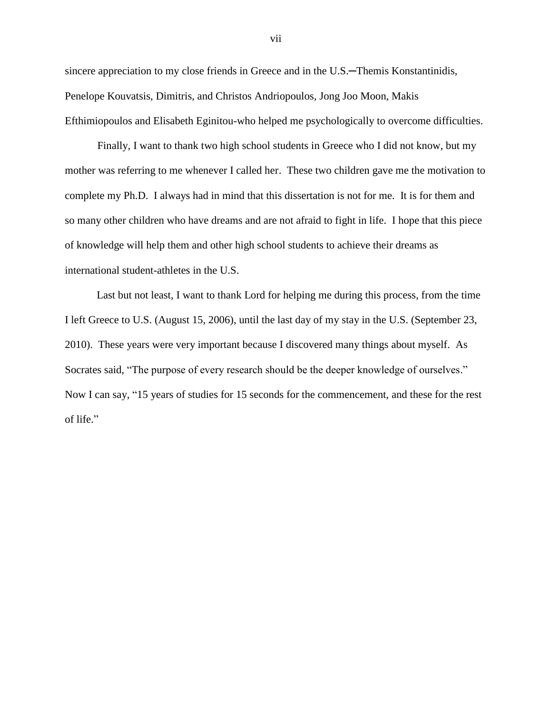sincere appreciation to my close friends in Greece and in the U.S.—Themis Konstantinidis, Penelope Kouvatsis, Dimitris, and Christos Andriopoulos, Jong Joo Moon, Makis Efthimiopoulos and Elisabeth Eginitou-who helped me psychologically to overcome difficulties.

Finally, I want to thank two high school students in Greece who I did not know, but my mother was referring to me whenever I called her. These two children gave me the motivation to complete my Ph.D. I always had in mind that this dissertation is not for me. It is for them and so many other children who have dreams and are not afraid to fight in life. I hope that this piece of knowledge will help them and other high school students to achieve their dreams as international student-athletes in the U.S.

Last but not least, I want to thank Lord for helping me during this process, from the time I left Greece to U.S. (August 15, 2006), until the last day of my stay in the U.S. (September 23, 2010). These years were very important because I discovered many things about myself. As Socrates said, "The purpose of every research should be the deeper knowledge of ourselves." Now I can say, "15 years of studies for 15 seconds for the commencement, and these for the rest of life."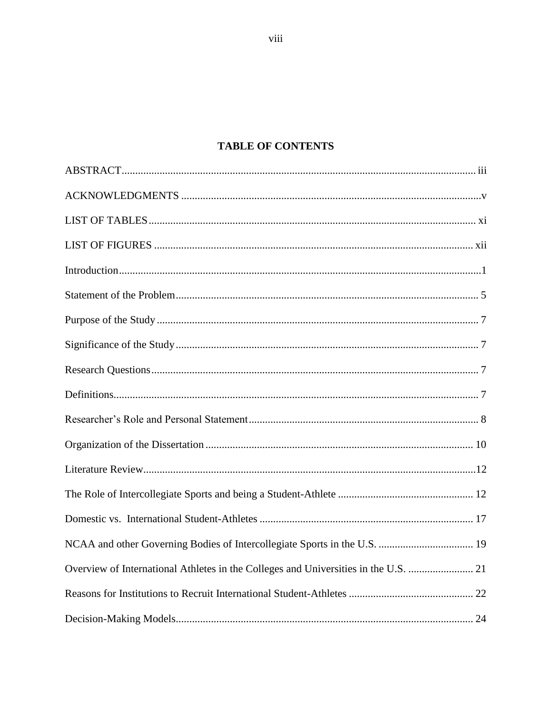# **TABLE OF CONTENTS**

| Overview of International Athletes in the Colleges and Universities in the U.S.  21 |
|-------------------------------------------------------------------------------------|
|                                                                                     |
|                                                                                     |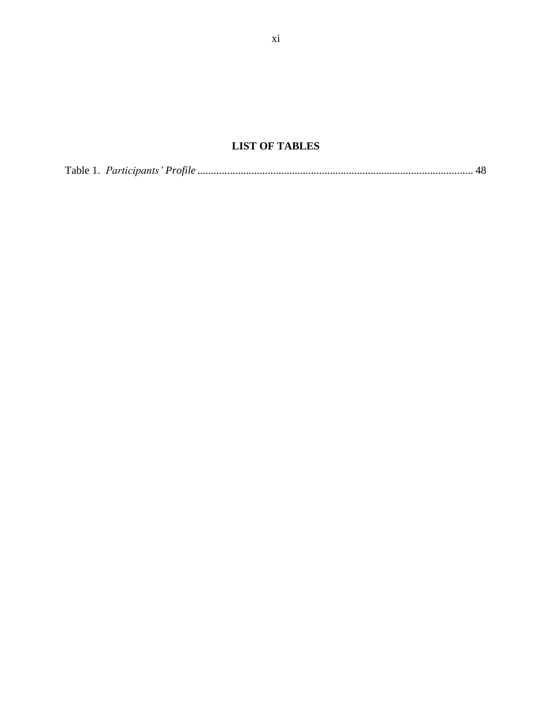# **LIST OF TABLES**

|--|--|--|--|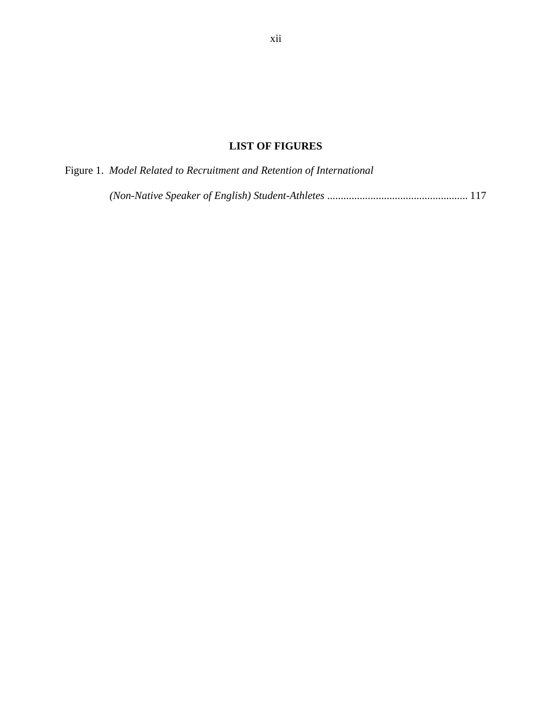# **LIST OF FIGURES**

| Figure 1. Model Related to Recruitment and Retention of International |  |
|-----------------------------------------------------------------------|--|
|-----------------------------------------------------------------------|--|

*(Non-Native Speaker of English) Student-Athletes* .................................................... 117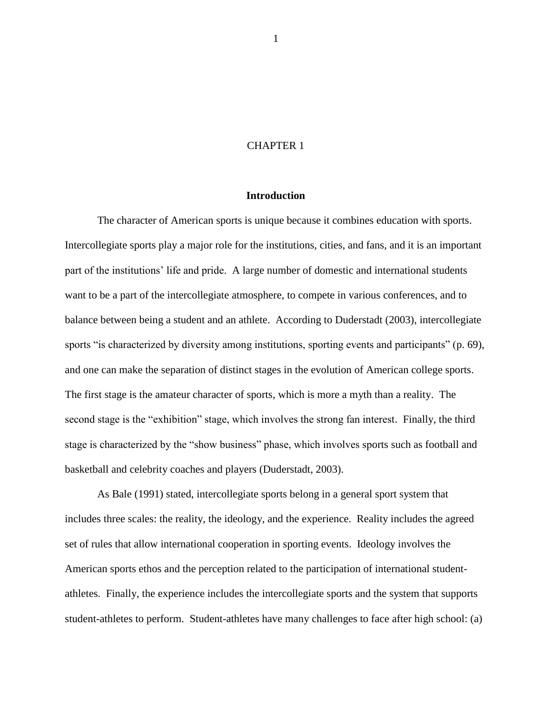## CHAPTER 1

## **Introduction**

The character of American sports is unique because it combines education with sports. Intercollegiate sports play a major role for the institutions, cities, and fans, and it is an important part of the institutions" life and pride. A large number of domestic and international students want to be a part of the intercollegiate atmosphere, to compete in various conferences, and to balance between being a student and an athlete. According to Duderstadt (2003), intercollegiate sports "is characterized by diversity among institutions, sporting events and participants" (p. 69), and one can make the separation of distinct stages in the evolution of American college sports. The first stage is the amateur character of sports, which is more a myth than a reality. The second stage is the "exhibition" stage, which involves the strong fan interest. Finally, the third stage is characterized by the "show business" phase, which involves sports such as football and basketball and celebrity coaches and players (Duderstadt, 2003).

As Bale (1991) stated, intercollegiate sports belong in a general sport system that includes three scales: the reality, the ideology, and the experience. Reality includes the agreed set of rules that allow international cooperation in sporting events. Ideology involves the American sports ethos and the perception related to the participation of international studentathletes. Finally, the experience includes the intercollegiate sports and the system that supports student-athletes to perform. Student-athletes have many challenges to face after high school: (a)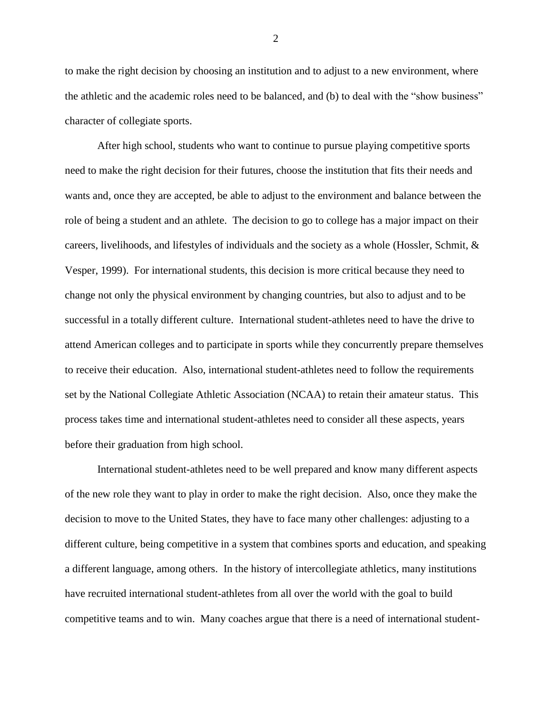to make the right decision by choosing an institution and to adjust to a new environment, where the athletic and the academic roles need to be balanced, and (b) to deal with the "show business" character of collegiate sports.

After high school, students who want to continue to pursue playing competitive sports need to make the right decision for their futures, choose the institution that fits their needs and wants and, once they are accepted, be able to adjust to the environment and balance between the role of being a student and an athlete. The decision to go to college has a major impact on their careers, livelihoods, and lifestyles of individuals and the society as a whole (Hossler, Schmit, & Vesper, 1999). For international students, this decision is more critical because they need to change not only the physical environment by changing countries, but also to adjust and to be successful in a totally different culture. International student-athletes need to have the drive to attend American colleges and to participate in sports while they concurrently prepare themselves to receive their education. Also, international student-athletes need to follow the requirements set by the National Collegiate Athletic Association (NCAA) to retain their amateur status. This process takes time and international student-athletes need to consider all these aspects, years before their graduation from high school.

International student-athletes need to be well prepared and know many different aspects of the new role they want to play in order to make the right decision. Also, once they make the decision to move to the United States, they have to face many other challenges: adjusting to a different culture, being competitive in a system that combines sports and education, and speaking a different language, among others. In the history of intercollegiate athletics, many institutions have recruited international student-athletes from all over the world with the goal to build competitive teams and to win. Many coaches argue that there is a need of international student-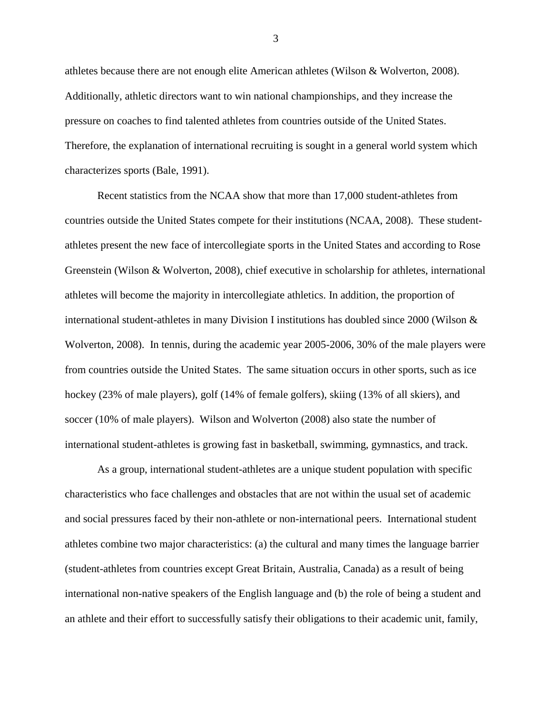athletes because there are not enough elite American athletes (Wilson & Wolverton, 2008). Additionally, athletic directors want to win national championships, and they increase the pressure on coaches to find talented athletes from countries outside of the United States. Therefore, the explanation of international recruiting is sought in a general world system which characterizes sports (Bale, 1991).

Recent statistics from the NCAA show that more than 17,000 student-athletes from countries outside the United States compete for their institutions (NCAA, 2008). These studentathletes present the new face of intercollegiate sports in the United States and according to Rose Greenstein (Wilson & Wolverton, 2008), chief executive in scholarship for athletes, international athletes will become the majority in intercollegiate athletics. In addition, the proportion of international student-athletes in many Division I institutions has doubled since 2000 (Wilson & Wolverton, 2008). In tennis, during the academic year 2005-2006, 30% of the male players were from countries outside the United States. The same situation occurs in other sports, such as ice hockey (23% of male players), golf (14% of female golfers), skiing (13% of all skiers), and soccer (10% of male players). Wilson and Wolverton (2008) also state the number of international student-athletes is growing fast in basketball, swimming, gymnastics, and track.

As a group, international student-athletes are a unique student population with specific characteristics who face challenges and obstacles that are not within the usual set of academic and social pressures faced by their non-athlete or non-international peers. International student athletes combine two major characteristics: (a) the cultural and many times the language barrier (student-athletes from countries except Great Britain, Australia, Canada) as a result of being international non-native speakers of the English language and (b) the role of being a student and an athlete and their effort to successfully satisfy their obligations to their academic unit, family,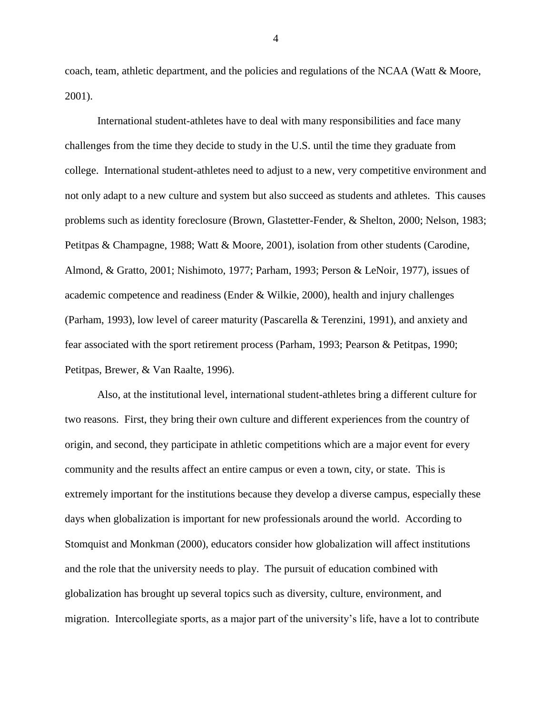coach, team, athletic department, and the policies and regulations of the NCAA (Watt  $\&$  Moore, 2001).

International student-athletes have to deal with many responsibilities and face many challenges from the time they decide to study in the U.S. until the time they graduate from college. International student-athletes need to adjust to a new, very competitive environment and not only adapt to a new culture and system but also succeed as students and athletes. This causes problems such as identity foreclosure (Brown, Glastetter-Fender, & Shelton, 2000; Nelson, 1983; Petitpas & Champagne, 1988; Watt & Moore, 2001), isolation from other students (Carodine, Almond, & Gratto, 2001; Nishimoto, 1977; Parham, 1993; Person & LeNoir, 1977), issues of academic competence and readiness (Ender & Wilkie, 2000), health and injury challenges (Parham, 1993), low level of career maturity (Pascarella & Terenzini, 1991), and anxiety and fear associated with the sport retirement process (Parham, 1993; Pearson & Petitpas, 1990; Petitpas, Brewer, & Van Raalte, 1996).

Also, at the institutional level, international student-athletes bring a different culture for two reasons. First, they bring their own culture and different experiences from the country of origin, and second, they participate in athletic competitions which are a major event for every community and the results affect an entire campus or even a town, city, or state. This is extremely important for the institutions because they develop a diverse campus, especially these days when globalization is important for new professionals around the world. According to Stomquist and Monkman (2000), educators consider how globalization will affect institutions and the role that the university needs to play. The pursuit of education combined with globalization has brought up several topics such as diversity, culture, environment, and migration. Intercollegiate sports, as a major part of the university"s life, have a lot to contribute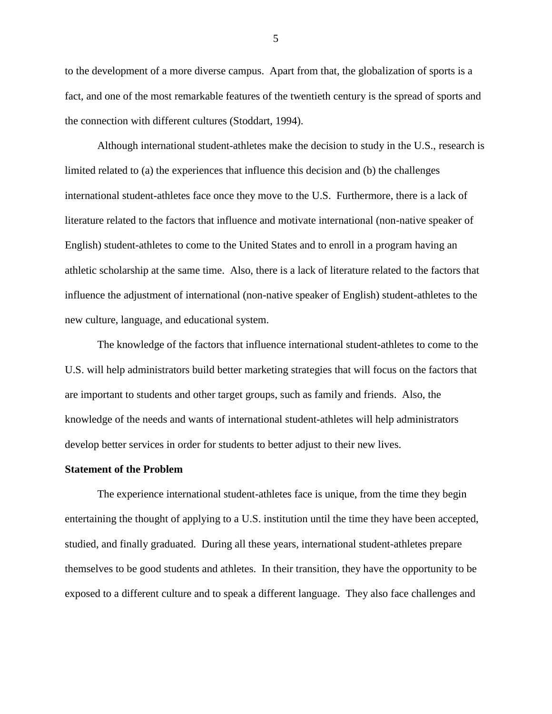to the development of a more diverse campus. Apart from that, the globalization of sports is a fact, and one of the most remarkable features of the twentieth century is the spread of sports and the connection with different cultures (Stoddart, 1994).

Although international student-athletes make the decision to study in the U.S., research is limited related to (a) the experiences that influence this decision and (b) the challenges international student-athletes face once they move to the U.S. Furthermore, there is a lack of literature related to the factors that influence and motivate international (non-native speaker of English) student-athletes to come to the United States and to enroll in a program having an athletic scholarship at the same time. Also, there is a lack of literature related to the factors that influence the adjustment of international (non-native speaker of English) student-athletes to the new culture, language, and educational system.

The knowledge of the factors that influence international student-athletes to come to the U.S. will help administrators build better marketing strategies that will focus on the factors that are important to students and other target groups, such as family and friends. Also, the knowledge of the needs and wants of international student-athletes will help administrators develop better services in order for students to better adjust to their new lives.

#### **Statement of the Problem**

The experience international student-athletes face is unique, from the time they begin entertaining the thought of applying to a U.S. institution until the time they have been accepted, studied, and finally graduated. During all these years, international student-athletes prepare themselves to be good students and athletes. In their transition, they have the opportunity to be exposed to a different culture and to speak a different language. They also face challenges and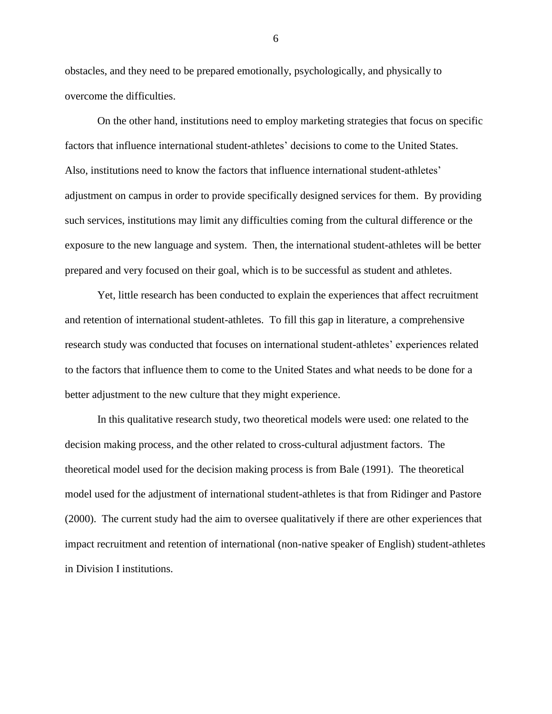obstacles, and they need to be prepared emotionally, psychologically, and physically to overcome the difficulties.

On the other hand, institutions need to employ marketing strategies that focus on specific factors that influence international student-athletes' decisions to come to the United States. Also, institutions need to know the factors that influence international student-athletes" adjustment on campus in order to provide specifically designed services for them. By providing such services, institutions may limit any difficulties coming from the cultural difference or the exposure to the new language and system. Then, the international student-athletes will be better prepared and very focused on their goal, which is to be successful as student and athletes.

Yet, little research has been conducted to explain the experiences that affect recruitment and retention of international student-athletes. To fill this gap in literature, a comprehensive research study was conducted that focuses on international student-athletes" experiences related to the factors that influence them to come to the United States and what needs to be done for a better adjustment to the new culture that they might experience.

In this qualitative research study, two theoretical models were used: one related to the decision making process, and the other related to cross-cultural adjustment factors. The theoretical model used for the decision making process is from Bale (1991). The theoretical model used for the adjustment of international student-athletes is that from Ridinger and Pastore (2000). The current study had the aim to oversee qualitatively if there are other experiences that impact recruitment and retention of international (non-native speaker of English) student-athletes in Division I institutions.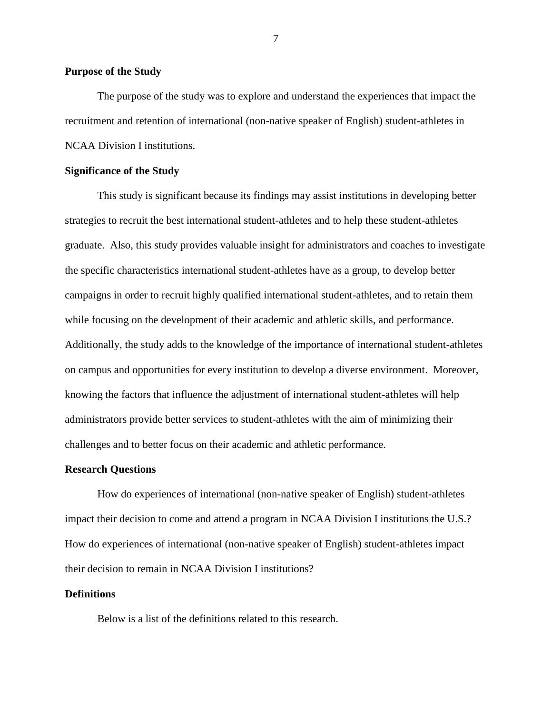## **Purpose of the Study**

The purpose of the study was to explore and understand the experiences that impact the recruitment and retention of international (non-native speaker of English) student-athletes in NCAA Division I institutions.

## **Significance of the Study**

This study is significant because its findings may assist institutions in developing better strategies to recruit the best international student-athletes and to help these student-athletes graduate. Also, this study provides valuable insight for administrators and coaches to investigate the specific characteristics international student-athletes have as a group, to develop better campaigns in order to recruit highly qualified international student-athletes, and to retain them while focusing on the development of their academic and athletic skills, and performance. Additionally, the study adds to the knowledge of the importance of international student-athletes on campus and opportunities for every institution to develop a diverse environment. Moreover, knowing the factors that influence the adjustment of international student-athletes will help administrators provide better services to student-athletes with the aim of minimizing their challenges and to better focus on their academic and athletic performance.

#### **Research Questions**

How do experiences of international (non-native speaker of English) student-athletes impact their decision to come and attend a program in NCAA Division I institutions the U.S.? How do experiences of international (non-native speaker of English) student-athletes impact their decision to remain in NCAA Division I institutions?

#### **Definitions**

Below is a list of the definitions related to this research.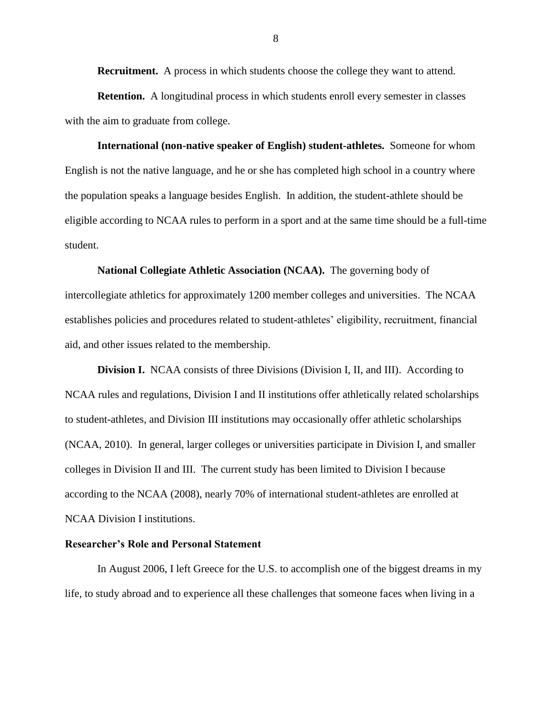**Recruitment.** A process in which students choose the college they want to attend.

**Retention.** A longitudinal process in which students enroll every semester in classes with the aim to graduate from college.

**International (non-native speaker of English) student-athletes.** Someone for whom English is not the native language, and he or she has completed high school in a country where the population speaks a language besides English. In addition, the student-athlete should be eligible according to NCAA rules to perform in a sport and at the same time should be a full-time student.

**National Collegiate Athletic Association (NCAA).** The governing body of intercollegiate athletics for approximately 1200 member colleges and universities. The NCAA establishes policies and procedures related to student-athletes' eligibility, recruitment, financial aid, and other issues related to the membership.

**Division I.** NCAA consists of three Divisions (Division I, II, and III). According to NCAA rules and regulations, Division I and II institutions offer athletically related scholarships to student-athletes, and Division III institutions may occasionally offer athletic scholarships (NCAA, 2010). In general, larger colleges or universities participate in Division I, and smaller colleges in Division II and III. The current study has been limited to Division I because according to the NCAA (2008), nearly 70% of international student-athletes are enrolled at NCAA Division I institutions.

## **Researcher's Role and Personal Statement**

In August 2006, I left Greece for the U.S. to accomplish one of the biggest dreams in my life, to study abroad and to experience all these challenges that someone faces when living in a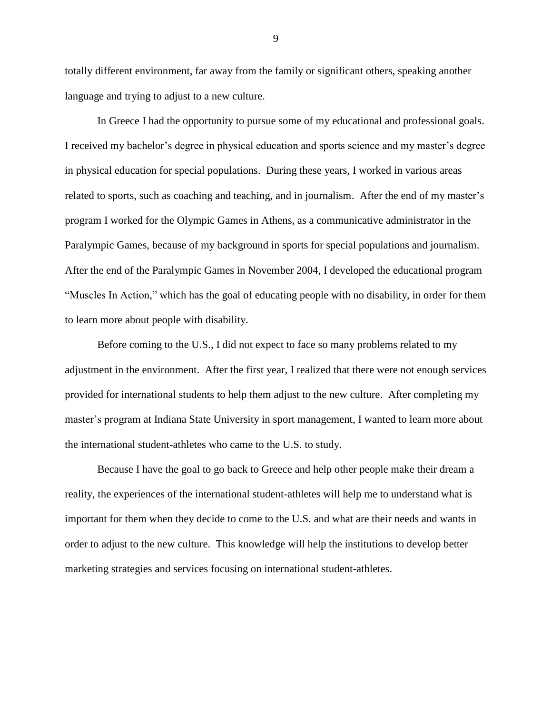totally different environment, far away from the family or significant others, speaking another language and trying to adjust to a new culture.

In Greece I had the opportunity to pursue some of my educational and professional goals. I received my bachelor"s degree in physical education and sports science and my master"s degree in physical education for special populations. During these years, I worked in various areas related to sports, such as coaching and teaching, and in journalism. After the end of my master"s program I worked for the Olympic Games in Athens, as a communicative administrator in the Paralympic Games, because of my background in sports for special populations and journalism. After the end of the Paralympic Games in November 2004, I developed the educational program "Muscles In Action," which has the goal of educating people with no disability, in order for them to learn more about people with disability.

Before coming to the U.S., I did not expect to face so many problems related to my adjustment in the environment. After the first year, I realized that there were not enough services provided for international students to help them adjust to the new culture. After completing my master's program at Indiana State University in sport management, I wanted to learn more about the international student-athletes who came to the U.S. to study.

Because I have the goal to go back to Greece and help other people make their dream a reality, the experiences of the international student-athletes will help me to understand what is important for them when they decide to come to the U.S. and what are their needs and wants in order to adjust to the new culture. This knowledge will help the institutions to develop better marketing strategies and services focusing on international student-athletes.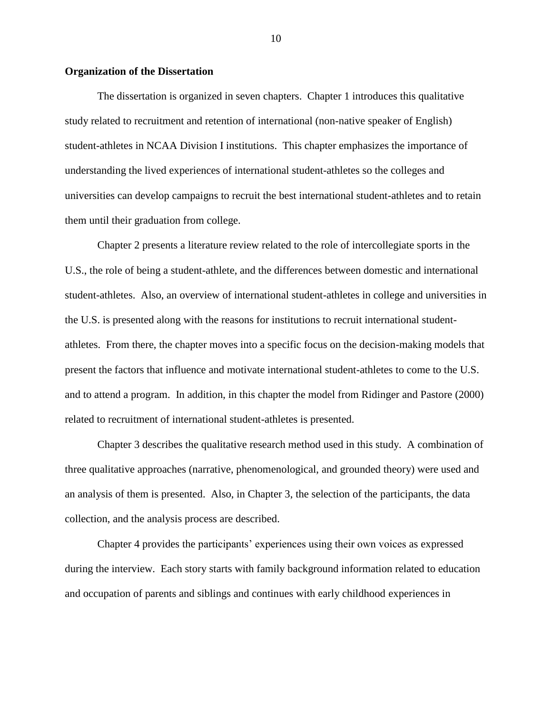## **Organization of the Dissertation**

The dissertation is organized in seven chapters. Chapter 1 introduces this qualitative study related to recruitment and retention of international (non-native speaker of English) student-athletes in NCAA Division I institutions. This chapter emphasizes the importance of understanding the lived experiences of international student-athletes so the colleges and universities can develop campaigns to recruit the best international student-athletes and to retain them until their graduation from college.

Chapter 2 presents a literature review related to the role of intercollegiate sports in the U.S., the role of being a student-athlete, and the differences between domestic and international student-athletes. Also, an overview of international student-athletes in college and universities in the U.S. is presented along with the reasons for institutions to recruit international studentathletes. From there, the chapter moves into a specific focus on the decision-making models that present the factors that influence and motivate international student-athletes to come to the U.S. and to attend a program. In addition, in this chapter the model from Ridinger and Pastore (2000) related to recruitment of international student-athletes is presented.

Chapter 3 describes the qualitative research method used in this study. A combination of three qualitative approaches (narrative, phenomenological, and grounded theory) were used and an analysis of them is presented. Also, in Chapter 3, the selection of the participants, the data collection, and the analysis process are described.

Chapter 4 provides the participants" experiences using their own voices as expressed during the interview. Each story starts with family background information related to education and occupation of parents and siblings and continues with early childhood experiences in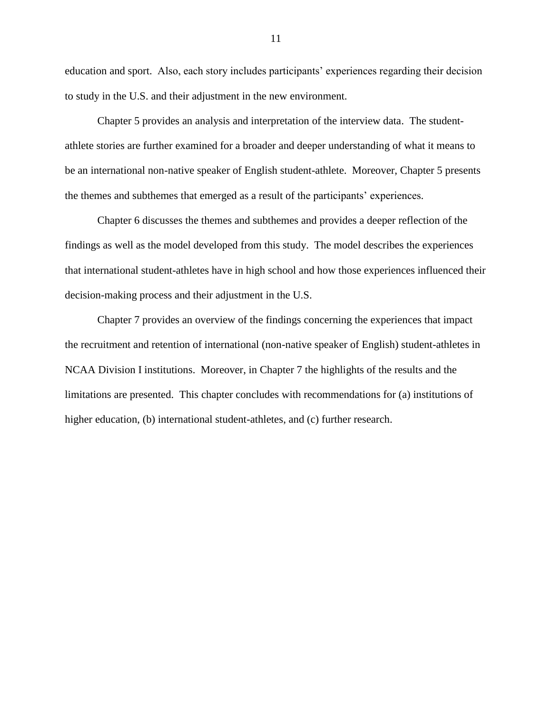education and sport. Also, each story includes participants' experiences regarding their decision to study in the U.S. and their adjustment in the new environment.

Chapter 5 provides an analysis and interpretation of the interview data. The studentathlete stories are further examined for a broader and deeper understanding of what it means to be an international non-native speaker of English student-athlete. Moreover, Chapter 5 presents the themes and subthemes that emerged as a result of the participants" experiences.

Chapter 6 discusses the themes and subthemes and provides a deeper reflection of the findings as well as the model developed from this study. The model describes the experiences that international student-athletes have in high school and how those experiences influenced their decision-making process and their adjustment in the U.S.

Chapter 7 provides an overview of the findings concerning the experiences that impact the recruitment and retention of international (non-native speaker of English) student-athletes in NCAA Division I institutions. Moreover, in Chapter 7 the highlights of the results and the limitations are presented. This chapter concludes with recommendations for (a) institutions of higher education, (b) international student-athletes, and (c) further research.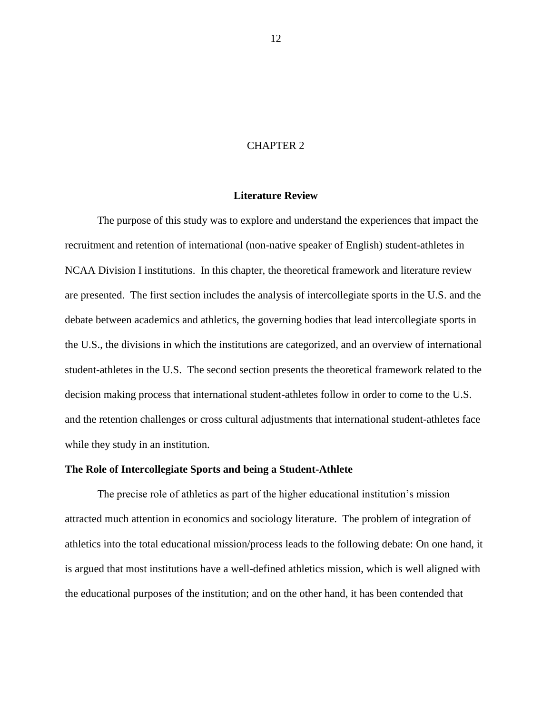## CHAPTER 2

# **Literature Review**

The purpose of this study was to explore and understand the experiences that impact the recruitment and retention of international (non-native speaker of English) student-athletes in NCAA Division I institutions. In this chapter, the theoretical framework and literature review are presented. The first section includes the analysis of intercollegiate sports in the U.S. and the debate between academics and athletics, the governing bodies that lead intercollegiate sports in the U.S., the divisions in which the institutions are categorized, and an overview of international student-athletes in the U.S. The second section presents the theoretical framework related to the decision making process that international student-athletes follow in order to come to the U.S. and the retention challenges or cross cultural adjustments that international student-athletes face while they study in an institution.

#### **The Role of Intercollegiate Sports and being a Student-Athlete**

The precise role of athletics as part of the higher educational institution"s mission attracted much attention in economics and sociology literature. The problem of integration of athletics into the total educational mission/process leads to the following debate: On one hand, it is argued that most institutions have a well-defined athletics mission, which is well aligned with the educational purposes of the institution; and on the other hand, it has been contended that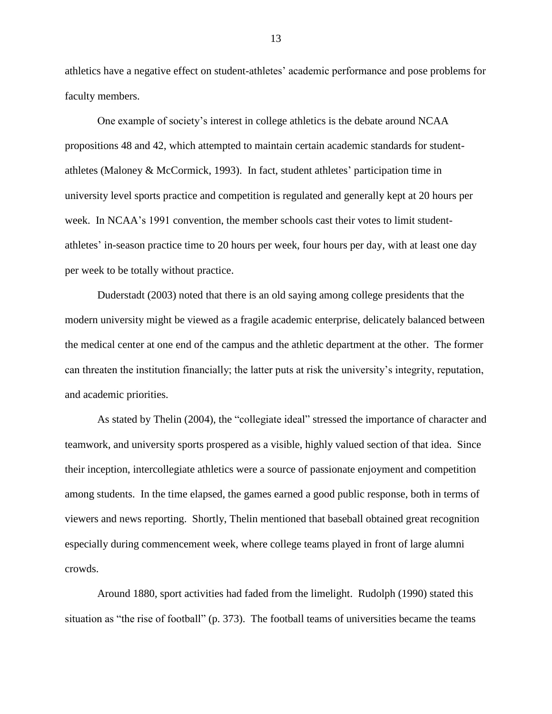athletics have a negative effect on student-athletes" academic performance and pose problems for faculty members.

One example of society"s interest in college athletics is the debate around NCAA propositions 48 and 42, which attempted to maintain certain academic standards for studentathletes (Maloney & McCormick, 1993). In fact, student athletes" participation time in university level sports practice and competition is regulated and generally kept at 20 hours per week. In NCAA"s 1991 convention, the member schools cast their votes to limit studentathletes" in-season practice time to 20 hours per week, four hours per day, with at least one day per week to be totally without practice.

Duderstadt (2003) noted that there is an old saying among college presidents that the modern university might be viewed as a fragile academic enterprise, delicately balanced between the medical center at one end of the campus and the athletic department at the other. The former can threaten the institution financially; the latter puts at risk the university"s integrity, reputation, and academic priorities.

As stated by Thelin (2004), the "collegiate ideal" stressed the importance of character and teamwork, and university sports prospered as a visible, highly valued section of that idea. Since their inception, intercollegiate athletics were a source of passionate enjoyment and competition among students. In the time elapsed, the games earned a good public response, both in terms of viewers and news reporting. Shortly, Thelin mentioned that baseball obtained great recognition especially during commencement week, where college teams played in front of large alumni crowds.

Around 1880, sport activities had faded from the limelight. Rudolph (1990) stated this situation as "the rise of football" (p. 373). The football teams of universities became the teams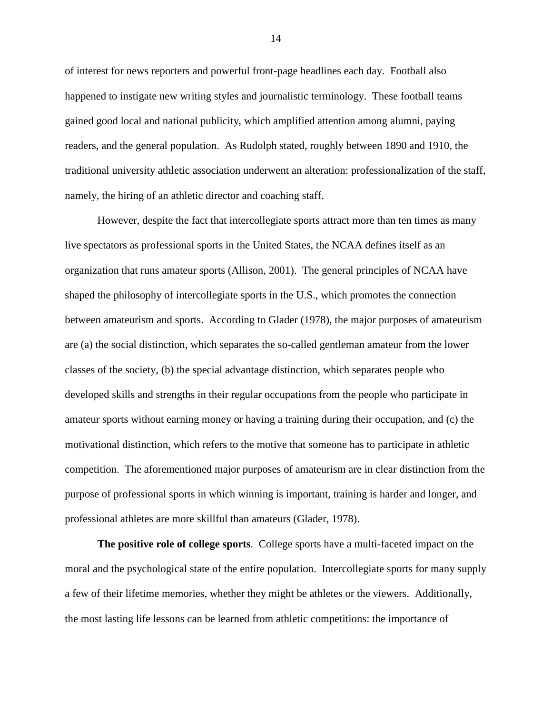of interest for news reporters and powerful front-page headlines each day. Football also happened to instigate new writing styles and journalistic terminology. These football teams gained good local and national publicity, which amplified attention among alumni, paying readers, and the general population. As Rudolph stated, roughly between 1890 and 1910, the traditional university athletic association underwent an alteration: professionalization of the staff, namely, the hiring of an athletic director and coaching staff.

However, despite the fact that intercollegiate sports attract more than ten times as many live spectators as professional sports in the United States, the NCAA defines itself as an organization that runs amateur sports (Allison, 2001). The general principles of NCAA have shaped the philosophy of intercollegiate sports in the U.S., which promotes the connection between amateurism and sports. According to Glader (1978), the major purposes of amateurism are (a) the social distinction, which separates the so-called gentleman amateur from the lower classes of the society, (b) the special advantage distinction, which separates people who developed skills and strengths in their regular occupations from the people who participate in amateur sports without earning money or having a training during their occupation, and (c) the motivational distinction, which refers to the motive that someone has to participate in athletic competition. The aforementioned major purposes of amateurism are in clear distinction from the purpose of professional sports in which winning is important, training is harder and longer, and professional athletes are more skillful than amateurs (Glader, 1978).

**The positive role of college sports***.* College sports have a multi-faceted impact on the moral and the psychological state of the entire population. Intercollegiate sports for many supply a few of their lifetime memories, whether they might be athletes or the viewers. Additionally, the most lasting life lessons can be learned from athletic competitions: the importance of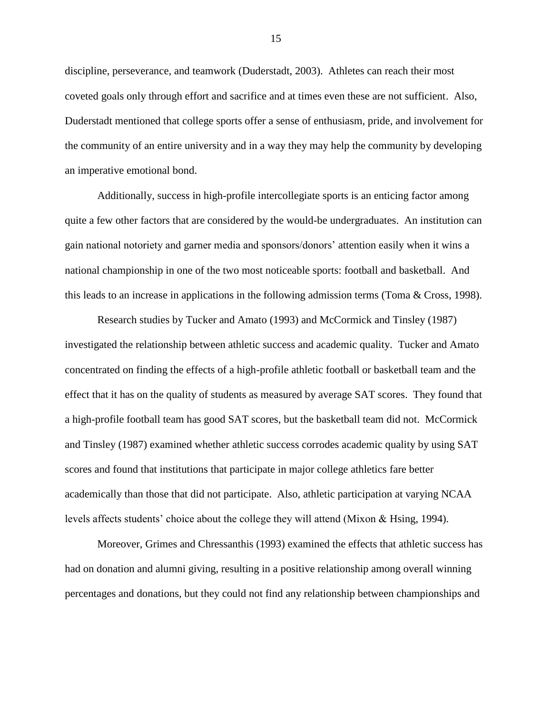discipline, perseverance, and teamwork (Duderstadt, 2003). Athletes can reach their most coveted goals only through effort and sacrifice and at times even these are not sufficient. Also, Duderstadt mentioned that college sports offer a sense of enthusiasm, pride, and involvement for the community of an entire university and in a way they may help the community by developing an imperative emotional bond.

Additionally, success in high-profile intercollegiate sports is an enticing factor among quite a few other factors that are considered by the would-be undergraduates. An institution can gain national notoriety and garner media and sponsors/donors" attention easily when it wins a national championship in one of the two most noticeable sports: football and basketball. And this leads to an increase in applications in the following admission terms (Toma & Cross, 1998).

Research studies by Tucker and Amato (1993) and McCormick and Tinsley (1987) investigated the relationship between athletic success and academic quality. Tucker and Amato concentrated on finding the effects of a high-profile athletic football or basketball team and the effect that it has on the quality of students as measured by average SAT scores. They found that a high-profile football team has good SAT scores, but the basketball team did not. McCormick and Tinsley (1987) examined whether athletic success corrodes academic quality by using SAT scores and found that institutions that participate in major college athletics fare better academically than those that did not participate. Also, athletic participation at varying NCAA levels affects students" choice about the college they will attend (Mixon & Hsing, 1994).

Moreover, Grimes and Chressanthis (1993) examined the effects that athletic success has had on donation and alumni giving, resulting in a positive relationship among overall winning percentages and donations, but they could not find any relationship between championships and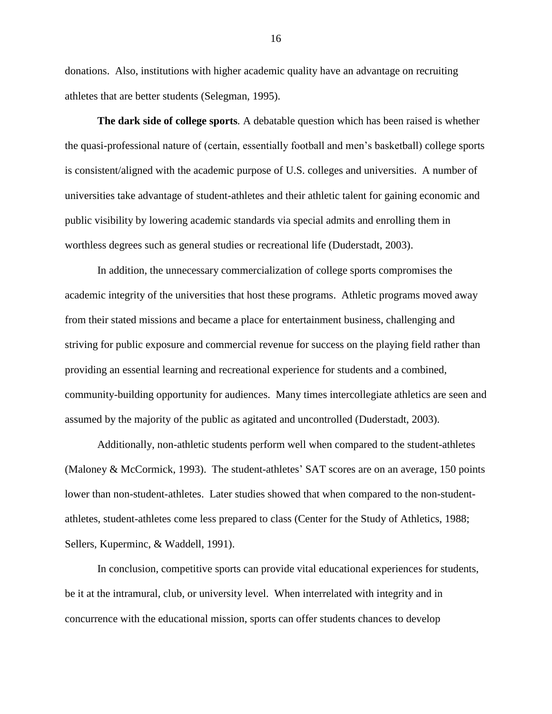donations. Also, institutions with higher academic quality have an advantage on recruiting athletes that are better students (Selegman, 1995).

**The dark side of college sports***.* A debatable question which has been raised is whether the quasi-professional nature of (certain, essentially football and men"s basketball) college sports is consistent/aligned with the academic purpose of U.S. colleges and universities. A number of universities take advantage of student-athletes and their athletic talent for gaining economic and public visibility by lowering academic standards via special admits and enrolling them in worthless degrees such as general studies or recreational life (Duderstadt, 2003).

In addition, the unnecessary commercialization of college sports compromises the academic integrity of the universities that host these programs. Athletic programs moved away from their stated missions and became a place for entertainment business, challenging and striving for public exposure and commercial revenue for success on the playing field rather than providing an essential learning and recreational experience for students and a combined, community-building opportunity for audiences. Many times intercollegiate athletics are seen and assumed by the majority of the public as agitated and uncontrolled (Duderstadt, 2003).

Additionally, non-athletic students perform well when compared to the student-athletes (Maloney & McCormick, 1993). The student-athletes' SAT scores are on an average, 150 points lower than non-student-athletes. Later studies showed that when compared to the non-studentathletes, student-athletes come less prepared to class (Center for the Study of Athletics, 1988; Sellers, Kuperminc, & Waddell, 1991).

In conclusion, competitive sports can provide vital educational experiences for students, be it at the intramural, club, or university level. When interrelated with integrity and in concurrence with the educational mission, sports can offer students chances to develop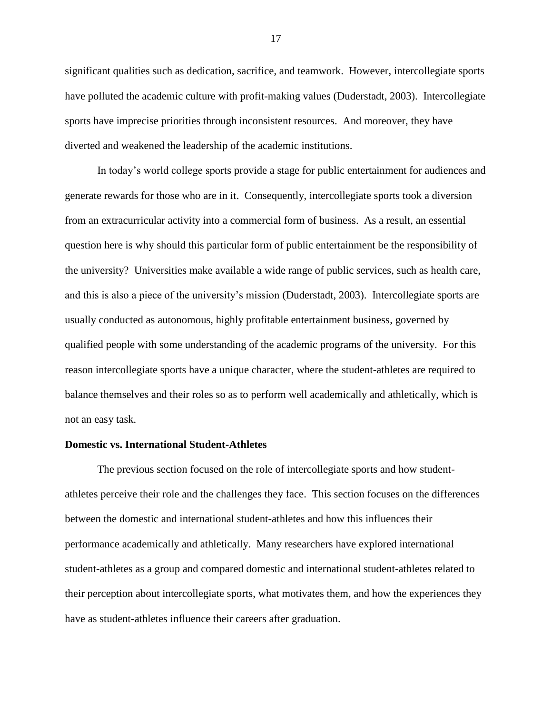significant qualities such as dedication, sacrifice, and teamwork. However, intercollegiate sports have polluted the academic culture with profit-making values (Duderstadt, 2003). Intercollegiate sports have imprecise priorities through inconsistent resources. And moreover, they have diverted and weakened the leadership of the academic institutions.

In today"s world college sports provide a stage for public entertainment for audiences and generate rewards for those who are in it. Consequently, intercollegiate sports took a diversion from an extracurricular activity into a commercial form of business. As a result, an essential question here is why should this particular form of public entertainment be the responsibility of the university? Universities make available a wide range of public services, such as health care, and this is also a piece of the university"s mission (Duderstadt, 2003). Intercollegiate sports are usually conducted as autonomous, highly profitable entertainment business, governed by qualified people with some understanding of the academic programs of the university. For this reason intercollegiate sports have a unique character, where the student-athletes are required to balance themselves and their roles so as to perform well academically and athletically, which is not an easy task.

#### **Domestic vs. International Student-Athletes**

The previous section focused on the role of intercollegiate sports and how studentathletes perceive their role and the challenges they face. This section focuses on the differences between the domestic and international student-athletes and how this influences their performance academically and athletically. Many researchers have explored international student-athletes as a group and compared domestic and international student-athletes related to their perception about intercollegiate sports, what motivates them, and how the experiences they have as student-athletes influence their careers after graduation.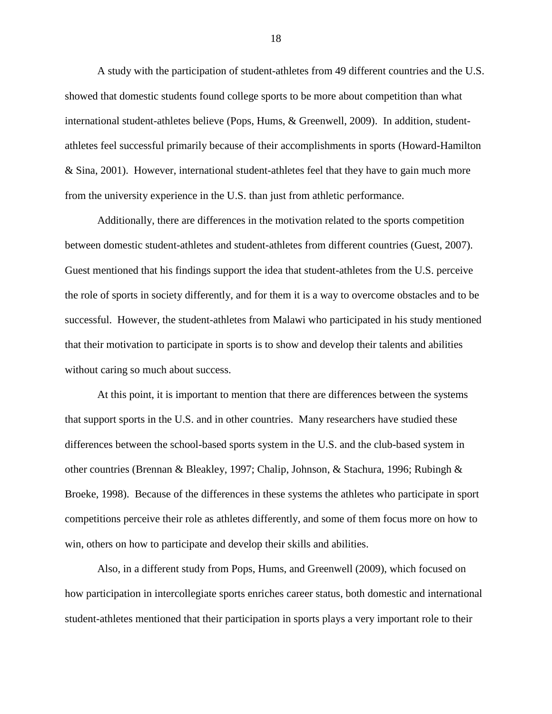A study with the participation of student-athletes from 49 different countries and the U.S. showed that domestic students found college sports to be more about competition than what international student-athletes believe (Pops, Hums, & Greenwell, 2009). In addition, studentathletes feel successful primarily because of their accomplishments in sports (Howard-Hamilton & Sina, 2001). However, international student-athletes feel that they have to gain much more from the university experience in the U.S. than just from athletic performance.

Additionally, there are differences in the motivation related to the sports competition between domestic student-athletes and student-athletes from different countries (Guest, 2007). Guest mentioned that his findings support the idea that student-athletes from the U.S. perceive the role of sports in society differently, and for them it is a way to overcome obstacles and to be successful. However, the student-athletes from Malawi who participated in his study mentioned that their motivation to participate in sports is to show and develop their talents and abilities without caring so much about success.

At this point, it is important to mention that there are differences between the systems that support sports in the U.S. and in other countries. Many researchers have studied these differences between the school-based sports system in the U.S. and the club-based system in other countries (Brennan & Bleakley, 1997; Chalip, Johnson, & Stachura, 1996; Rubingh & Broeke, 1998). Because of the differences in these systems the athletes who participate in sport competitions perceive their role as athletes differently, and some of them focus more on how to win, others on how to participate and develop their skills and abilities.

Also, in a different study from Pops, Hums, and Greenwell (2009), which focused on how participation in intercollegiate sports enriches career status, both domestic and international student-athletes mentioned that their participation in sports plays a very important role to their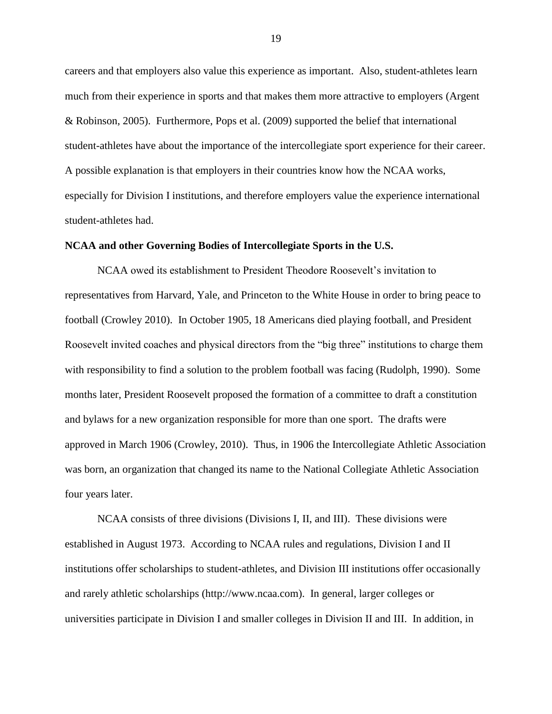careers and that employers also value this experience as important. Also, student-athletes learn much from their experience in sports and that makes them more attractive to employers (Argent & Robinson, 2005). Furthermore, Pops et al. (2009) supported the belief that international student-athletes have about the importance of the intercollegiate sport experience for their career. A possible explanation is that employers in their countries know how the NCAA works, especially for Division I institutions, and therefore employers value the experience international student-athletes had.

## **NCAA and other Governing Bodies of Intercollegiate Sports in the U.S.**

NCAA owed its establishment to President Theodore Roosevelt"s invitation to representatives from Harvard, Yale, and Princeton to the White House in order to bring peace to football (Crowley 2010). In October 1905, 18 Americans died playing football, and President Roosevelt invited coaches and physical directors from the "big three" institutions to charge them with responsibility to find a solution to the problem football was facing (Rudolph, 1990). Some months later, President Roosevelt proposed the formation of a committee to draft a constitution and bylaws for a new organization responsible for more than one sport. The drafts were approved in March 1906 (Crowley, 2010). Thus, in 1906 the Intercollegiate Athletic Association was born, an organization that changed its name to the National Collegiate Athletic Association four years later.

NCAA consists of three divisions (Divisions I, II, and III). These divisions were established in August 1973. According to NCAA rules and regulations, Division I and II institutions offer scholarships to student-athletes, and Division III institutions offer occasionally and rarely athletic scholarships (http://www.ncaa.com). In general, larger colleges or universities participate in Division I and smaller colleges in Division II and III. In addition, in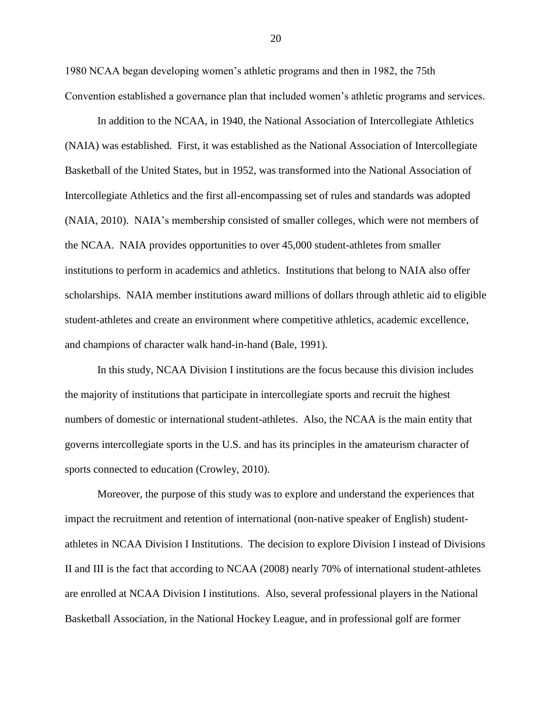1980 NCAA began developing women"s athletic programs and then in 1982, the 75th Convention established a governance plan that included women"s athletic programs and services.

In addition to the NCAA, in 1940, the National Association of Intercollegiate Athletics (NAIA) was established. First, it was established as the National Association of Intercollegiate Basketball of the United States, but in 1952, was transformed into the National Association of Intercollegiate Athletics and the first all-encompassing set of rules and standards was adopted (NAIA, 2010). NAIA"s membership consisted of smaller colleges, which were not members of the NCAA. NAIA provides opportunities to over 45,000 student-athletes from smaller institutions to perform in academics and athletics. Institutions that belong to NAIA also offer scholarships. NAIA member institutions award millions of dollars through athletic aid to eligible student-athletes and create an environment where competitive athletics, academic excellence, and champions of character walk hand-in-hand (Bale, 1991).

In this study, NCAA Division I institutions are the focus because this division includes the majority of institutions that participate in intercollegiate sports and recruit the highest numbers of domestic or international student-athletes. Also, the NCAA is the main entity that governs intercollegiate sports in the U.S. and has its principles in the amateurism character of sports connected to education (Crowley, 2010).

Moreover, the purpose of this study was to explore and understand the experiences that impact the recruitment and retention of international (non-native speaker of English) studentathletes in NCAA Division I Institutions. The decision to explore Division I instead of Divisions II and III is the fact that according to NCAA (2008) nearly 70% of international student-athletes are enrolled at NCAA Division I institutions. Also, several professional players in the National Basketball Association, in the National Hockey League, and in professional golf are former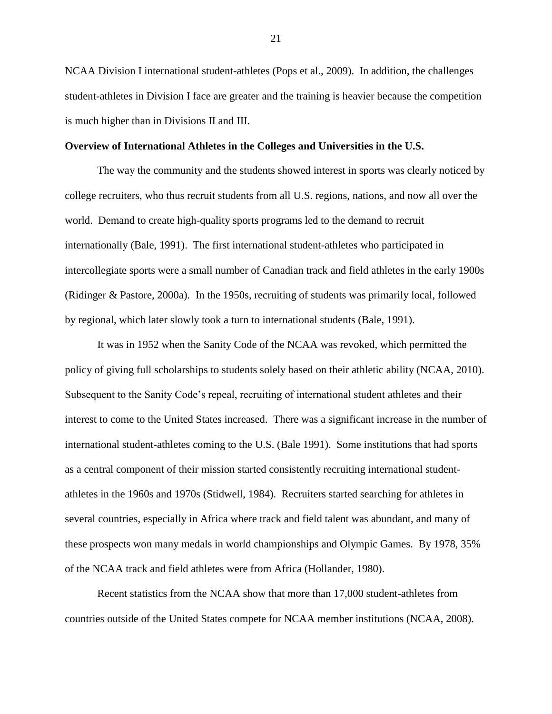NCAA Division I international student-athletes (Pops et al., 2009). In addition, the challenges student-athletes in Division I face are greater and the training is heavier because the competition is much higher than in Divisions II and III.

#### **Overview of International Athletes in the Colleges and Universities in the U.S.**

The way the community and the students showed interest in sports was clearly noticed by college recruiters, who thus recruit students from all U.S. regions, nations, and now all over the world. Demand to create high-quality sports programs led to the demand to recruit internationally (Bale, 1991). The first international student-athletes who participated in intercollegiate sports were a small number of Canadian track and field athletes in the early 1900s (Ridinger & Pastore, 2000a). In the 1950s, recruiting of students was primarily local, followed by regional, which later slowly took a turn to international students (Bale, 1991).

It was in 1952 when the Sanity Code of the NCAA was revoked, which permitted the policy of giving full scholarships to students solely based on their athletic ability (NCAA, 2010). Subsequent to the Sanity Code"s repeal, recruiting of international student athletes and their interest to come to the United States increased. There was a significant increase in the number of international student-athletes coming to the U.S. (Bale 1991). Some institutions that had sports as a central component of their mission started consistently recruiting international studentathletes in the 1960s and 1970s (Stidwell, 1984). Recruiters started searching for athletes in several countries, especially in Africa where track and field talent was abundant, and many of these prospects won many medals in world championships and Olympic Games. By 1978, 35% of the NCAA track and field athletes were from Africa (Hollander, 1980).

Recent statistics from the NCAA show that more than 17,000 student-athletes from countries outside of the United States compete for NCAA member institutions (NCAA, 2008).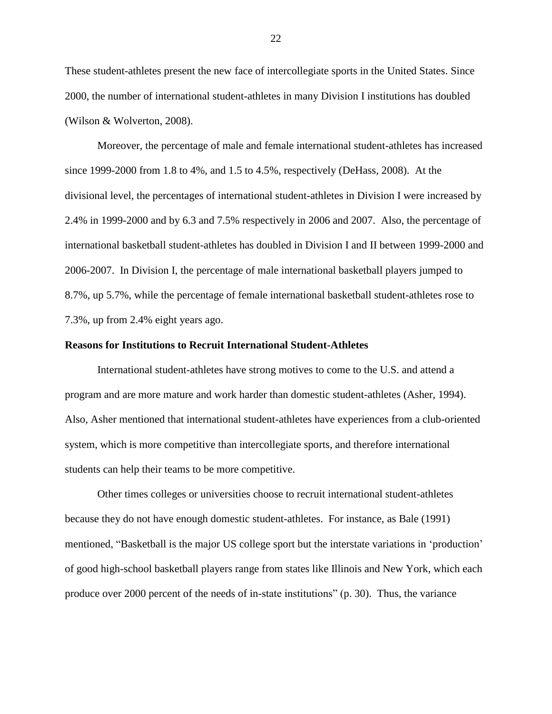These student-athletes present the new face of intercollegiate sports in the United States. Since 2000, the number of international student-athletes in many Division I institutions has doubled (Wilson & Wolverton, 2008).

Moreover, the percentage of male and female international student-athletes has increased since 1999-2000 from 1.8 to 4%, and 1.5 to 4.5%, respectively (DeHass, 2008). At the divisional level, the percentages of international student-athletes in Division I were increased by 2.4% in 1999-2000 and by 6.3 and 7.5% respectively in 2006 and 2007. Also, the percentage of international basketball student-athletes has doubled in Division I and II between 1999-2000 and 2006-2007. In Division I, the percentage of male international basketball players jumped to 8.7%, up 5.7%, while the percentage of female international basketball student-athletes rose to 7.3%, up from 2.4% eight years ago.

#### **Reasons for Institutions to Recruit International Student-Athletes**

International student-athletes have strong motives to come to the U.S. and attend a program and are more mature and work harder than domestic student-athletes (Asher, 1994). Also, Asher mentioned that international student-athletes have experiences from a club-oriented system, which is more competitive than intercollegiate sports, and therefore international students can help their teams to be more competitive.

Other times colleges or universities choose to recruit international student-athletes because they do not have enough domestic student-athletes. For instance, as Bale (1991) mentioned, "Basketball is the major US college sport but the interstate variations in "production" of good high-school basketball players range from states like Illinois and New York, which each produce over 2000 percent of the needs of in-state institutions" (p. 30). Thus, the variance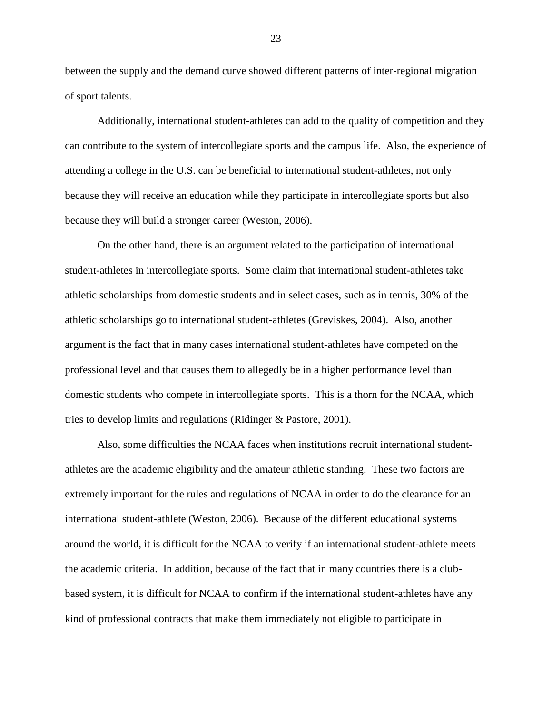between the supply and the demand curve showed different patterns of inter-regional migration of sport talents.

Additionally, international student-athletes can add to the quality of competition and they can contribute to the system of intercollegiate sports and the campus life. Also, the experience of attending a college in the U.S. can be beneficial to international student-athletes, not only because they will receive an education while they participate in intercollegiate sports but also because they will build a stronger career (Weston, 2006).

On the other hand, there is an argument related to the participation of international student-athletes in intercollegiate sports. Some claim that international student-athletes take athletic scholarships from domestic students and in select cases, such as in tennis, 30% of the athletic scholarships go to international student-athletes (Greviskes, 2004). Also, another argument is the fact that in many cases international student-athletes have competed on the professional level and that causes them to allegedly be in a higher performance level than domestic students who compete in intercollegiate sports. This is a thorn for the NCAA, which tries to develop limits and regulations (Ridinger & Pastore, 2001).

Also, some difficulties the NCAA faces when institutions recruit international studentathletes are the academic eligibility and the amateur athletic standing. These two factors are extremely important for the rules and regulations of NCAA in order to do the clearance for an international student-athlete (Weston, 2006). Because of the different educational systems around the world, it is difficult for the NCAA to verify if an international student-athlete meets the academic criteria. In addition, because of the fact that in many countries there is a clubbased system, it is difficult for NCAA to confirm if the international student-athletes have any kind of professional contracts that make them immediately not eligible to participate in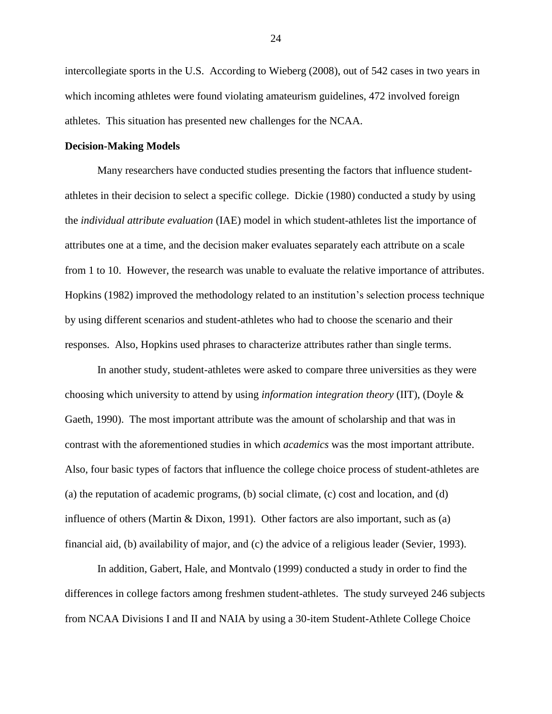intercollegiate sports in the U.S. According to Wieberg (2008), out of 542 cases in two years in which incoming athletes were found violating amateurism guidelines, 472 involved foreign athletes. This situation has presented new challenges for the NCAA.

#### **Decision-Making Models**

Many researchers have conducted studies presenting the factors that influence studentathletes in their decision to select a specific college. Dickie (1980) conducted a study by using the *individual attribute evaluation* (IAE) model in which student-athletes list the importance of attributes one at a time, and the decision maker evaluates separately each attribute on a scale from 1 to 10. However, the research was unable to evaluate the relative importance of attributes. Hopkins (1982) improved the methodology related to an institution"s selection process technique by using different scenarios and student-athletes who had to choose the scenario and their responses. Also, Hopkins used phrases to characterize attributes rather than single terms.

In another study, student-athletes were asked to compare three universities as they were choosing which university to attend by using *information integration theory* (IIT), (Doyle & Gaeth, 1990). The most important attribute was the amount of scholarship and that was in contrast with the aforementioned studies in which *academics* was the most important attribute. Also, four basic types of factors that influence the college choice process of student-athletes are (a) the reputation of academic programs, (b) social climate, (c) cost and location, and (d) influence of others (Martin & Dixon, 1991). Other factors are also important, such as (a) financial aid, (b) availability of major, and (c) the advice of a religious leader (Sevier, 1993).

In addition, Gabert, Hale, and Montvalo (1999) conducted a study in order to find the differences in college factors among freshmen student-athletes. The study surveyed 246 subjects from NCAA Divisions I and II and NAIA by using a 30-item Student-Athlete College Choice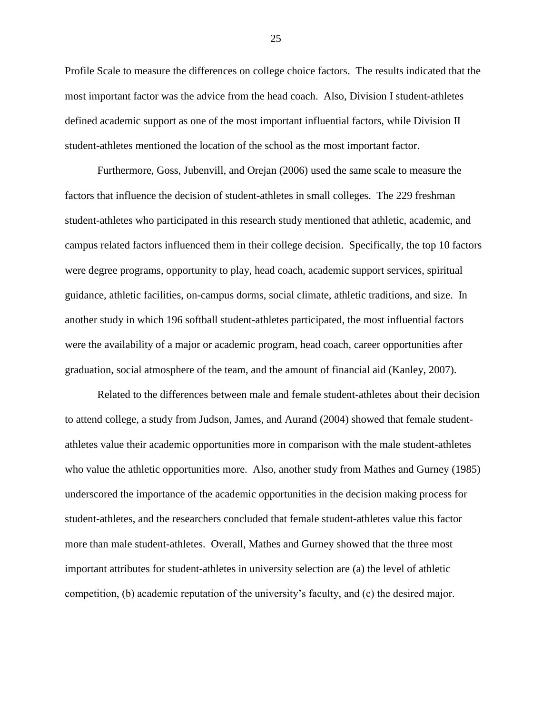Profile Scale to measure the differences on college choice factors. The results indicated that the most important factor was the advice from the head coach. Also, Division I student-athletes defined academic support as one of the most important influential factors, while Division II student-athletes mentioned the location of the school as the most important factor.

Furthermore, Goss, Jubenvill, and Orejan (2006) used the same scale to measure the factors that influence the decision of student-athletes in small colleges. The 229 freshman student-athletes who participated in this research study mentioned that athletic, academic, and campus related factors influenced them in their college decision. Specifically, the top 10 factors were degree programs, opportunity to play, head coach, academic support services, spiritual guidance, athletic facilities, on-campus dorms, social climate, athletic traditions, and size. In another study in which 196 softball student-athletes participated, the most influential factors were the availability of a major or academic program, head coach, career opportunities after graduation, social atmosphere of the team, and the amount of financial aid (Kanley, 2007).

Related to the differences between male and female student-athletes about their decision to attend college, a study from Judson, James, and Aurand (2004) showed that female studentathletes value their academic opportunities more in comparison with the male student-athletes who value the athletic opportunities more. Also, another study from Mathes and Gurney (1985) underscored the importance of the academic opportunities in the decision making process for student-athletes, and the researchers concluded that female student-athletes value this factor more than male student-athletes. Overall, Mathes and Gurney showed that the three most important attributes for student-athletes in university selection are (a) the level of athletic competition, (b) academic reputation of the university"s faculty, and (c) the desired major.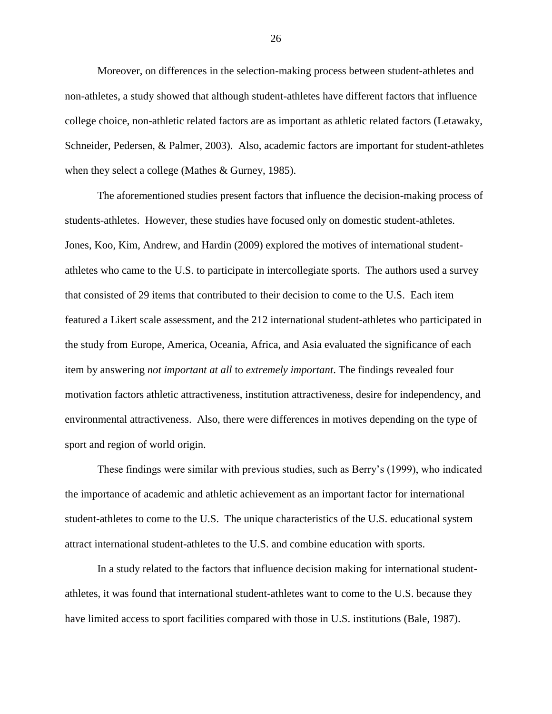Moreover, on differences in the selection-making process between student-athletes and non-athletes, a study showed that although student-athletes have different factors that influence college choice, non-athletic related factors are as important as athletic related factors (Letawaky, Schneider, Pedersen, & Palmer, 2003). Also, academic factors are important for student-athletes when they select a college (Mathes & Gurney, 1985).

The aforementioned studies present factors that influence the decision-making process of students-athletes. However, these studies have focused only on domestic student-athletes. Jones, Koo, Kim, Andrew, and Hardin (2009) explored the motives of international studentathletes who came to the U.S. to participate in intercollegiate sports. The authors used a survey that consisted of 29 items that contributed to their decision to come to the U.S. Each item featured a Likert scale assessment, and the 212 international student-athletes who participated in the study from Europe, America, Oceania, Africa, and Asia evaluated the significance of each item by answering *not important at all* to *extremely important*. The findings revealed four motivation factors athletic attractiveness, institution attractiveness, desire for independency, and environmental attractiveness. Also, there were differences in motives depending on the type of sport and region of world origin.

These findings were similar with previous studies, such as Berry"s (1999), who indicated the importance of academic and athletic achievement as an important factor for international student-athletes to come to the U.S. The unique characteristics of the U.S. educational system attract international student-athletes to the U.S. and combine education with sports.

In a study related to the factors that influence decision making for international studentathletes, it was found that international student-athletes want to come to the U.S. because they have limited access to sport facilities compared with those in U.S. institutions (Bale, 1987).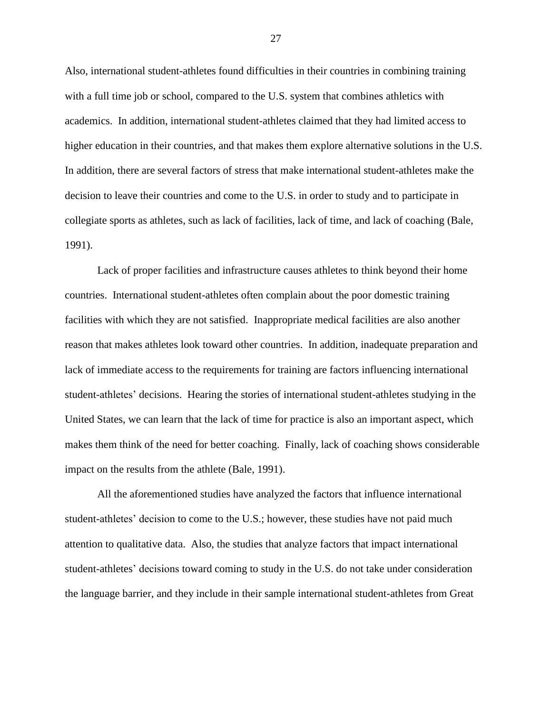Also, international student-athletes found difficulties in their countries in combining training with a full time job or school, compared to the U.S. system that combines athletics with academics. In addition, international student-athletes claimed that they had limited access to higher education in their countries, and that makes them explore alternative solutions in the U.S. In addition, there are several factors of stress that make international student-athletes make the decision to leave their countries and come to the U.S. in order to study and to participate in collegiate sports as athletes, such as lack of facilities, lack of time, and lack of coaching (Bale, 1991).

Lack of proper facilities and infrastructure causes athletes to think beyond their home countries. International student-athletes often complain about the poor domestic training facilities with which they are not satisfied. Inappropriate medical facilities are also another reason that makes athletes look toward other countries. In addition, inadequate preparation and lack of immediate access to the requirements for training are factors influencing international student-athletes" decisions. Hearing the stories of international student-athletes studying in the United States, we can learn that the lack of time for practice is also an important aspect, which makes them think of the need for better coaching. Finally, lack of coaching shows considerable impact on the results from the athlete (Bale, 1991).

All the aforementioned studies have analyzed the factors that influence international student-athletes' decision to come to the U.S.; however, these studies have not paid much attention to qualitative data. Also, the studies that analyze factors that impact international student-athletes' decisions toward coming to study in the U.S. do not take under consideration the language barrier, and they include in their sample international student-athletes from Great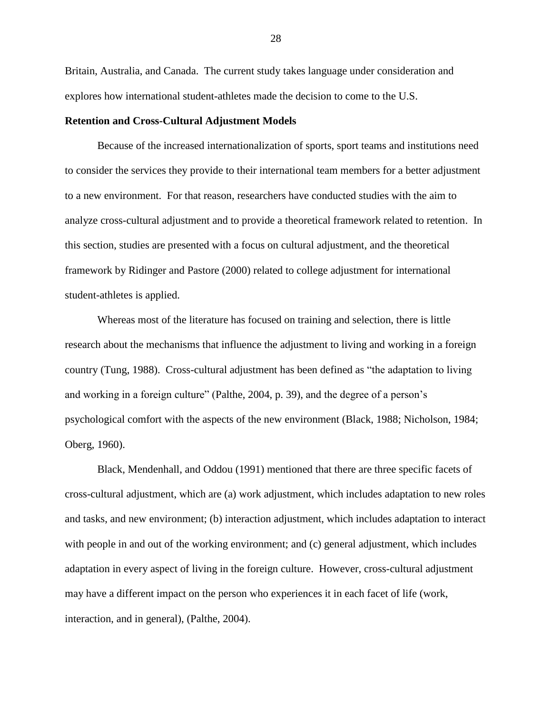Britain, Australia, and Canada. The current study takes language under consideration and explores how international student-athletes made the decision to come to the U.S.

#### **Retention and Cross-Cultural Adjustment Models**

Because of the increased internationalization of sports, sport teams and institutions need to consider the services they provide to their international team members for a better adjustment to a new environment. For that reason, researchers have conducted studies with the aim to analyze cross-cultural adjustment and to provide a theoretical framework related to retention. In this section, studies are presented with a focus on cultural adjustment, and the theoretical framework by Ridinger and Pastore (2000) related to college adjustment for international student-athletes is applied.

Whereas most of the literature has focused on training and selection, there is little research about the mechanisms that influence the adjustment to living and working in a foreign country (Tung, 1988). Cross-cultural adjustment has been defined as "the adaptation to living and working in a foreign culture" (Palthe, 2004, p. 39), and the degree of a person"s psychological comfort with the aspects of the new environment (Black, 1988; Nicholson, 1984; Oberg, 1960).

Black, Mendenhall, and Oddou (1991) mentioned that there are three specific facets of cross-cultural adjustment, which are (a) work adjustment, which includes adaptation to new roles and tasks, and new environment; (b) interaction adjustment, which includes adaptation to interact with people in and out of the working environment; and (c) general adjustment, which includes adaptation in every aspect of living in the foreign culture. However, cross-cultural adjustment may have a different impact on the person who experiences it in each facet of life (work, interaction, and in general), (Palthe, 2004).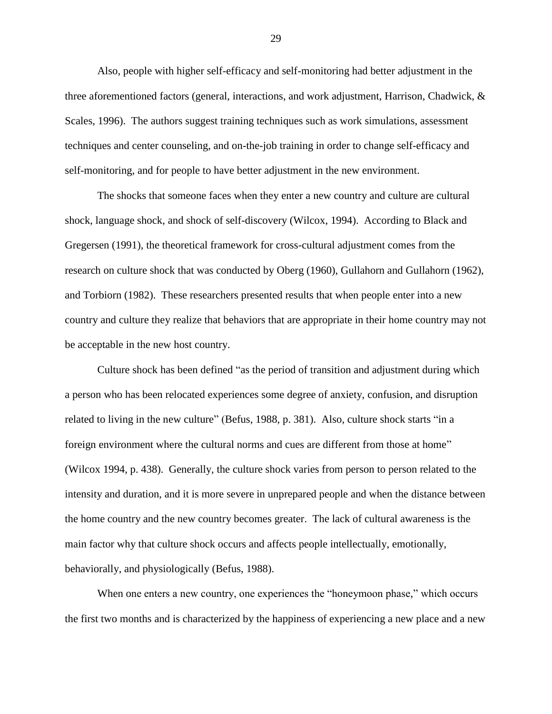Also, people with higher self-efficacy and self-monitoring had better adjustment in the three aforementioned factors (general, interactions, and work adjustment, Harrison, Chadwick, & Scales, 1996). The authors suggest training techniques such as work simulations, assessment techniques and center counseling, and on-the-job training in order to change self-efficacy and self-monitoring, and for people to have better adjustment in the new environment.

The shocks that someone faces when they enter a new country and culture are cultural shock, language shock, and shock of self-discovery (Wilcox, 1994). According to Black and Gregersen (1991), the theoretical framework for cross-cultural adjustment comes from the research on culture shock that was conducted by Oberg (1960), Gullahorn and Gullahorn (1962), and Torbiorn (1982). These researchers presented results that when people enter into a new country and culture they realize that behaviors that are appropriate in their home country may not be acceptable in the new host country.

Culture shock has been defined "as the period of transition and adjustment during which a person who has been relocated experiences some degree of anxiety, confusion, and disruption related to living in the new culture" (Befus, 1988, p. 381). Also, culture shock starts "in a foreign environment where the cultural norms and cues are different from those at home" (Wilcox 1994, p. 438). Generally, the culture shock varies from person to person related to the intensity and duration, and it is more severe in unprepared people and when the distance between the home country and the new country becomes greater. The lack of cultural awareness is the main factor why that culture shock occurs and affects people intellectually, emotionally, behaviorally, and physiologically (Befus, 1988).

When one enters a new country, one experiences the "honeymoon phase," which occurs the first two months and is characterized by the happiness of experiencing a new place and a new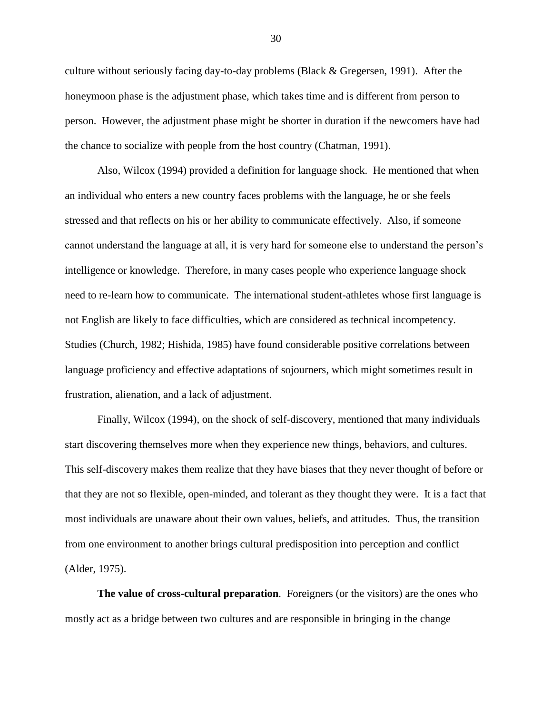culture without seriously facing day-to-day problems (Black & Gregersen, 1991). After the honeymoon phase is the adjustment phase, which takes time and is different from person to person. However, the adjustment phase might be shorter in duration if the newcomers have had the chance to socialize with people from the host country (Chatman, 1991).

Also, Wilcox (1994) provided a definition for language shock. He mentioned that when an individual who enters a new country faces problems with the language, he or she feels stressed and that reflects on his or her ability to communicate effectively. Also, if someone cannot understand the language at all, it is very hard for someone else to understand the person"s intelligence or knowledge. Therefore, in many cases people who experience language shock need to re-learn how to communicate. The international student-athletes whose first language is not English are likely to face difficulties, which are considered as technical incompetency. Studies (Church, 1982; Hishida, 1985) have found considerable positive correlations between language proficiency and effective adaptations of sojourners, which might sometimes result in frustration, alienation, and a lack of adjustment.

Finally, Wilcox (1994), on the shock of self-discovery, mentioned that many individuals start discovering themselves more when they experience new things, behaviors, and cultures. This self-discovery makes them realize that they have biases that they never thought of before or that they are not so flexible, open-minded, and tolerant as they thought they were. It is a fact that most individuals are unaware about their own values, beliefs, and attitudes. Thus, the transition from one environment to another brings cultural predisposition into perception and conflict (Alder, 1975).

**The value of cross-cultural preparation***.* Foreigners (or the visitors) are the ones who mostly act as a bridge between two cultures and are responsible in bringing in the change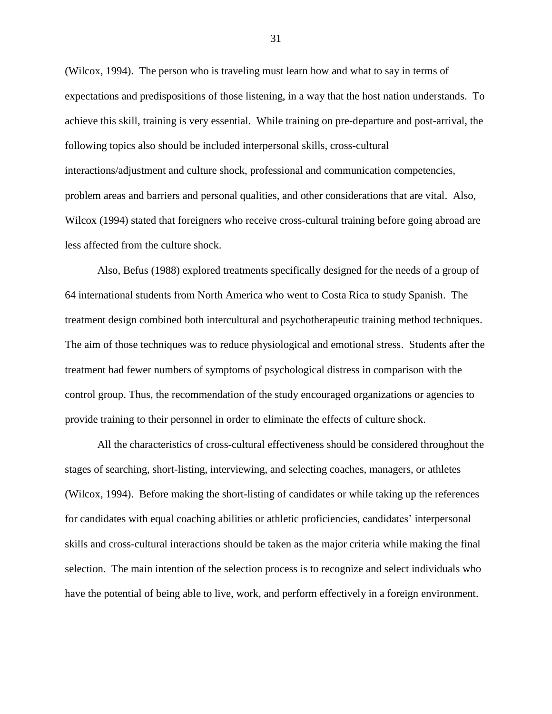(Wilcox, 1994). The person who is traveling must learn how and what to say in terms of expectations and predispositions of those listening, in a way that the host nation understands. To achieve this skill, training is very essential. While training on pre-departure and post-arrival, the following topics also should be included interpersonal skills, cross-cultural interactions/adjustment and culture shock, professional and communication competencies, problem areas and barriers and personal qualities, and other considerations that are vital. Also, Wilcox (1994) stated that foreigners who receive cross-cultural training before going abroad are less affected from the culture shock.

Also, Befus (1988) explored treatments specifically designed for the needs of a group of 64 international students from North America who went to Costa Rica to study Spanish. The treatment design combined both intercultural and psychotherapeutic training method techniques. The aim of those techniques was to reduce physiological and emotional stress. Students after the treatment had fewer numbers of symptoms of psychological distress in comparison with the control group. Thus, the recommendation of the study encouraged organizations or agencies to provide training to their personnel in order to eliminate the effects of culture shock.

All the characteristics of cross-cultural effectiveness should be considered throughout the stages of searching, short-listing, interviewing, and selecting coaches, managers, or athletes (Wilcox, 1994). Before making the short-listing of candidates or while taking up the references for candidates with equal coaching abilities or athletic proficiencies, candidates' interpersonal skills and cross-cultural interactions should be taken as the major criteria while making the final selection. The main intention of the selection process is to recognize and select individuals who have the potential of being able to live, work, and perform effectively in a foreign environment.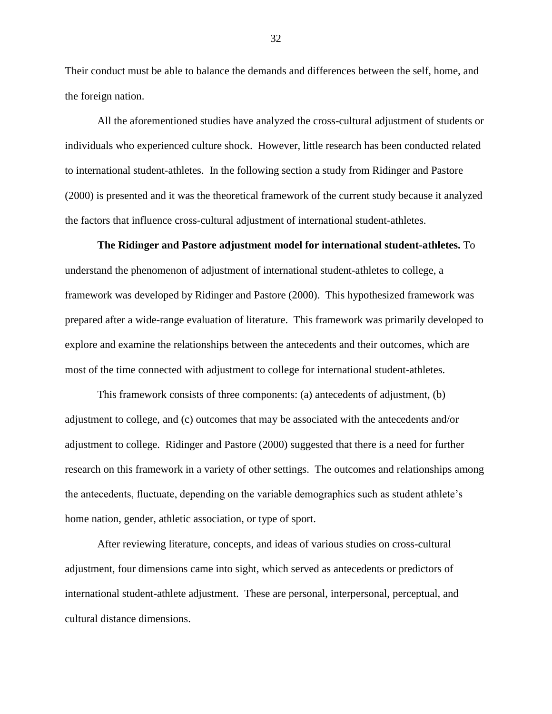Their conduct must be able to balance the demands and differences between the self, home, and the foreign nation.

All the aforementioned studies have analyzed the cross-cultural adjustment of students or individuals who experienced culture shock. However, little research has been conducted related to international student-athletes. In the following section a study from Ridinger and Pastore (2000) is presented and it was the theoretical framework of the current study because it analyzed the factors that influence cross-cultural adjustment of international student-athletes.

**The Ridinger and Pastore adjustment model for international student-athletes.** To understand the phenomenon of adjustment of international student-athletes to college, a framework was developed by Ridinger and Pastore (2000). This hypothesized framework was prepared after a wide-range evaluation of literature. This framework was primarily developed to explore and examine the relationships between the antecedents and their outcomes, which are most of the time connected with adjustment to college for international student-athletes.

This framework consists of three components: (a) antecedents of adjustment, (b) adjustment to college, and (c) outcomes that may be associated with the antecedents and/or adjustment to college. Ridinger and Pastore (2000) suggested that there is a need for further research on this framework in a variety of other settings. The outcomes and relationships among the antecedents, fluctuate, depending on the variable demographics such as student athlete"s home nation, gender, athletic association, or type of sport.

After reviewing literature, concepts, and ideas of various studies on cross-cultural adjustment, four dimensions came into sight, which served as antecedents or predictors of international student-athlete adjustment. These are personal, interpersonal, perceptual, and cultural distance dimensions.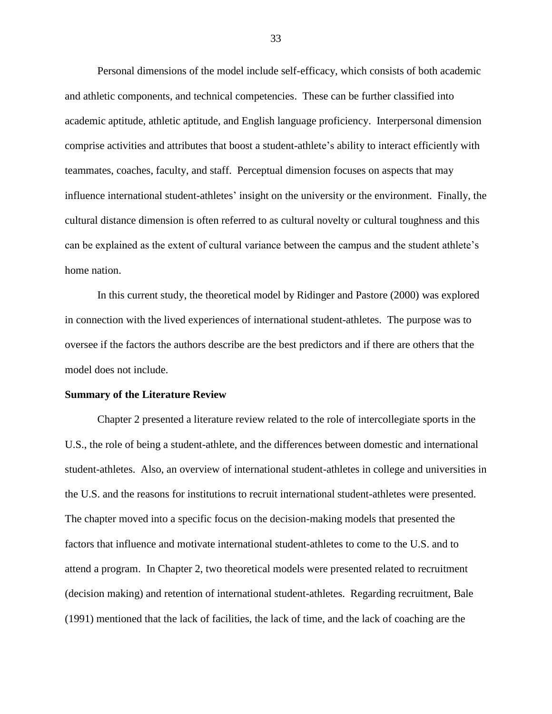Personal dimensions of the model include self-efficacy, which consists of both academic and athletic components, and technical competencies. These can be further classified into academic aptitude, athletic aptitude, and English language proficiency. Interpersonal dimension comprise activities and attributes that boost a student-athlete"s ability to interact efficiently with teammates, coaches, faculty, and staff. Perceptual dimension focuses on aspects that may influence international student-athletes" insight on the university or the environment. Finally, the cultural distance dimension is often referred to as cultural novelty or cultural toughness and this can be explained as the extent of cultural variance between the campus and the student athlete"s home nation.

In this current study, the theoretical model by Ridinger and Pastore (2000) was explored in connection with the lived experiences of international student-athletes. The purpose was to oversee if the factors the authors describe are the best predictors and if there are others that the model does not include.

#### **Summary of the Literature Review**

Chapter 2 presented a literature review related to the role of intercollegiate sports in the U.S., the role of being a student-athlete, and the differences between domestic and international student-athletes. Also, an overview of international student-athletes in college and universities in the U.S. and the reasons for institutions to recruit international student-athletes were presented. The chapter moved into a specific focus on the decision-making models that presented the factors that influence and motivate international student-athletes to come to the U.S. and to attend a program. In Chapter 2, two theoretical models were presented related to recruitment (decision making) and retention of international student-athletes. Regarding recruitment, Bale (1991) mentioned that the lack of facilities, the lack of time, and the lack of coaching are the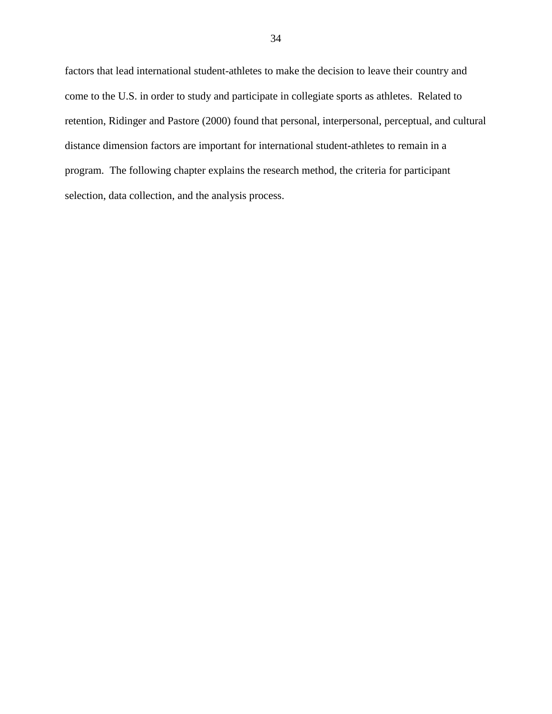factors that lead international student-athletes to make the decision to leave their country and come to the U.S. in order to study and participate in collegiate sports as athletes. Related to retention, Ridinger and Pastore (2000) found that personal, interpersonal, perceptual, and cultural distance dimension factors are important for international student-athletes to remain in a program. The following chapter explains the research method, the criteria for participant selection, data collection, and the analysis process.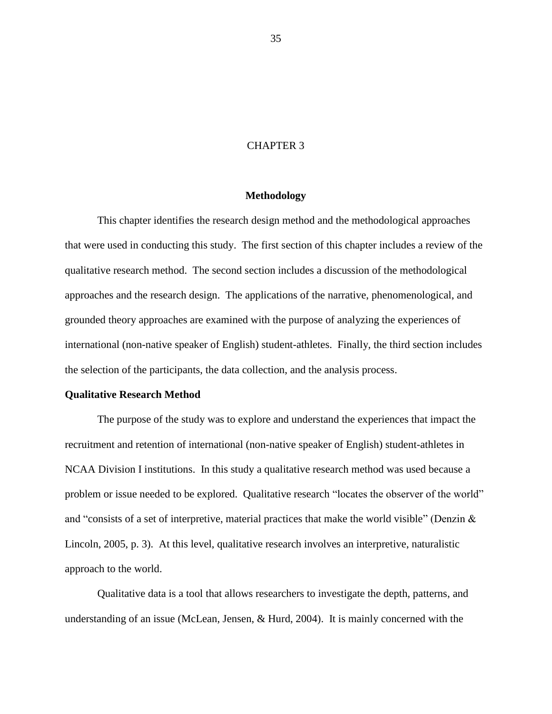## CHAPTER 3

## **Methodology**

This chapter identifies the research design method and the methodological approaches that were used in conducting this study. The first section of this chapter includes a review of the qualitative research method. The second section includes a discussion of the methodological approaches and the research design. The applications of the narrative, phenomenological, and grounded theory approaches are examined with the purpose of analyzing the experiences of international (non-native speaker of English) student-athletes. Finally, the third section includes the selection of the participants, the data collection, and the analysis process.

### **Qualitative Research Method**

The purpose of the study was to explore and understand the experiences that impact the recruitment and retention of international (non-native speaker of English) student-athletes in NCAA Division I institutions. In this study a qualitative research method was used because a problem or issue needed to be explored. Qualitative research "locates the observer of the world" and "consists of a set of interpretive, material practices that make the world visible" (Denzin  $\&$ Lincoln, 2005, p. 3). At this level, qualitative research involves an interpretive, naturalistic approach to the world.

Qualitative data is a tool that allows researchers to investigate the depth, patterns, and understanding of an issue (McLean, Jensen, & Hurd, 2004). It is mainly concerned with the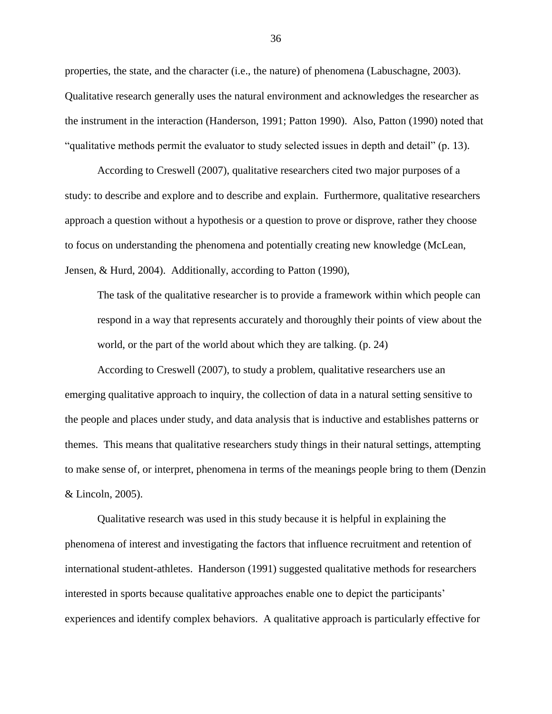properties, the state, and the character (i.e., the nature) of phenomena (Labuschagne, 2003). Qualitative research generally uses the natural environment and acknowledges the researcher as the instrument in the interaction (Handerson, 1991; Patton 1990). Also, Patton (1990) noted that "qualitative methods permit the evaluator to study selected issues in depth and detail" (p. 13).

According to Creswell (2007), qualitative researchers cited two major purposes of a study: to describe and explore and to describe and explain. Furthermore, qualitative researchers approach a question without a hypothesis or a question to prove or disprove, rather they choose to focus on understanding the phenomena and potentially creating new knowledge (McLean, Jensen, & Hurd, 2004). Additionally, according to Patton (1990),

The task of the qualitative researcher is to provide a framework within which people can respond in a way that represents accurately and thoroughly their points of view about the world, or the part of the world about which they are talking. (p. 24)

According to Creswell (2007), to study a problem, qualitative researchers use an emerging qualitative approach to inquiry, the collection of data in a natural setting sensitive to the people and places under study, and data analysis that is inductive and establishes patterns or themes. This means that qualitative researchers study things in their natural settings, attempting to make sense of, or interpret, phenomena in terms of the meanings people bring to them (Denzin & Lincoln, 2005).

Qualitative research was used in this study because it is helpful in explaining the phenomena of interest and investigating the factors that influence recruitment and retention of international student-athletes. Handerson (1991) suggested qualitative methods for researchers interested in sports because qualitative approaches enable one to depict the participants" experiences and identify complex behaviors. A qualitative approach is particularly effective for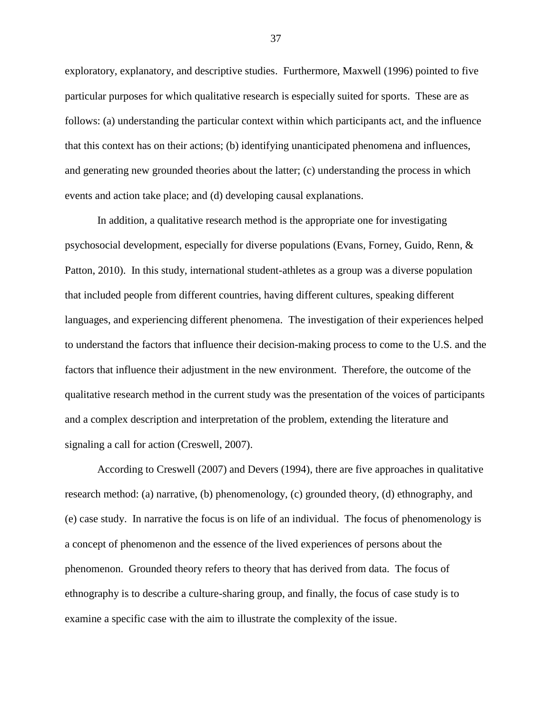exploratory, explanatory, and descriptive studies. Furthermore, Maxwell (1996) pointed to five particular purposes for which qualitative research is especially suited for sports. These are as follows: (a) understanding the particular context within which participants act, and the influence that this context has on their actions; (b) identifying unanticipated phenomena and influences, and generating new grounded theories about the latter; (c) understanding the process in which events and action take place; and (d) developing causal explanations.

In addition, a qualitative research method is the appropriate one for investigating psychosocial development, especially for diverse populations (Evans, Forney, Guido, Renn, & Patton, 2010). In this study, international student-athletes as a group was a diverse population that included people from different countries, having different cultures, speaking different languages, and experiencing different phenomena. The investigation of their experiences helped to understand the factors that influence their decision-making process to come to the U.S. and the factors that influence their adjustment in the new environment. Therefore, the outcome of the qualitative research method in the current study was the presentation of the voices of participants and a complex description and interpretation of the problem, extending the literature and signaling a call for action (Creswell, 2007).

According to Creswell (2007) and Devers (1994), there are five approaches in qualitative research method: (a) narrative, (b) phenomenology, (c) grounded theory, (d) ethnography, and (e) case study. In narrative the focus is on life of an individual. The focus of phenomenology is a concept of phenomenon and the essence of the lived experiences of persons about the phenomenon. Grounded theory refers to theory that has derived from data. The focus of ethnography is to describe a culture-sharing group, and finally, the focus of case study is to examine a specific case with the aim to illustrate the complexity of the issue.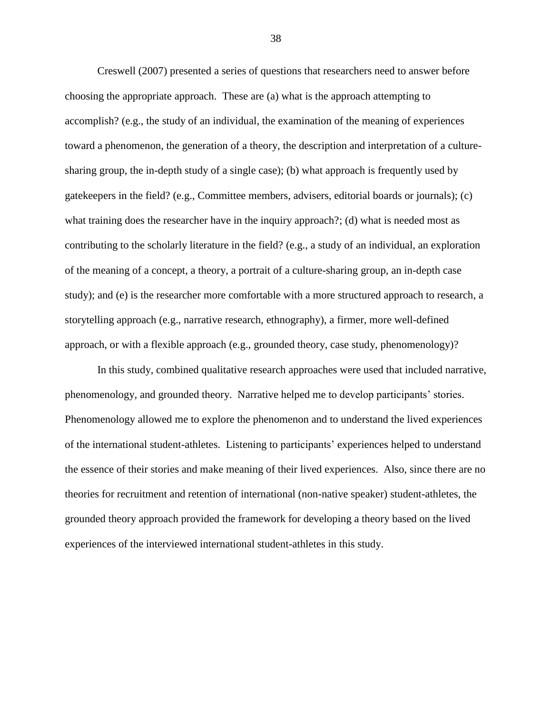Creswell (2007) presented a series of questions that researchers need to answer before choosing the appropriate approach. These are (a) what is the approach attempting to accomplish? (e.g., the study of an individual, the examination of the meaning of experiences toward a phenomenon, the generation of a theory, the description and interpretation of a culturesharing group, the in-depth study of a single case); (b) what approach is frequently used by gatekeepers in the field? (e.g., Committee members, advisers, editorial boards or journals); (c) what training does the researcher have in the inquiry approach?; (d) what is needed most as contributing to the scholarly literature in the field? (e.g., a study of an individual, an exploration of the meaning of a concept, a theory, a portrait of a culture-sharing group, an in-depth case study); and (e) is the researcher more comfortable with a more structured approach to research, a storytelling approach (e.g., narrative research, ethnography), a firmer, more well-defined approach, or with a flexible approach (e.g., grounded theory, case study, phenomenology)?

In this study, combined qualitative research approaches were used that included narrative, phenomenology, and grounded theory. Narrative helped me to develop participants" stories. Phenomenology allowed me to explore the phenomenon and to understand the lived experiences of the international student-athletes. Listening to participants" experiences helped to understand the essence of their stories and make meaning of their lived experiences. Also, since there are no theories for recruitment and retention of international (non-native speaker) student-athletes, the grounded theory approach provided the framework for developing a theory based on the lived experiences of the interviewed international student-athletes in this study.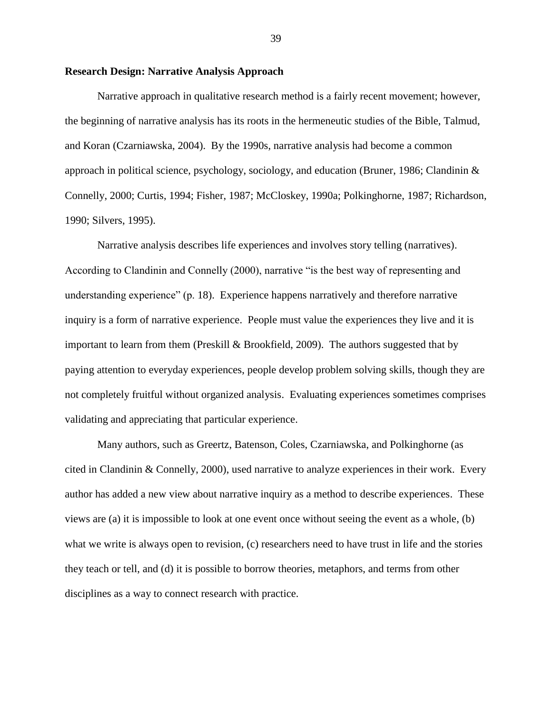## **Research Design: Narrative Analysis Approach**

Narrative approach in qualitative research method is a fairly recent movement; however, the beginning of narrative analysis has its roots in the hermeneutic studies of the Bible, Talmud, and Koran (Czarniawska, 2004). By the 1990s, narrative analysis had become a common approach in political science, psychology, sociology, and education (Bruner, 1986; Clandinin  $\&$ Connelly, 2000; Curtis, 1994; Fisher, 1987; McCloskey, 1990a; Polkinghorne, 1987; Richardson, 1990; Silvers, 1995).

Narrative analysis describes life experiences and involves story telling (narratives). According to Clandinin and Connelly (2000), narrative "is the best way of representing and understanding experience" (p. 18). Experience happens narratively and therefore narrative inquiry is a form of narrative experience. People must value the experiences they live and it is important to learn from them (Preskill & Brookfield, 2009). The authors suggested that by paying attention to everyday experiences, people develop problem solving skills, though they are not completely fruitful without organized analysis. Evaluating experiences sometimes comprises validating and appreciating that particular experience.

Many authors, such as Greertz, Batenson, Coles, Czarniawska, and Polkinghorne (as cited in Clandinin & Connelly, 2000), used narrative to analyze experiences in their work. Every author has added a new view about narrative inquiry as a method to describe experiences. These views are (a) it is impossible to look at one event once without seeing the event as a whole, (b) what we write is always open to revision, (c) researchers need to have trust in life and the stories they teach or tell, and (d) it is possible to borrow theories, metaphors, and terms from other disciplines as a way to connect research with practice.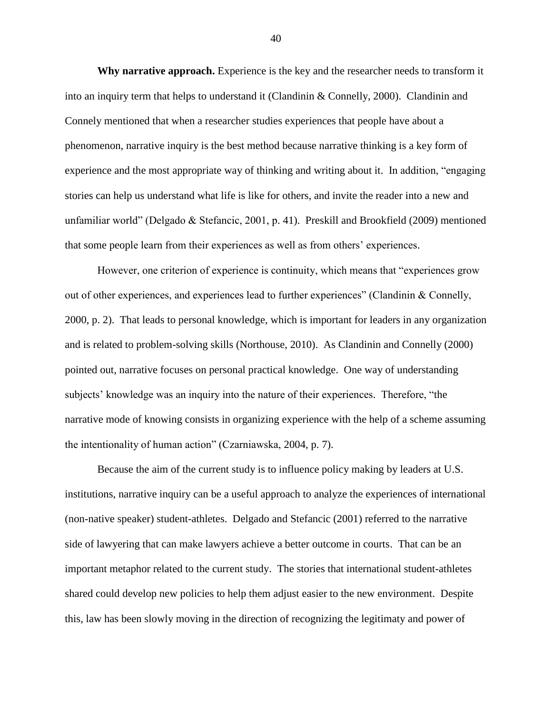**Why narrative approach.** Experience is the key and the researcher needs to transform it into an inquiry term that helps to understand it (Clandinin & Connelly, 2000). Clandinin and Connely mentioned that when a researcher studies experiences that people have about a phenomenon, narrative inquiry is the best method because narrative thinking is a key form of experience and the most appropriate way of thinking and writing about it. In addition, "engaging stories can help us understand what life is like for others, and invite the reader into a new and unfamiliar world" (Delgado & Stefancic, 2001, p. 41). Preskill and Brookfield (2009) mentioned that some people learn from their experiences as well as from others" experiences.

However, one criterion of experience is continuity, which means that "experiences grow out of other experiences, and experiences lead to further experiences" (Clandinin & Connelly, 2000, p. 2). That leads to personal knowledge, which is important for leaders in any organization and is related to problem-solving skills (Northouse, 2010). As Clandinin and Connelly (2000) pointed out, narrative focuses on personal practical knowledge. One way of understanding subjects' knowledge was an inquiry into the nature of their experiences. Therefore, "the narrative mode of knowing consists in organizing experience with the help of a scheme assuming the intentionality of human action" (Czarniawska, 2004, p. 7).

Because the aim of the current study is to influence policy making by leaders at U.S. institutions, narrative inquiry can be a useful approach to analyze the experiences of international (non-native speaker) student-athletes. Delgado and Stefancic (2001) referred to the narrative side of lawyering that can make lawyers achieve a better outcome in courts. That can be an important metaphor related to the current study. The stories that international student-athletes shared could develop new policies to help them adjust easier to the new environment. Despite this, law has been slowly moving in the direction of recognizing the legitimaty and power of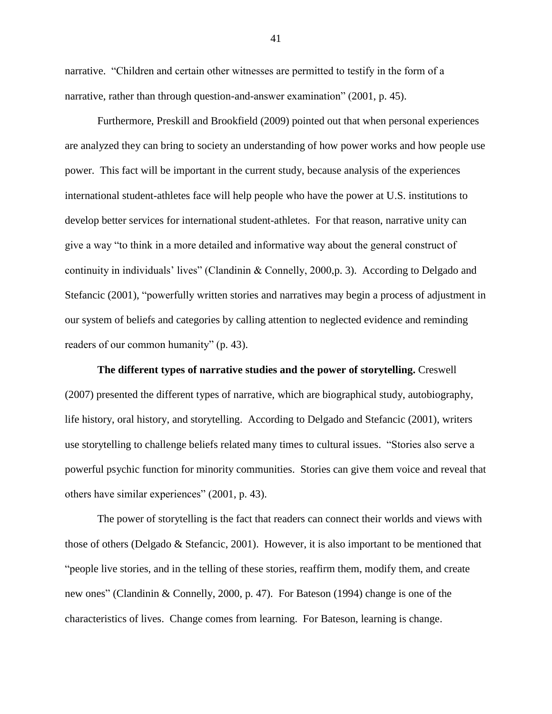narrative. "Children and certain other witnesses are permitted to testify in the form of a narrative, rather than through question-and-answer examination" (2001, p. 45).

Furthermore, Preskill and Brookfield (2009) pointed out that when personal experiences are analyzed they can bring to society an understanding of how power works and how people use power. This fact will be important in the current study, because analysis of the experiences international student-athletes face will help people who have the power at U.S. institutions to develop better services for international student-athletes. For that reason, narrative unity can give a way "to think in a more detailed and informative way about the general construct of continuity in individuals" lives" (Clandinin & Connelly, 2000,p. 3). According to Delgado and Stefancic (2001), "powerfully written stories and narratives may begin a process of adjustment in our system of beliefs and categories by calling attention to neglected evidence and reminding readers of our common humanity" (p. 43).

**The different types of narrative studies and the power of storytelling.** Creswell (2007) presented the different types of narrative, which are biographical study, autobiography, life history, oral history, and storytelling. According to Delgado and Stefancic (2001), writers use storytelling to challenge beliefs related many times to cultural issues. "Stories also serve a powerful psychic function for minority communities. Stories can give them voice and reveal that others have similar experiences" (2001, p. 43).

The power of storytelling is the fact that readers can connect their worlds and views with those of others (Delgado & Stefancic, 2001). However, it is also important to be mentioned that "people live stories, and in the telling of these stories, reaffirm them, modify them, and create new ones" (Clandinin & Connelly, 2000, p. 47). For Bateson (1994) change is one of the characteristics of lives. Change comes from learning. For Bateson, learning is change.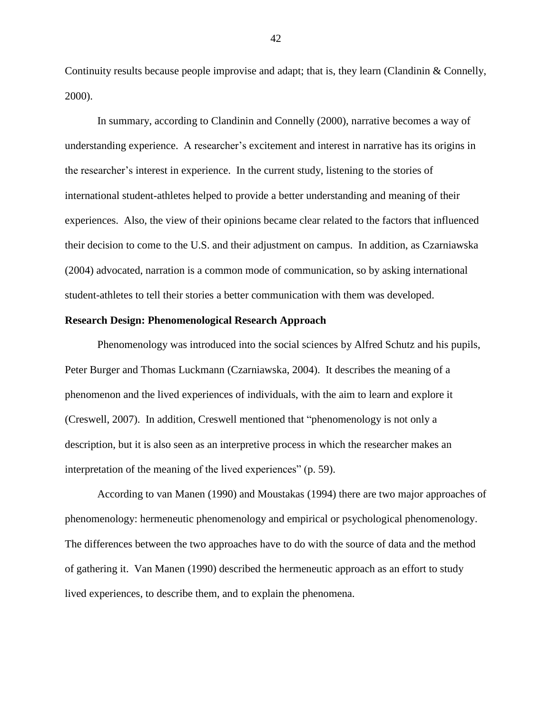Continuity results because people improvise and adapt; that is, they learn (Clandinin & Connelly, 2000).

In summary, according to Clandinin and Connelly (2000), narrative becomes a way of understanding experience. A researcher"s excitement and interest in narrative has its origins in the researcher"s interest in experience. In the current study, listening to the stories of international student-athletes helped to provide a better understanding and meaning of their experiences. Also, the view of their opinions became clear related to the factors that influenced their decision to come to the U.S. and their adjustment on campus. In addition, as Czarniawska (2004) advocated, narration is a common mode of communication, so by asking international student-athletes to tell their stories a better communication with them was developed.

#### **Research Design: Phenomenological Research Approach**

Phenomenology was introduced into the social sciences by Alfred Schutz and his pupils, Peter Burger and Thomas Luckmann (Czarniawska, 2004). It describes the meaning of a phenomenon and the lived experiences of individuals, with the aim to learn and explore it (Creswell, 2007). In addition, Creswell mentioned that "phenomenology is not only a description, but it is also seen as an interpretive process in which the researcher makes an interpretation of the meaning of the lived experiences" (p. 59).

According to van Manen (1990) and Moustakas (1994) there are two major approaches of phenomenology: hermeneutic phenomenology and empirical or psychological phenomenology. The differences between the two approaches have to do with the source of data and the method of gathering it. Van Manen (1990) described the hermeneutic approach as an effort to study lived experiences, to describe them, and to explain the phenomena.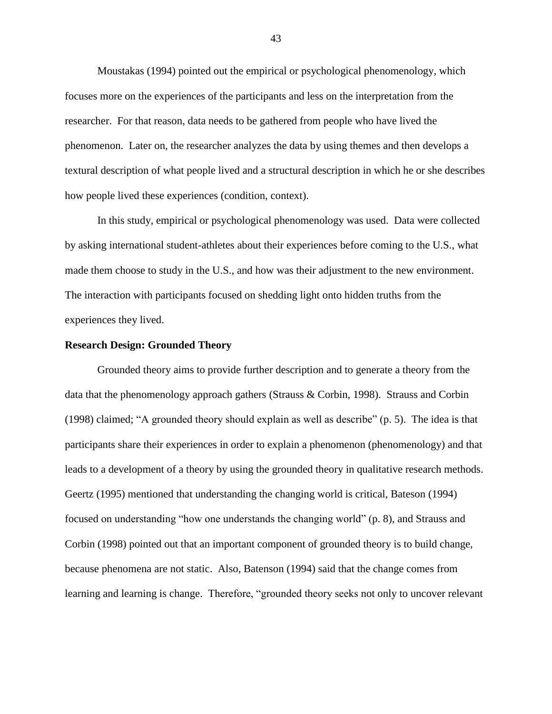Moustakas (1994) pointed out the empirical or psychological phenomenology, which focuses more on the experiences of the participants and less on the interpretation from the researcher. For that reason, data needs to be gathered from people who have lived the phenomenon. Later on, the researcher analyzes the data by using themes and then develops a textural description of what people lived and a structural description in which he or she describes how people lived these experiences (condition, context).

In this study, empirical or psychological phenomenology was used. Data were collected by asking international student-athletes about their experiences before coming to the U.S., what made them choose to study in the U.S., and how was their adjustment to the new environment. The interaction with participants focused on shedding light onto hidden truths from the experiences they lived.

## **Research Design: Grounded Theory**

Grounded theory aims to provide further description and to generate a theory from the data that the phenomenology approach gathers (Strauss & Corbin, 1998). Strauss and Corbin (1998) claimed; "A grounded theory should explain as well as describe" (p. 5). The idea is that participants share their experiences in order to explain a phenomenon (phenomenology) and that leads to a development of a theory by using the grounded theory in qualitative research methods. Geertz (1995) mentioned that understanding the changing world is critical, Bateson (1994) focused on understanding "how one understands the changing world" (p. 8), and Strauss and Corbin (1998) pointed out that an important component of grounded theory is to build change, because phenomena are not static. Also, Batenson (1994) said that the change comes from learning and learning is change. Therefore, "grounded theory seeks not only to uncover relevant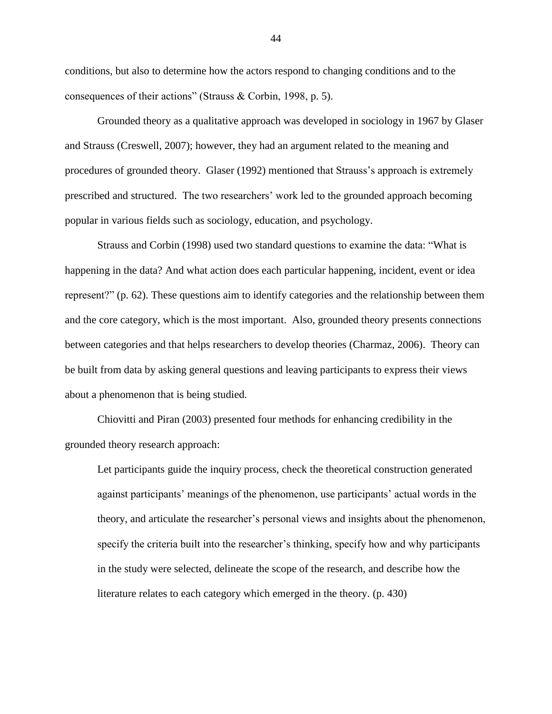conditions, but also to determine how the actors respond to changing conditions and to the consequences of their actions" (Strauss & Corbin, 1998, p. 5).

Grounded theory as a qualitative approach was developed in sociology in 1967 by Glaser and Strauss (Creswell, 2007); however, they had an argument related to the meaning and procedures of grounded theory. Glaser (1992) mentioned that Strauss"s approach is extremely prescribed and structured. The two researchers" work led to the grounded approach becoming popular in various fields such as sociology, education, and psychology.

Strauss and Corbin (1998) used two standard questions to examine the data: "What is happening in the data? And what action does each particular happening, incident, event or idea represent?" (p. 62). These questions aim to identify categories and the relationship between them and the core category, which is the most important. Also, grounded theory presents connections between categories and that helps researchers to develop theories (Charmaz, 2006). Theory can be built from data by asking general questions and leaving participants to express their views about a phenomenon that is being studied.

Chiovitti and Piran (2003) presented four methods for enhancing credibility in the grounded theory research approach:

Let participants guide the inquiry process, check the theoretical construction generated against participants' meanings of the phenomenon, use participants' actual words in the theory, and articulate the researcher"s personal views and insights about the phenomenon, specify the criteria built into the researcher's thinking, specify how and why participants in the study were selected, delineate the scope of the research, and describe how the literature relates to each category which emerged in the theory. (p. 430)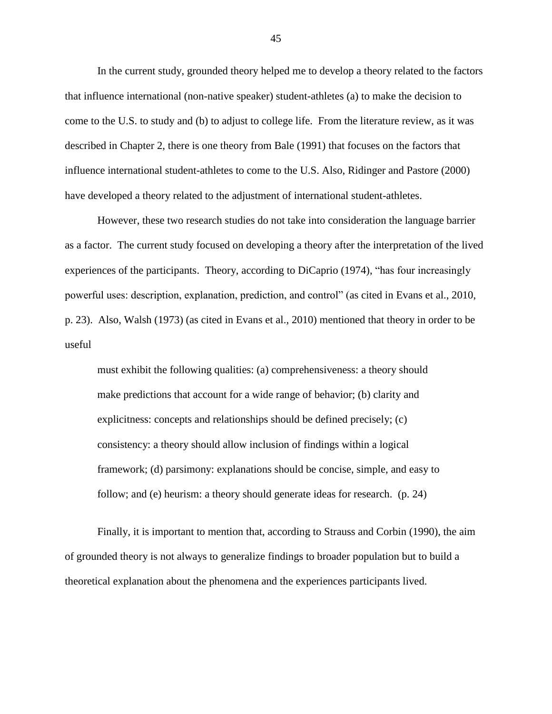In the current study, grounded theory helped me to develop a theory related to the factors that influence international (non-native speaker) student-athletes (a) to make the decision to come to the U.S. to study and (b) to adjust to college life. From the literature review, as it was described in Chapter 2, there is one theory from Bale (1991) that focuses on the factors that influence international student-athletes to come to the U.S. Also, Ridinger and Pastore (2000) have developed a theory related to the adjustment of international student-athletes.

However, these two research studies do not take into consideration the language barrier as a factor. The current study focused on developing a theory after the interpretation of the lived experiences of the participants. Theory, according to DiCaprio (1974), "has four increasingly powerful uses: description, explanation, prediction, and control" (as cited in Evans et al., 2010, p. 23). Also, Walsh (1973) (as cited in Evans et al., 2010) mentioned that theory in order to be useful

must exhibit the following qualities: (a) comprehensiveness: a theory should make predictions that account for a wide range of behavior; (b) clarity and explicitness: concepts and relationships should be defined precisely; (c) consistency: a theory should allow inclusion of findings within a logical framework; (d) parsimony: explanations should be concise, simple, and easy to follow; and (e) heurism: a theory should generate ideas for research. (p. 24)

Finally, it is important to mention that, according to Strauss and Corbin (1990), the aim of grounded theory is not always to generalize findings to broader population but to build a theoretical explanation about the phenomena and the experiences participants lived.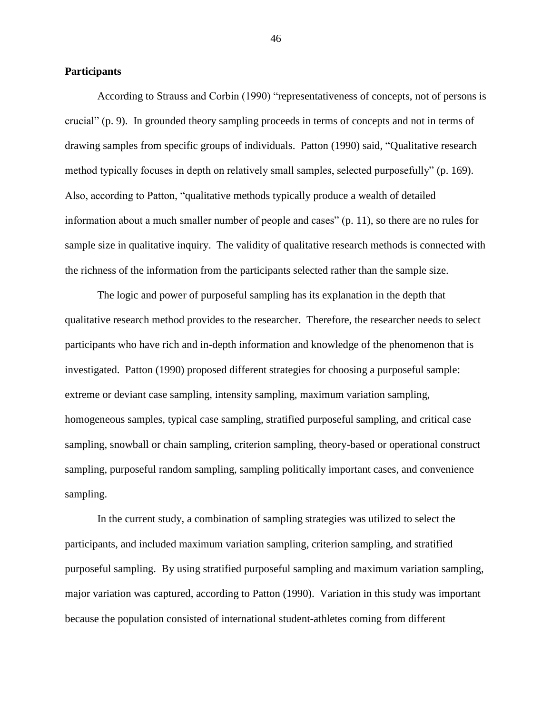### **Participants**

According to Strauss and Corbin (1990) "representativeness of concepts, not of persons is crucial" (p. 9). In grounded theory sampling proceeds in terms of concepts and not in terms of drawing samples from specific groups of individuals. Patton (1990) said, "Qualitative research method typically focuses in depth on relatively small samples, selected purposefully" (p. 169). Also, according to Patton, "qualitative methods typically produce a wealth of detailed information about a much smaller number of people and cases" (p. 11), so there are no rules for sample size in qualitative inquiry. The validity of qualitative research methods is connected with the richness of the information from the participants selected rather than the sample size.

The logic and power of purposeful sampling has its explanation in the depth that qualitative research method provides to the researcher. Therefore, the researcher needs to select participants who have rich and in-depth information and knowledge of the phenomenon that is investigated. Patton (1990) proposed different strategies for choosing a purposeful sample: extreme or deviant case sampling, intensity sampling, maximum variation sampling, homogeneous samples, typical case sampling, stratified purposeful sampling, and critical case sampling, snowball or chain sampling, criterion sampling, theory-based or operational construct sampling, purposeful random sampling, sampling politically important cases, and convenience sampling.

In the current study, a combination of sampling strategies was utilized to select the participants, and included maximum variation sampling, criterion sampling, and stratified purposeful sampling. By using stratified purposeful sampling and maximum variation sampling, major variation was captured, according to Patton (1990). Variation in this study was important because the population consisted of international student-athletes coming from different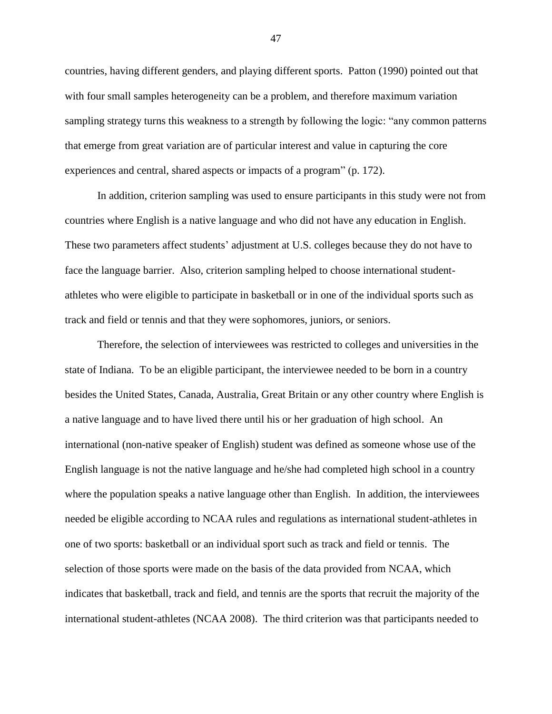countries, having different genders, and playing different sports. Patton (1990) pointed out that with four small samples heterogeneity can be a problem, and therefore maximum variation sampling strategy turns this weakness to a strength by following the logic: "any common patterns that emerge from great variation are of particular interest and value in capturing the core experiences and central, shared aspects or impacts of a program" (p. 172).

In addition, criterion sampling was used to ensure participants in this study were not from countries where English is a native language and who did not have any education in English. These two parameters affect students" adjustment at U.S. colleges because they do not have to face the language barrier. Also, criterion sampling helped to choose international studentathletes who were eligible to participate in basketball or in one of the individual sports such as track and field or tennis and that they were sophomores, juniors, or seniors.

Therefore, the selection of interviewees was restricted to colleges and universities in the state of Indiana. To be an eligible participant, the interviewee needed to be born in a country besides the United States, Canada, Australia, Great Britain or any other country where English is a native language and to have lived there until his or her graduation of high school. An international (non-native speaker of English) student was defined as someone whose use of the English language is not the native language and he/she had completed high school in a country where the population speaks a native language other than English. In addition, the interviewees needed be eligible according to NCAA rules and regulations as international student-athletes in one of two sports: basketball or an individual sport such as track and field or tennis. The selection of those sports were made on the basis of the data provided from NCAA, which indicates that basketball, track and field, and tennis are the sports that recruit the majority of the international student-athletes (NCAA 2008). The third criterion was that participants needed to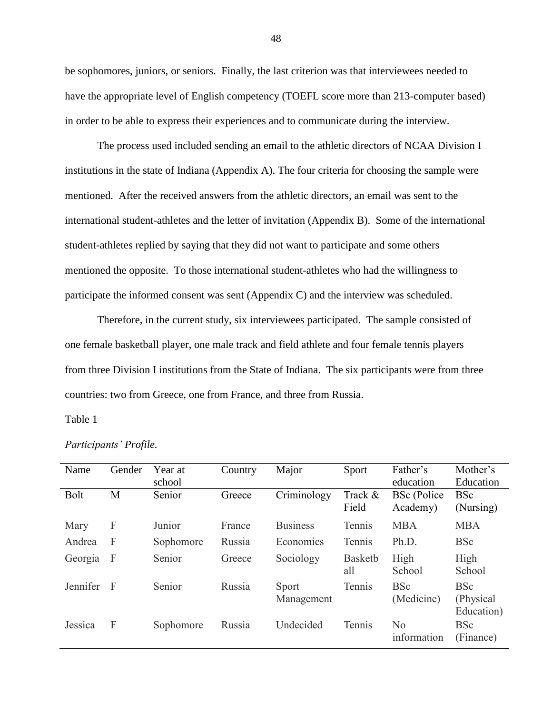be sophomores, juniors, or seniors. Finally, the last criterion was that interviewees needed to have the appropriate level of English competency (TOEFL score more than 213-computer based) in order to be able to express their experiences and to communicate during the interview.

The process used included sending an email to the athletic directors of NCAA Division I institutions in the state of Indiana (Appendix A). The four criteria for choosing the sample were mentioned. After the received answers from the athletic directors, an email was sent to the international student-athletes and the letter of invitation (Appendix B). Some of the international student-athletes replied by saying that they did not want to participate and some others mentioned the opposite. To those international student-athletes who had the willingness to participate the informed consent was sent (Appendix C) and the interview was scheduled.

Therefore, in the current study, six interviewees participated. The sample consisted of one female basketball player, one male track and field athlete and four female tennis players from three Division I institutions from the State of Indiana. The six participants were from three countries: two from Greece, one from France, and three from Russia.

# Table 1

| Name        | Gender       | Year at<br>school | Country | Major               | Sport                 | Father's<br>education          | Mother's<br>Education                  |
|-------------|--------------|-------------------|---------|---------------------|-----------------------|--------------------------------|----------------------------------------|
| <b>Bolt</b> | M            | Senior            | Greece  | Criminology         | Track &<br>Field      | <b>BSc</b> (Police<br>Academy) | <b>BSc</b><br>(Nursing)                |
| Mary        | F            | Junior            | France  | <b>Business</b>     | Tennis                | <b>MBA</b>                     | <b>MBA</b>                             |
| Andrea      | $\mathbf{F}$ | Sophomore         | Russia  | Economics           | Tennis                | Ph.D.                          | <b>BSc</b>                             |
| Georgia     | F            | Senior            | Greece  | Sociology           | <b>Basketb</b><br>all | High<br>School                 | High<br>School                         |
| Jennifer    | $\mathbf F$  | Senior            | Russia  | Sport<br>Management | Tennis                | <b>BSc</b><br>(Medicine)       | <b>BSc</b><br>(Physical)<br>Education) |
| Jessica     | F            | Sophomore         | Russia  | Undecided           | Tennis                | No<br>information              | <b>BSc</b><br>(Finance)                |

# *Participants' Profile.*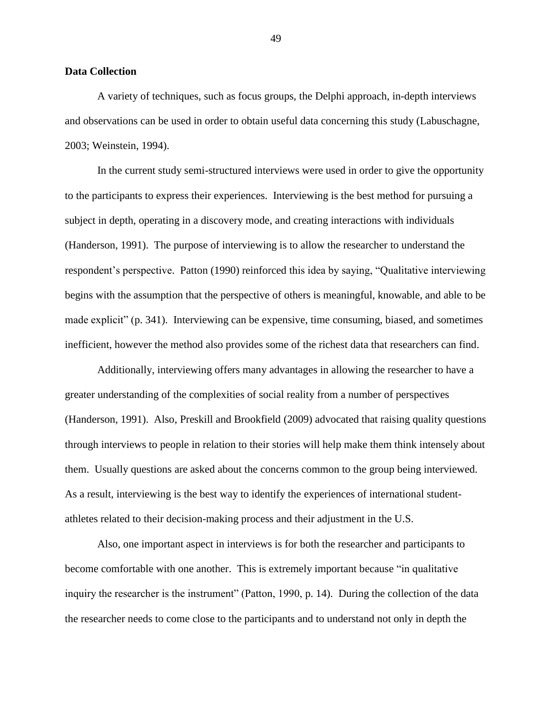#### **Data Collection**

A variety of techniques, such as focus groups, the Delphi approach, in-depth interviews and observations can be used in order to obtain useful data concerning this study (Labuschagne, 2003; Weinstein, 1994).

In the current study semi-structured interviews were used in order to give the opportunity to the participants to express their experiences. Interviewing is the best method for pursuing a subject in depth, operating in a discovery mode, and creating interactions with individuals (Handerson, 1991). The purpose of interviewing is to allow the researcher to understand the respondent"s perspective. Patton (1990) reinforced this idea by saying, "Qualitative interviewing begins with the assumption that the perspective of others is meaningful, knowable, and able to be made explicit" (p. 341). Interviewing can be expensive, time consuming, biased, and sometimes inefficient, however the method also provides some of the richest data that researchers can find.

Additionally, interviewing offers many advantages in allowing the researcher to have a greater understanding of the complexities of social reality from a number of perspectives (Handerson, 1991). Also, Preskill and Brookfield (2009) advocated that raising quality questions through interviews to people in relation to their stories will help make them think intensely about them. Usually questions are asked about the concerns common to the group being interviewed. As a result, interviewing is the best way to identify the experiences of international studentathletes related to their decision-making process and their adjustment in the U.S.

Also, one important aspect in interviews is for both the researcher and participants to become comfortable with one another. This is extremely important because "in qualitative inquiry the researcher is the instrument" (Patton, 1990, p. 14). During the collection of the data the researcher needs to come close to the participants and to understand not only in depth the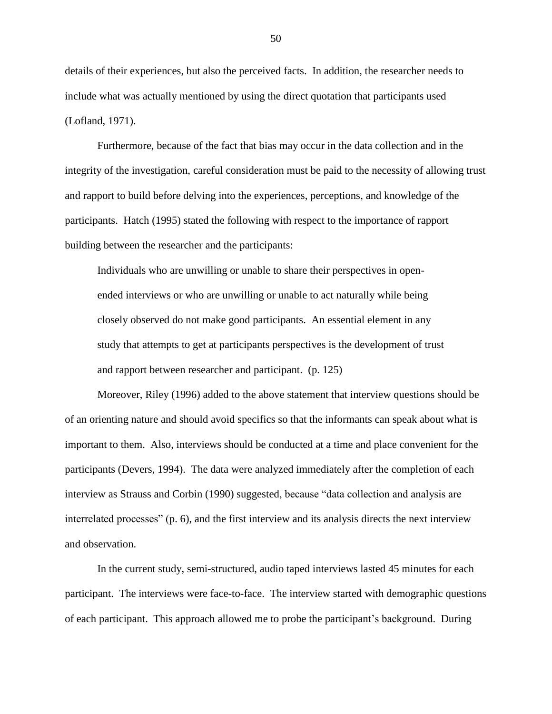details of their experiences, but also the perceived facts. In addition, the researcher needs to include what was actually mentioned by using the direct quotation that participants used (Lofland, 1971).

Furthermore, because of the fact that bias may occur in the data collection and in the integrity of the investigation, careful consideration must be paid to the necessity of allowing trust and rapport to build before delving into the experiences, perceptions, and knowledge of the participants. Hatch (1995) stated the following with respect to the importance of rapport building between the researcher and the participants:

Individuals who are unwilling or unable to share their perspectives in openended interviews or who are unwilling or unable to act naturally while being closely observed do not make good participants. An essential element in any study that attempts to get at participants perspectives is the development of trust and rapport between researcher and participant. (p. 125)

Moreover, Riley (1996) added to the above statement that interview questions should be of an orienting nature and should avoid specifics so that the informants can speak about what is important to them. Also, interviews should be conducted at a time and place convenient for the participants (Devers, 1994). The data were analyzed immediately after the completion of each interview as Strauss and Corbin (1990) suggested, because "data collection and analysis are interrelated processes" (p. 6), and the first interview and its analysis directs the next interview and observation.

In the current study, semi-structured, audio taped interviews lasted 45 minutes for each participant. The interviews were face-to-face. The interview started with demographic questions of each participant. This approach allowed me to probe the participant"s background. During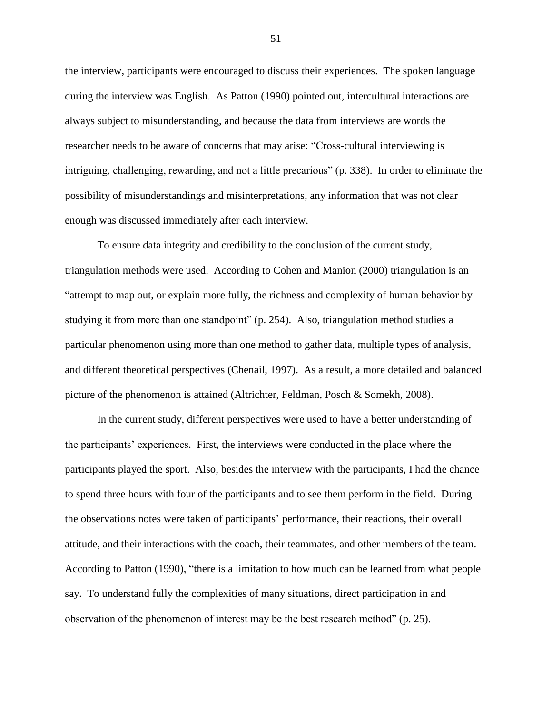the interview, participants were encouraged to discuss their experiences. The spoken language during the interview was English. As Patton (1990) pointed out, intercultural interactions are always subject to misunderstanding, and because the data from interviews are words the researcher needs to be aware of concerns that may arise: "Cross-cultural interviewing is intriguing, challenging, rewarding, and not a little precarious" (p. 338). In order to eliminate the possibility of misunderstandings and misinterpretations, any information that was not clear enough was discussed immediately after each interview.

To ensure data integrity and credibility to the conclusion of the current study, triangulation methods were used. According to Cohen and Manion (2000) triangulation is an "attempt to map out, or explain more fully, the richness and complexity of human behavior by studying it from more than one standpoint" (p. 254). Also, triangulation method studies a particular phenomenon using more than one method to gather data, multiple types of analysis, and different theoretical perspectives (Chenail, 1997). As a result, a more detailed and balanced picture of the phenomenon is attained (Altrichter, Feldman, Posch & Somekh, 2008).

In the current study, different perspectives were used to have a better understanding of the participants" experiences. First, the interviews were conducted in the place where the participants played the sport. Also, besides the interview with the participants, I had the chance to spend three hours with four of the participants and to see them perform in the field. During the observations notes were taken of participants" performance, their reactions, their overall attitude, and their interactions with the coach, their teammates, and other members of the team. According to Patton (1990), "there is a limitation to how much can be learned from what people say. To understand fully the complexities of many situations, direct participation in and observation of the phenomenon of interest may be the best research method" (p. 25).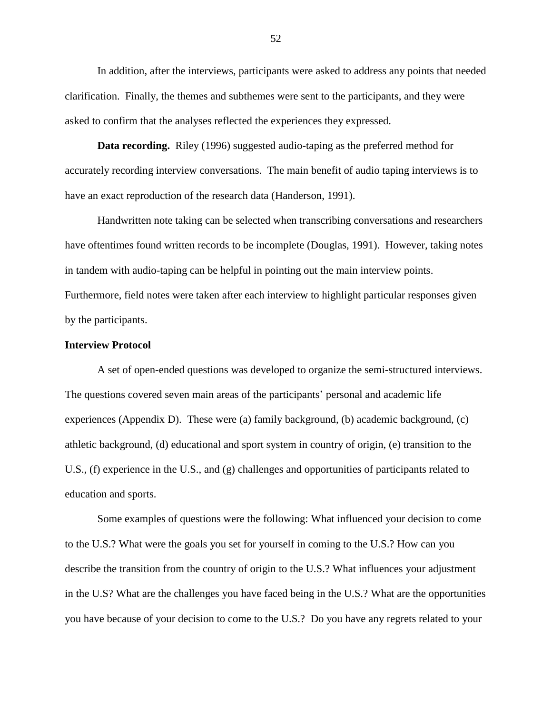In addition, after the interviews, participants were asked to address any points that needed clarification. Finally, the themes and subthemes were sent to the participants, and they were asked to confirm that the analyses reflected the experiences they expressed.

**Data recording.** Riley (1996) suggested audio-taping as the preferred method for accurately recording interview conversations. The main benefit of audio taping interviews is to have an exact reproduction of the research data (Handerson, 1991).

Handwritten note taking can be selected when transcribing conversations and researchers have oftentimes found written records to be incomplete (Douglas, 1991). However, taking notes in tandem with audio-taping can be helpful in pointing out the main interview points. Furthermore, field notes were taken after each interview to highlight particular responses given by the participants.

## **Interview Protocol**

A set of open-ended questions was developed to organize the semi-structured interviews. The questions covered seven main areas of the participants" personal and academic life experiences (Appendix D). These were (a) family background, (b) academic background, (c) athletic background, (d) educational and sport system in country of origin, (e) transition to the U.S., (f) experience in the U.S., and (g) challenges and opportunities of participants related to education and sports.

Some examples of questions were the following: What influenced your decision to come to the U.S.? What were the goals you set for yourself in coming to the U.S.? How can you describe the transition from the country of origin to the U.S.? What influences your adjustment in the U.S? What are the challenges you have faced being in the U.S.? What are the opportunities you have because of your decision to come to the U.S.? Do you have any regrets related to your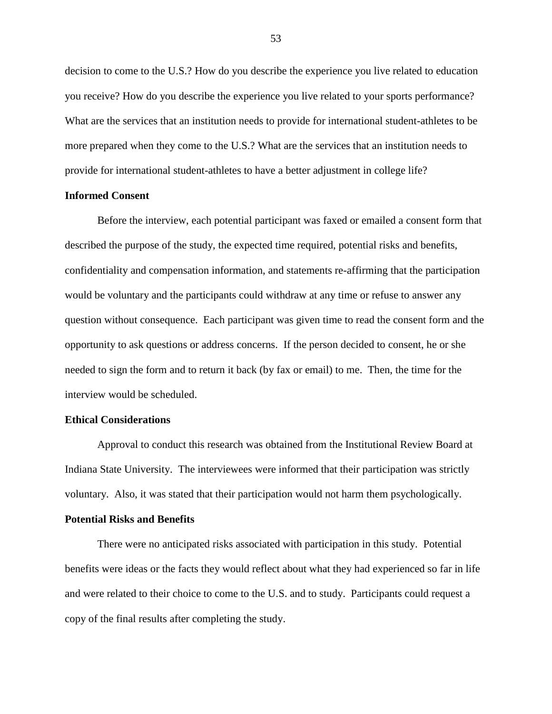decision to come to the U.S.? How do you describe the experience you live related to education you receive? How do you describe the experience you live related to your sports performance? What are the services that an institution needs to provide for international student-athletes to be more prepared when they come to the U.S.? What are the services that an institution needs to provide for international student-athletes to have a better adjustment in college life?

#### **Informed Consent**

Before the interview, each potential participant was faxed or emailed a consent form that described the purpose of the study, the expected time required, potential risks and benefits, confidentiality and compensation information, and statements re-affirming that the participation would be voluntary and the participants could withdraw at any time or refuse to answer any question without consequence. Each participant was given time to read the consent form and the opportunity to ask questions or address concerns. If the person decided to consent, he or she needed to sign the form and to return it back (by fax or email) to me. Then, the time for the interview would be scheduled.

## **Ethical Considerations**

Approval to conduct this research was obtained from the Institutional Review Board at Indiana State University. The interviewees were informed that their participation was strictly voluntary. Also, it was stated that their participation would not harm them psychologically.

#### **Potential Risks and Benefits**

There were no anticipated risks associated with participation in this study. Potential benefits were ideas or the facts they would reflect about what they had experienced so far in life and were related to their choice to come to the U.S. and to study. Participants could request a copy of the final results after completing the study.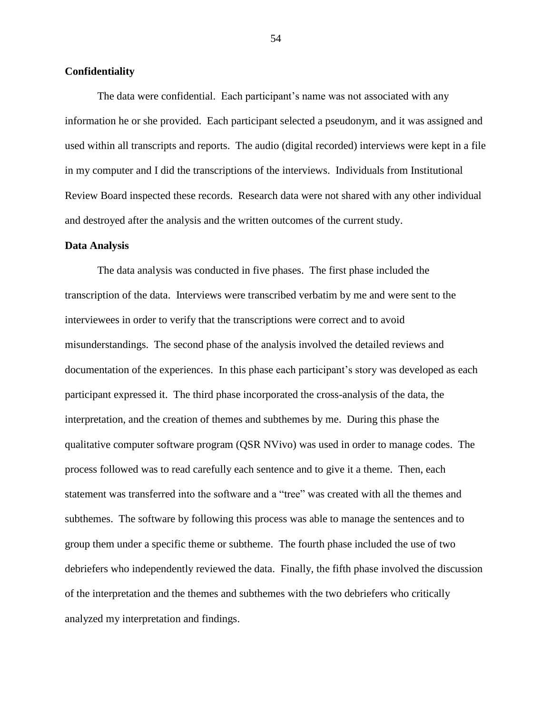## **Confidentiality**

The data were confidential. Each participant's name was not associated with any information he or she provided. Each participant selected a pseudonym, and it was assigned and used within all transcripts and reports. The audio (digital recorded) interviews were kept in a file in my computer and I did the transcriptions of the interviews. Individuals from Institutional Review Board inspected these records. Research data were not shared with any other individual and destroyed after the analysis and the written outcomes of the current study.

#### **Data Analysis**

The data analysis was conducted in five phases. The first phase included the transcription of the data. Interviews were transcribed verbatim by me and were sent to the interviewees in order to verify that the transcriptions were correct and to avoid misunderstandings. The second phase of the analysis involved the detailed reviews and documentation of the experiences. In this phase each participant's story was developed as each participant expressed it. The third phase incorporated the cross-analysis of the data, the interpretation, and the creation of themes and subthemes by me. During this phase the qualitative computer software program (QSR NVivo) was used in order to manage codes. The process followed was to read carefully each sentence and to give it a theme. Then, each statement was transferred into the software and a "tree" was created with all the themes and subthemes. The software by following this process was able to manage the sentences and to group them under a specific theme or subtheme. The fourth phase included the use of two debriefers who independently reviewed the data. Finally, the fifth phase involved the discussion of the interpretation and the themes and subthemes with the two debriefers who critically analyzed my interpretation and findings.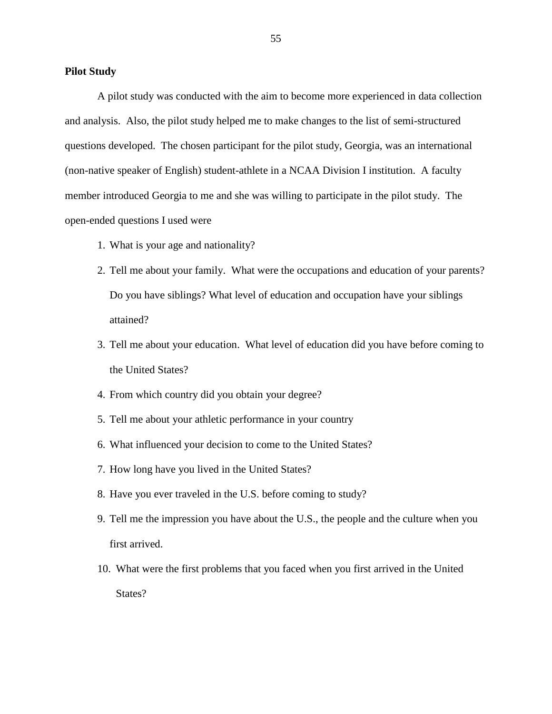## **Pilot Study**

A pilot study was conducted with the aim to become more experienced in data collection and analysis. Also, the pilot study helped me to make changes to the list of semi-structured questions developed. The chosen participant for the pilot study, Georgia, was an international (non-native speaker of English) student-athlete in a NCAA Division I institution. A faculty member introduced Georgia to me and she was willing to participate in the pilot study. The open-ended questions I used were

- 1. What is your age and nationality?
- 2. Tell me about your family. What were the occupations and education of your parents? Do you have siblings? What level of education and occupation have your siblings attained?
- 3. Tell me about your education. What level of education did you have before coming to the United States?
- 4. From which country did you obtain your degree?
- 5. Tell me about your athletic performance in your country
- 6. What influenced your decision to come to the United States?
- 7. How long have you lived in the United States?
- 8. Have you ever traveled in the U.S. before coming to study?
- 9. Tell me the impression you have about the U.S., the people and the culture when you first arrived.
- 10. What were the first problems that you faced when you first arrived in the United States?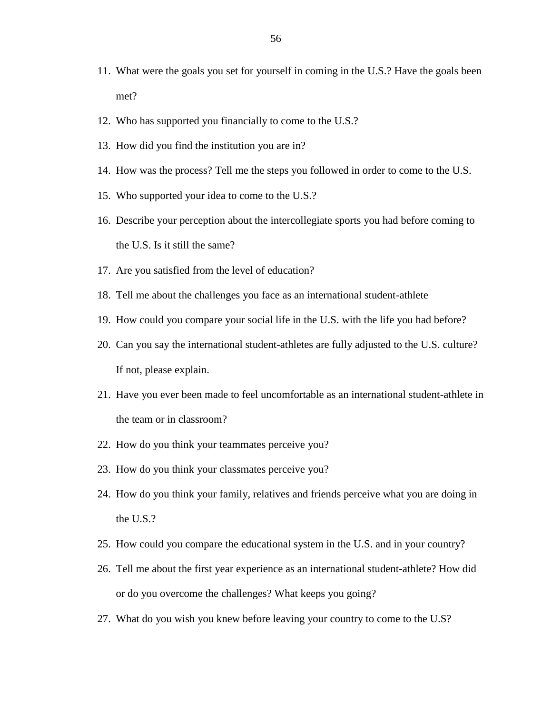- 11. What were the goals you set for yourself in coming in the U.S.? Have the goals been met?
- 12. Who has supported you financially to come to the U.S.?
- 13. How did you find the institution you are in?
- 14. How was the process? Tell me the steps you followed in order to come to the U.S.
- 15. Who supported your idea to come to the U.S.?
- 16. Describe your perception about the intercollegiate sports you had before coming to the U.S. Is it still the same?
- 17. Are you satisfied from the level of education?
- 18. Tell me about the challenges you face as an international student-athlete
- 19. How could you compare your social life in the U.S. with the life you had before?
- 20. Can you say the international student-athletes are fully adjusted to the U.S. culture? If not, please explain.
- 21. Have you ever been made to feel uncomfortable as an international student-athlete in the team or in classroom?
- 22. How do you think your teammates perceive you?
- 23. How do you think your classmates perceive you?
- 24. How do you think your family, relatives and friends perceive what you are doing in the U.S.?
- 25. How could you compare the educational system in the U.S. and in your country?
- 26. Tell me about the first year experience as an international student-athlete? How did or do you overcome the challenges? What keeps you going?
- 27. What do you wish you knew before leaving your country to come to the U.S?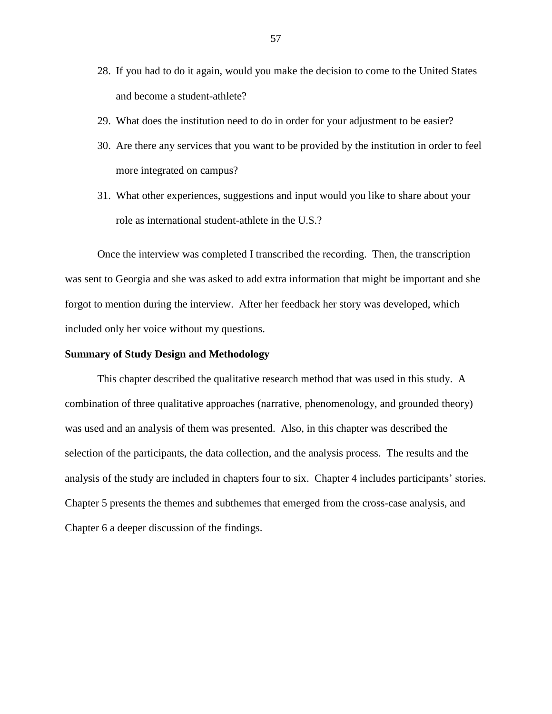- 28. If you had to do it again, would you make the decision to come to the United States and become a student-athlete?
- 29. What does the institution need to do in order for your adjustment to be easier?
- 30. Are there any services that you want to be provided by the institution in order to feel more integrated on campus?
- 31. What other experiences, suggestions and input would you like to share about your role as international student-athlete in the U.S.?

Once the interview was completed I transcribed the recording. Then, the transcription was sent to Georgia and she was asked to add extra information that might be important and she forgot to mention during the interview. After her feedback her story was developed, which included only her voice without my questions.

## **Summary of Study Design and Methodology**

This chapter described the qualitative research method that was used in this study. A combination of three qualitative approaches (narrative, phenomenology, and grounded theory) was used and an analysis of them was presented. Also, in this chapter was described the selection of the participants, the data collection, and the analysis process. The results and the analysis of the study are included in chapters four to six. Chapter 4 includes participants" stories. Chapter 5 presents the themes and subthemes that emerged from the cross-case analysis, and Chapter 6 a deeper discussion of the findings.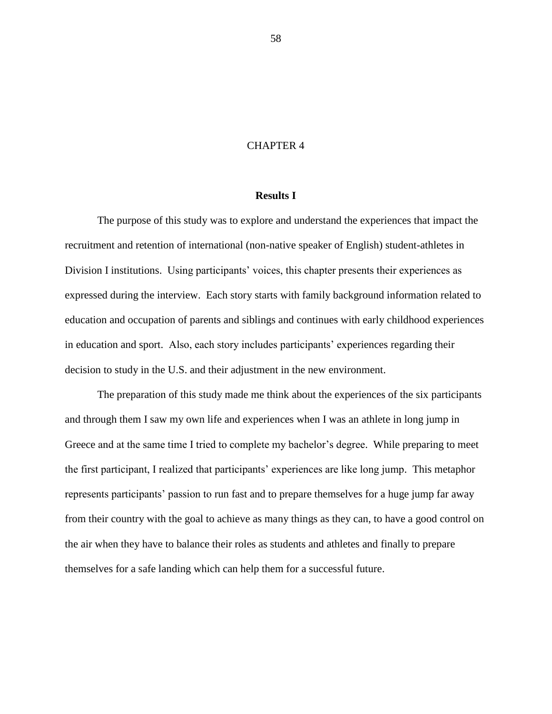## CHAPTER 4

# **Results I**

The purpose of this study was to explore and understand the experiences that impact the recruitment and retention of international (non-native speaker of English) student-athletes in Division I institutions. Using participants' voices, this chapter presents their experiences as expressed during the interview. Each story starts with family background information related to education and occupation of parents and siblings and continues with early childhood experiences in education and sport. Also, each story includes participants' experiences regarding their decision to study in the U.S. and their adjustment in the new environment.

The preparation of this study made me think about the experiences of the six participants and through them I saw my own life and experiences when I was an athlete in long jump in Greece and at the same time I tried to complete my bachelor's degree. While preparing to meet the first participant, I realized that participants" experiences are like long jump. This metaphor represents participants' passion to run fast and to prepare themselves for a huge jump far away from their country with the goal to achieve as many things as they can, to have a good control on the air when they have to balance their roles as students and athletes and finally to prepare themselves for a safe landing which can help them for a successful future.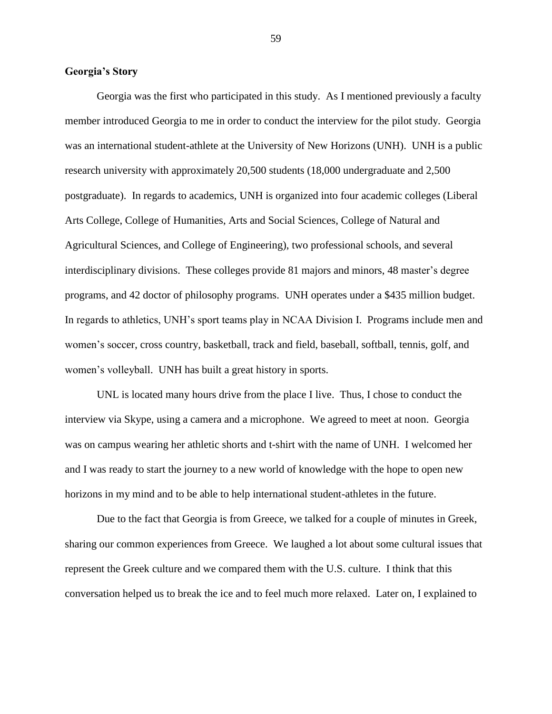## **Georgia's Story**

Georgia was the first who participated in this study. As I mentioned previously a faculty member introduced Georgia to me in order to conduct the interview for the pilot study. Georgia was an international student-athlete at the University of New Horizons (UNH). UNH is a public research university with approximately 20,500 students (18,000 undergraduate and 2,500 postgraduate). In regards to academics, UNH is organized into four academic colleges (Liberal Arts College, College of Humanities, Arts and Social Sciences, College of Natural and Agricultural Sciences, and College of Engineering), two professional schools, and several interdisciplinary divisions. These colleges provide 81 majors and minors, 48 master's degree programs, and 42 doctor of philosophy programs. UNH operates under a \$435 million budget. In regards to athletics, UNH"s sport teams play in NCAA Division I. Programs include men and women"s soccer, cross country, basketball, track and field, baseball, softball, tennis, golf, and women"s volleyball. UNH has built a great history in sports.

UNL is located many hours drive from the place I live. Thus, I chose to conduct the interview via Skype, using a camera and a microphone. We agreed to meet at noon. Georgia was on campus wearing her athletic shorts and t-shirt with the name of UNH. I welcomed her and I was ready to start the journey to a new world of knowledge with the hope to open new horizons in my mind and to be able to help international student-athletes in the future.

Due to the fact that Georgia is from Greece, we talked for a couple of minutes in Greek, sharing our common experiences from Greece. We laughed a lot about some cultural issues that represent the Greek culture and we compared them with the U.S. culture. I think that this conversation helped us to break the ice and to feel much more relaxed. Later on, I explained to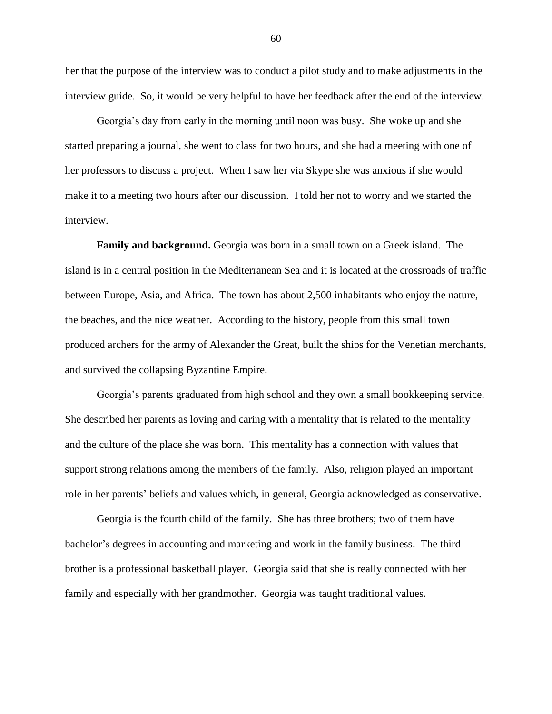her that the purpose of the interview was to conduct a pilot study and to make adjustments in the interview guide. So, it would be very helpful to have her feedback after the end of the interview.

Georgia"s day from early in the morning until noon was busy. She woke up and she started preparing a journal, she went to class for two hours, and she had a meeting with one of her professors to discuss a project. When I saw her via Skype she was anxious if she would make it to a meeting two hours after our discussion. I told her not to worry and we started the interview.

**Family and background.** Georgia was born in a small town on a Greek island. The island is in a central position in the Mediterranean Sea and it is located at the crossroads of traffic between Europe, Asia, and Africa. The town has about 2,500 inhabitants who enjoy the nature, the beaches, and the nice weather. According to the history, people from this small town produced archers for the army of Alexander the Great, built the ships for the Venetian merchants, and survived the collapsing Byzantine Empire.

Georgia"s parents graduated from high school and they own a small bookkeeping service. She described her parents as loving and caring with a mentality that is related to the mentality and the culture of the place she was born. This mentality has a connection with values that support strong relations among the members of the family. Also, religion played an important role in her parents" beliefs and values which, in general, Georgia acknowledged as conservative.

Georgia is the fourth child of the family. She has three brothers; two of them have bachelor"s degrees in accounting and marketing and work in the family business. The third brother is a professional basketball player. Georgia said that she is really connected with her family and especially with her grandmother. Georgia was taught traditional values.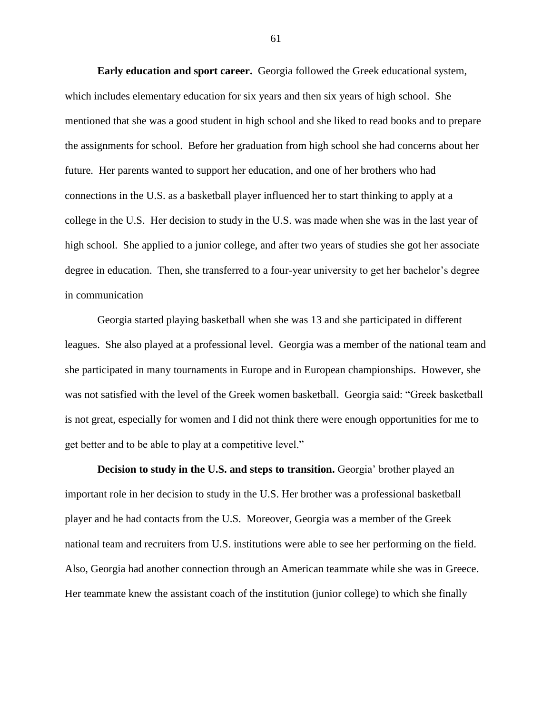**Early education and sport career.** Georgia followed the Greek educational system, which includes elementary education for six years and then six years of high school. She mentioned that she was a good student in high school and she liked to read books and to prepare the assignments for school. Before her graduation from high school she had concerns about her future. Her parents wanted to support her education, and one of her brothers who had connections in the U.S. as a basketball player influenced her to start thinking to apply at a college in the U.S. Her decision to study in the U.S. was made when she was in the last year of high school. She applied to a junior college, and after two years of studies she got her associate degree in education. Then, she transferred to a four-year university to get her bachelor's degree in communication

Georgia started playing basketball when she was 13 and she participated in different leagues. She also played at a professional level. Georgia was a member of the national team and she participated in many tournaments in Europe and in European championships. However, she was not satisfied with the level of the Greek women basketball. Georgia said: "Greek basketball is not great, especially for women and I did not think there were enough opportunities for me to get better and to be able to play at a competitive level."

**Decision to study in the U.S. and steps to transition.** Georgia' brother played an important role in her decision to study in the U.S. Her brother was a professional basketball player and he had contacts from the U.S. Moreover, Georgia was a member of the Greek national team and recruiters from U.S. institutions were able to see her performing on the field. Also, Georgia had another connection through an American teammate while she was in Greece. Her teammate knew the assistant coach of the institution (junior college) to which she finally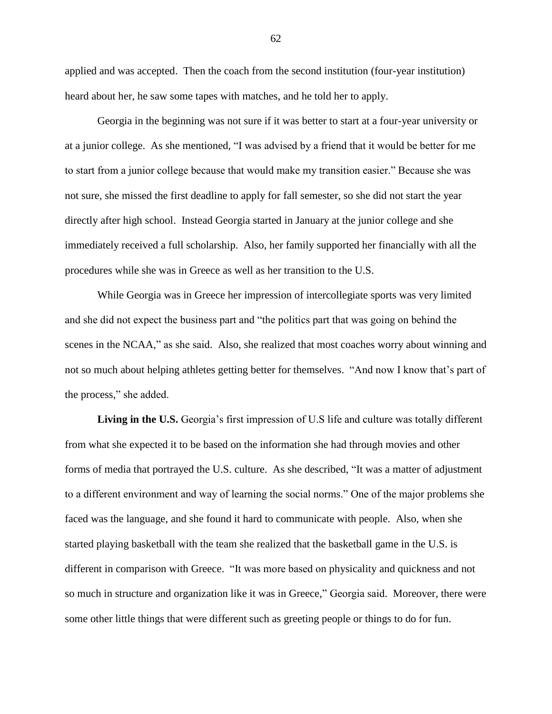applied and was accepted. Then the coach from the second institution (four-year institution) heard about her, he saw some tapes with matches, and he told her to apply.

Georgia in the beginning was not sure if it was better to start at a four-year university or at a junior college. As she mentioned, "I was advised by a friend that it would be better for me to start from a junior college because that would make my transition easier." Because she was not sure, she missed the first deadline to apply for fall semester, so she did not start the year directly after high school. Instead Georgia started in January at the junior college and she immediately received a full scholarship. Also, her family supported her financially with all the procedures while she was in Greece as well as her transition to the U.S.

While Georgia was in Greece her impression of intercollegiate sports was very limited and she did not expect the business part and "the politics part that was going on behind the scenes in the NCAA," as she said. Also, she realized that most coaches worry about winning and not so much about helping athletes getting better for themselves. "And now I know that's part of the process," she added.

Living in the U.S. Georgia's first impression of U.S life and culture was totally different from what she expected it to be based on the information she had through movies and other forms of media that portrayed the U.S. culture. As she described, "It was a matter of adjustment to a different environment and way of learning the social norms." One of the major problems she faced was the language, and she found it hard to communicate with people. Also, when she started playing basketball with the team she realized that the basketball game in the U.S. is different in comparison with Greece. "It was more based on physicality and quickness and not so much in structure and organization like it was in Greece," Georgia said. Moreover, there were some other little things that were different such as greeting people or things to do for fun.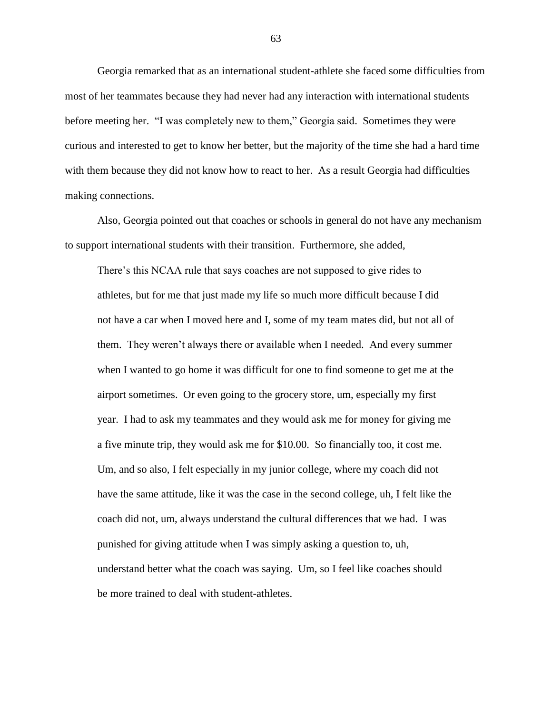Georgia remarked that as an international student-athlete she faced some difficulties from most of her teammates because they had never had any interaction with international students before meeting her. "I was completely new to them," Georgia said. Sometimes they were curious and interested to get to know her better, but the majority of the time she had a hard time with them because they did not know how to react to her. As a result Georgia had difficulties making connections.

Also, Georgia pointed out that coaches or schools in general do not have any mechanism to support international students with their transition. Furthermore, she added,

There's this NCAA rule that says coaches are not supposed to give rides to athletes, but for me that just made my life so much more difficult because I did not have a car when I moved here and I, some of my team mates did, but not all of them. They weren"t always there or available when I needed. And every summer when I wanted to go home it was difficult for one to find someone to get me at the airport sometimes. Or even going to the grocery store, um, especially my first year. I had to ask my teammates and they would ask me for money for giving me a five minute trip, they would ask me for \$10.00. So financially too, it cost me. Um, and so also, I felt especially in my junior college, where my coach did not have the same attitude, like it was the case in the second college, uh, I felt like the coach did not, um, always understand the cultural differences that we had. I was punished for giving attitude when I was simply asking a question to, uh, understand better what the coach was saying. Um, so I feel like coaches should be more trained to deal with student-athletes.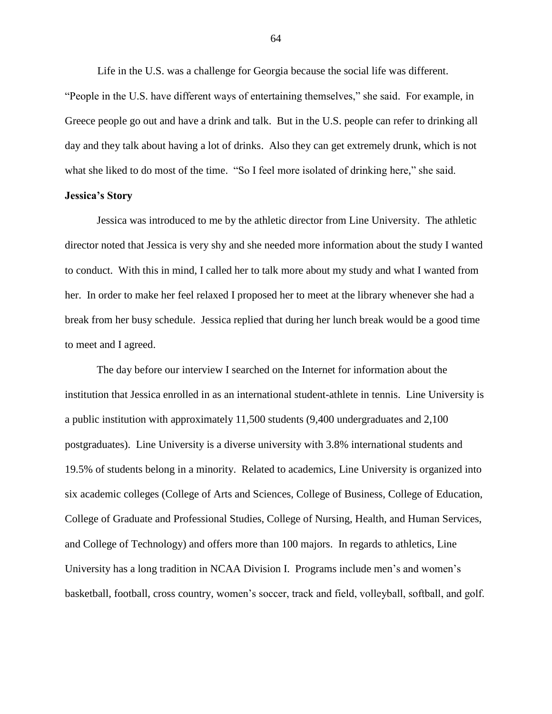Life in the U.S. was a challenge for Georgia because the social life was different.

"People in the U.S. have different ways of entertaining themselves," she said. For example, in Greece people go out and have a drink and talk. But in the U.S. people can refer to drinking all day and they talk about having a lot of drinks. Also they can get extremely drunk, which is not what she liked to do most of the time. "So I feel more isolated of drinking here," she said.

# **Jessica's Story**

Jessica was introduced to me by the athletic director from Line University. The athletic director noted that Jessica is very shy and she needed more information about the study I wanted to conduct. With this in mind, I called her to talk more about my study and what I wanted from her. In order to make her feel relaxed I proposed her to meet at the library whenever she had a break from her busy schedule. Jessica replied that during her lunch break would be a good time to meet and I agreed.

The day before our interview I searched on the Internet for information about the institution that Jessica enrolled in as an international student-athlete in tennis. Line University is a public institution with approximately 11,500 students (9,400 undergraduates and 2,100 postgraduates). Line University is a diverse university with 3.8% international students and 19.5% of students belong in a minority. Related to academics, Line University is organized into six academic colleges (College of Arts and Sciences, College of Business, College of Education, College of Graduate and Professional Studies, College of Nursing, Health, and Human Services, and College of Technology) and offers more than 100 majors. In regards to athletics, Line University has a long tradition in NCAA Division I. Programs include men"s and women"s basketball, football, cross country, women"s soccer, track and field, volleyball, softball, and golf.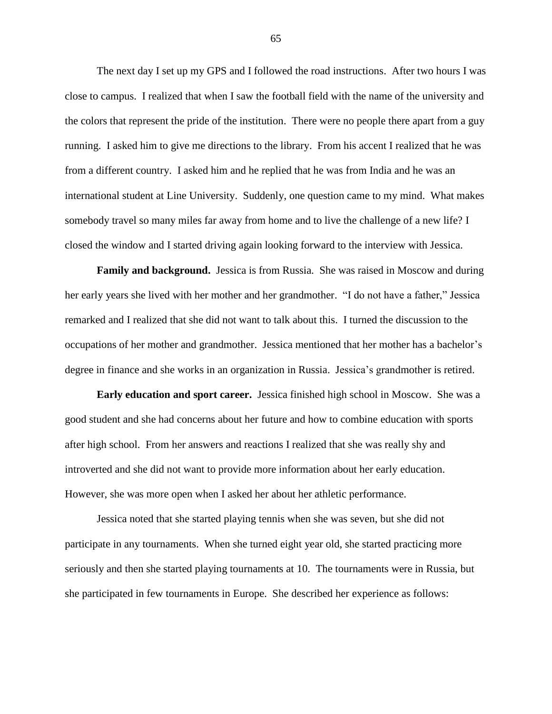The next day I set up my GPS and I followed the road instructions. After two hours I was close to campus. I realized that when I saw the football field with the name of the university and the colors that represent the pride of the institution. There were no people there apart from a guy running. I asked him to give me directions to the library. From his accent I realized that he was from a different country. I asked him and he replied that he was from India and he was an international student at Line University. Suddenly, one question came to my mind. What makes somebody travel so many miles far away from home and to live the challenge of a new life? I closed the window and I started driving again looking forward to the interview with Jessica.

**Family and background.** Jessica is from Russia. She was raised in Moscow and during her early years she lived with her mother and her grandmother. "I do not have a father," Jessica remarked and I realized that she did not want to talk about this. I turned the discussion to the occupations of her mother and grandmother. Jessica mentioned that her mother has a bachelor"s degree in finance and she works in an organization in Russia. Jessica"s grandmother is retired.

**Early education and sport career.** Jessica finished high school in Moscow. She was a good student and she had concerns about her future and how to combine education with sports after high school. From her answers and reactions I realized that she was really shy and introverted and she did not want to provide more information about her early education. However, she was more open when I asked her about her athletic performance.

Jessica noted that she started playing tennis when she was seven, but she did not participate in any tournaments. When she turned eight year old, she started practicing more seriously and then she started playing tournaments at 10. The tournaments were in Russia, but she participated in few tournaments in Europe. She described her experience as follows: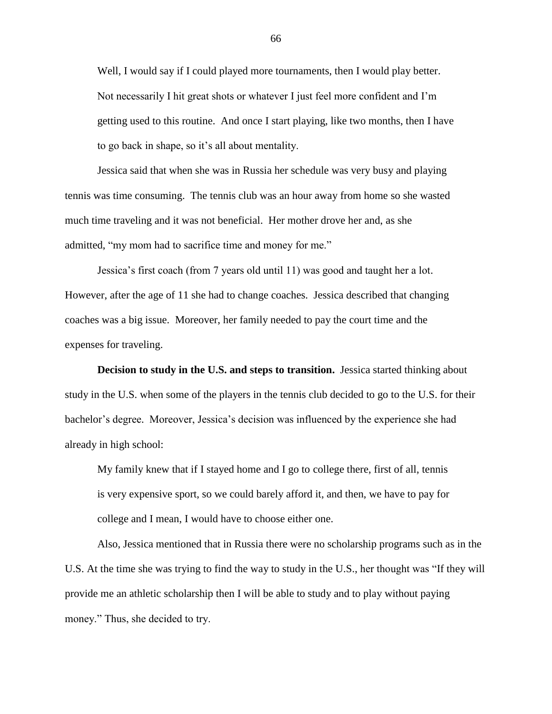Well, I would say if I could played more tournaments, then I would play better. Not necessarily I hit great shots or whatever I just feel more confident and I"m getting used to this routine. And once I start playing, like two months, then I have to go back in shape, so it"s all about mentality.

Jessica said that when she was in Russia her schedule was very busy and playing tennis was time consuming. The tennis club was an hour away from home so she wasted much time traveling and it was not beneficial. Her mother drove her and, as she admitted, "my mom had to sacrifice time and money for me."

Jessica"s first coach (from 7 years old until 11) was good and taught her a lot. However, after the age of 11 she had to change coaches. Jessica described that changing coaches was a big issue. Moreover, her family needed to pay the court time and the expenses for traveling.

**Decision to study in the U.S. and steps to transition.** Jessica started thinking about study in the U.S. when some of the players in the tennis club decided to go to the U.S. for their bachelor's degree. Moreover, Jessica's decision was influenced by the experience she had already in high school:

My family knew that if I stayed home and I go to college there, first of all, tennis is very expensive sport, so we could barely afford it, and then, we have to pay for college and I mean, I would have to choose either one.

Also, Jessica mentioned that in Russia there were no scholarship programs such as in the U.S. At the time she was trying to find the way to study in the U.S., her thought was "If they will provide me an athletic scholarship then I will be able to study and to play without paying money." Thus, she decided to try.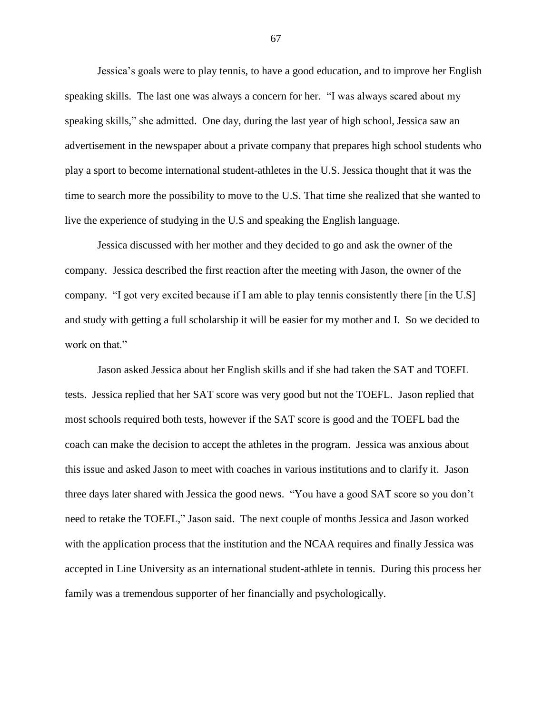Jessica"s goals were to play tennis, to have a good education, and to improve her English speaking skills. The last one was always a concern for her. "I was always scared about my speaking skills," she admitted. One day, during the last year of high school, Jessica saw an advertisement in the newspaper about a private company that prepares high school students who play a sport to become international student-athletes in the U.S. Jessica thought that it was the time to search more the possibility to move to the U.S. That time she realized that she wanted to live the experience of studying in the U.S and speaking the English language.

Jessica discussed with her mother and they decided to go and ask the owner of the company. Jessica described the first reaction after the meeting with Jason, the owner of the company. "I got very excited because if I am able to play tennis consistently there [in the U.S] and study with getting a full scholarship it will be easier for my mother and I. So we decided to work on that."

Jason asked Jessica about her English skills and if she had taken the SAT and TOEFL tests. Jessica replied that her SAT score was very good but not the TOEFL. Jason replied that most schools required both tests, however if the SAT score is good and the TOEFL bad the coach can make the decision to accept the athletes in the program. Jessica was anxious about this issue and asked Jason to meet with coaches in various institutions and to clarify it. Jason three days later shared with Jessica the good news. "You have a good SAT score so you don"t need to retake the TOEFL," Jason said. The next couple of months Jessica and Jason worked with the application process that the institution and the NCAA requires and finally Jessica was accepted in Line University as an international student-athlete in tennis. During this process her family was a tremendous supporter of her financially and psychologically.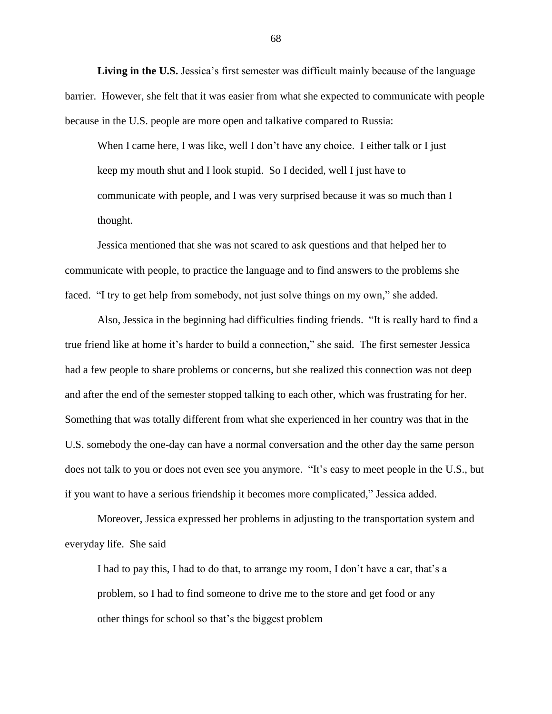Living in the U.S. Jessica's first semester was difficult mainly because of the language barrier. However, she felt that it was easier from what she expected to communicate with people because in the U.S. people are more open and talkative compared to Russia:

When I came here, I was like, well I don't have any choice. I either talk or I just keep my mouth shut and I look stupid. So I decided, well I just have to communicate with people, and I was very surprised because it was so much than I thought.

Jessica mentioned that she was not scared to ask questions and that helped her to communicate with people, to practice the language and to find answers to the problems she faced. "I try to get help from somebody, not just solve things on my own," she added.

Also, Jessica in the beginning had difficulties finding friends. "It is really hard to find a true friend like at home it"s harder to build a connection," she said. The first semester Jessica had a few people to share problems or concerns, but she realized this connection was not deep and after the end of the semester stopped talking to each other, which was frustrating for her. Something that was totally different from what she experienced in her country was that in the U.S. somebody the one-day can have a normal conversation and the other day the same person does not talk to you or does not even see you anymore. "It's easy to meet people in the U.S., but if you want to have a serious friendship it becomes more complicated," Jessica added.

Moreover, Jessica expressed her problems in adjusting to the transportation system and everyday life. She said

I had to pay this, I had to do that, to arrange my room, I don"t have a car, that"s a problem, so I had to find someone to drive me to the store and get food or any other things for school so that"s the biggest problem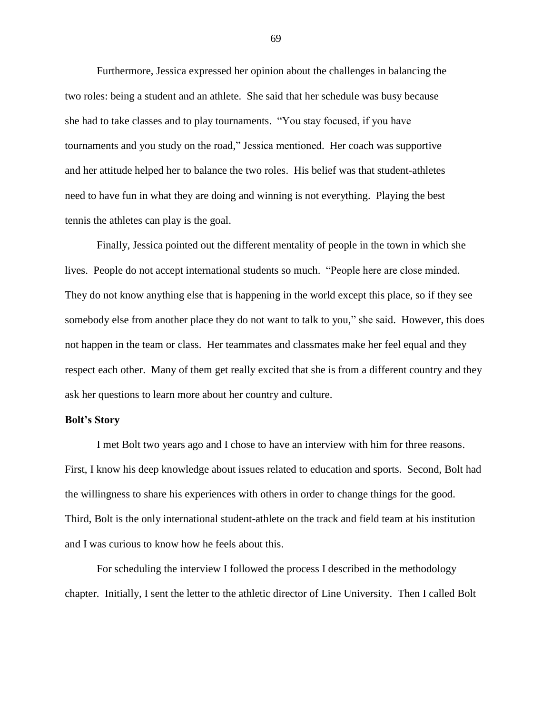Furthermore, Jessica expressed her opinion about the challenges in balancing the two roles: being a student and an athlete. She said that her schedule was busy because she had to take classes and to play tournaments. "You stay focused, if you have tournaments and you study on the road," Jessica mentioned. Her coach was supportive and her attitude helped her to balance the two roles. His belief was that student-athletes need to have fun in what they are doing and winning is not everything. Playing the best tennis the athletes can play is the goal.

Finally, Jessica pointed out the different mentality of people in the town in which she lives. People do not accept international students so much. "People here are close minded. They do not know anything else that is happening in the world except this place, so if they see somebody else from another place they do not want to talk to you," she said. However, this does not happen in the team or class. Her teammates and classmates make her feel equal and they respect each other. Many of them get really excited that she is from a different country and they ask her questions to learn more about her country and culture.

## **Bolt's Story**

I met Bolt two years ago and I chose to have an interview with him for three reasons. First, I know his deep knowledge about issues related to education and sports. Second, Bolt had the willingness to share his experiences with others in order to change things for the good. Third, Bolt is the only international student-athlete on the track and field team at his institution and I was curious to know how he feels about this.

For scheduling the interview I followed the process I described in the methodology chapter. Initially, I sent the letter to the athletic director of Line University. Then I called Bolt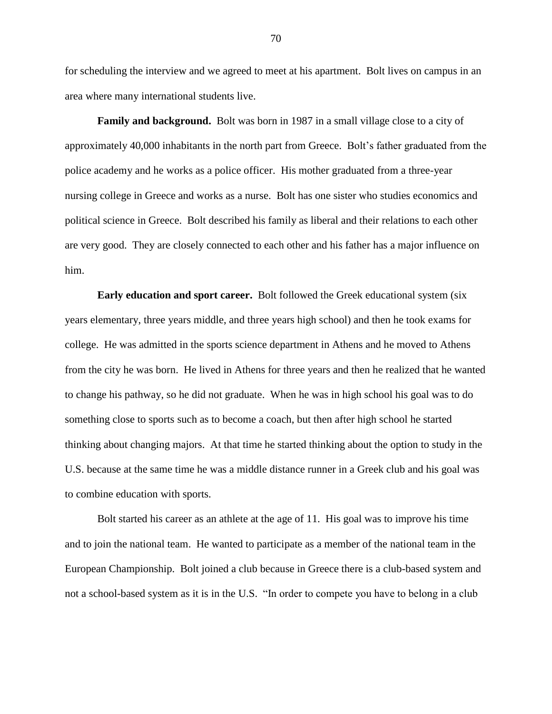for scheduling the interview and we agreed to meet at his apartment. Bolt lives on campus in an area where many international students live.

**Family and background.** Bolt was born in 1987 in a small village close to a city of approximately 40,000 inhabitants in the north part from Greece. Bolt"s father graduated from the police academy and he works as a police officer. His mother graduated from a three-year nursing college in Greece and works as a nurse. Bolt has one sister who studies economics and political science in Greece. Bolt described his family as liberal and their relations to each other are very good. They are closely connected to each other and his father has a major influence on him.

**Early education and sport career.** Bolt followed the Greek educational system (six years elementary, three years middle, and three years high school) and then he took exams for college. He was admitted in the sports science department in Athens and he moved to Athens from the city he was born. He lived in Athens for three years and then he realized that he wanted to change his pathway, so he did not graduate. When he was in high school his goal was to do something close to sports such as to become a coach, but then after high school he started thinking about changing majors. At that time he started thinking about the option to study in the U.S. because at the same time he was a middle distance runner in a Greek club and his goal was to combine education with sports.

Bolt started his career as an athlete at the age of 11. His goal was to improve his time and to join the national team. He wanted to participate as a member of the national team in the European Championship. Bolt joined a club because in Greece there is a club-based system and not a school-based system as it is in the U.S. "In order to compete you have to belong in a club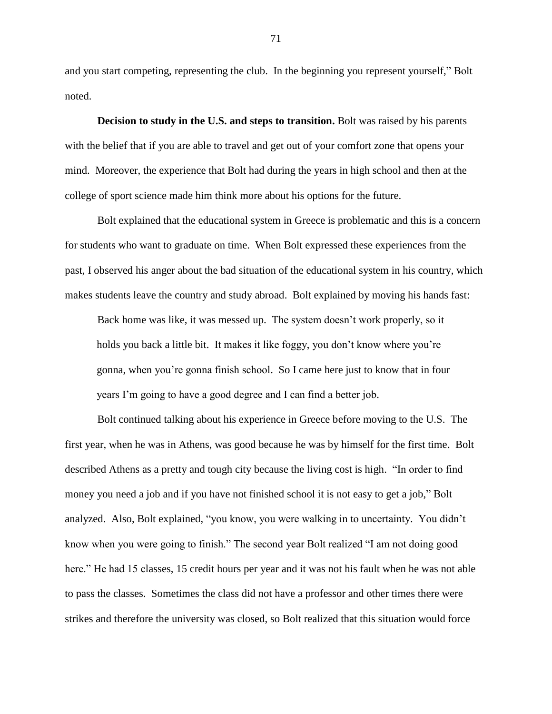and you start competing, representing the club. In the beginning you represent yourself," Bolt noted.

**Decision to study in the U.S. and steps to transition.** Bolt was raised by his parents with the belief that if you are able to travel and get out of your comfort zone that opens your mind. Moreover, the experience that Bolt had during the years in high school and then at the college of sport science made him think more about his options for the future.

Bolt explained that the educational system in Greece is problematic and this is a concern for students who want to graduate on time. When Bolt expressed these experiences from the past, I observed his anger about the bad situation of the educational system in his country, which makes students leave the country and study abroad. Bolt explained by moving his hands fast:

Back home was like, it was messed up. The system doesn't work properly, so it holds you back a little bit. It makes it like foggy, you don't know where you're gonna, when you"re gonna finish school. So I came here just to know that in four years I"m going to have a good degree and I can find a better job.

Bolt continued talking about his experience in Greece before moving to the U.S. The first year, when he was in Athens, was good because he was by himself for the first time. Bolt described Athens as a pretty and tough city because the living cost is high. "In order to find money you need a job and if you have not finished school it is not easy to get a job," Bolt analyzed. Also, Bolt explained, "you know, you were walking in to uncertainty. You didn"t know when you were going to finish." The second year Bolt realized "I am not doing good here." He had 15 classes, 15 credit hours per year and it was not his fault when he was not able to pass the classes. Sometimes the class did not have a professor and other times there were strikes and therefore the university was closed, so Bolt realized that this situation would force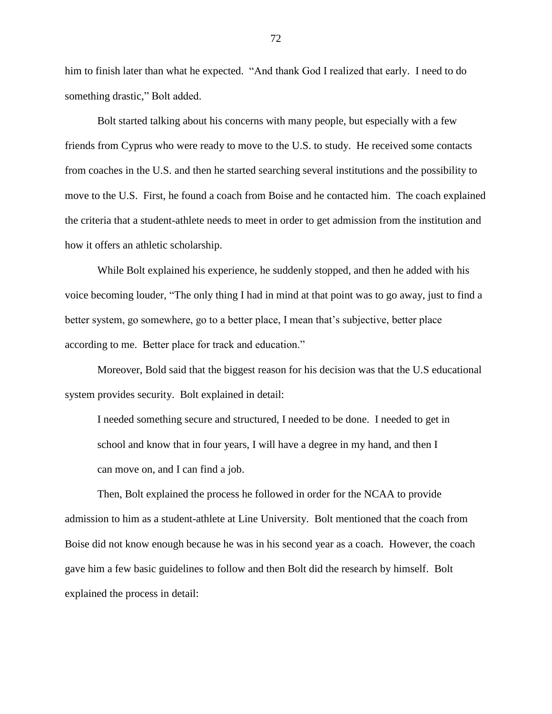him to finish later than what he expected. "And thank God I realized that early. I need to do something drastic," Bolt added.

Bolt started talking about his concerns with many people, but especially with a few friends from Cyprus who were ready to move to the U.S. to study. He received some contacts from coaches in the U.S. and then he started searching several institutions and the possibility to move to the U.S. First, he found a coach from Boise and he contacted him. The coach explained the criteria that a student-athlete needs to meet in order to get admission from the institution and how it offers an athletic scholarship.

While Bolt explained his experience, he suddenly stopped, and then he added with his voice becoming louder, "The only thing I had in mind at that point was to go away, just to find a better system, go somewhere, go to a better place, I mean that's subjective, better place according to me. Better place for track and education."

Moreover, Bold said that the biggest reason for his decision was that the U.S educational system provides security. Bolt explained in detail:

I needed something secure and structured, I needed to be done. I needed to get in school and know that in four years, I will have a degree in my hand, and then I can move on, and I can find a job.

Then, Bolt explained the process he followed in order for the NCAA to provide admission to him as a student-athlete at Line University. Bolt mentioned that the coach from Boise did not know enough because he was in his second year as a coach. However, the coach gave him a few basic guidelines to follow and then Bolt did the research by himself. Bolt explained the process in detail: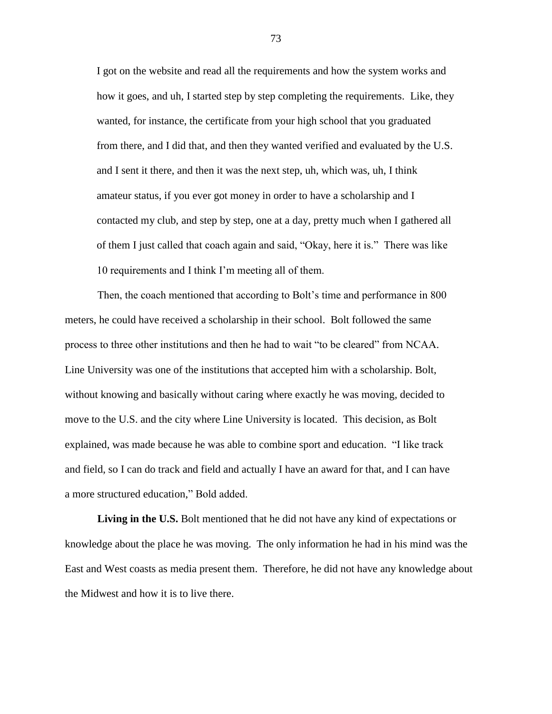I got on the website and read all the requirements and how the system works and how it goes, and uh, I started step by step completing the requirements. Like, they wanted, for instance, the certificate from your high school that you graduated from there, and I did that, and then they wanted verified and evaluated by the U.S. and I sent it there, and then it was the next step, uh, which was, uh, I think amateur status, if you ever got money in order to have a scholarship and I contacted my club, and step by step, one at a day, pretty much when I gathered all of them I just called that coach again and said, "Okay, here it is." There was like 10 requirements and I think I"m meeting all of them.

Then, the coach mentioned that according to Bolt"s time and performance in 800 meters, he could have received a scholarship in their school. Bolt followed the same process to three other institutions and then he had to wait "to be cleared" from NCAA. Line University was one of the institutions that accepted him with a scholarship. Bolt, without knowing and basically without caring where exactly he was moving, decided to move to the U.S. and the city where Line University is located. This decision, as Bolt explained, was made because he was able to combine sport and education. "I like track and field, so I can do track and field and actually I have an award for that, and I can have a more structured education," Bold added.

**Living in the U.S.** Bolt mentioned that he did not have any kind of expectations or knowledge about the place he was moving. The only information he had in his mind was the East and West coasts as media present them. Therefore, he did not have any knowledge about the Midwest and how it is to live there.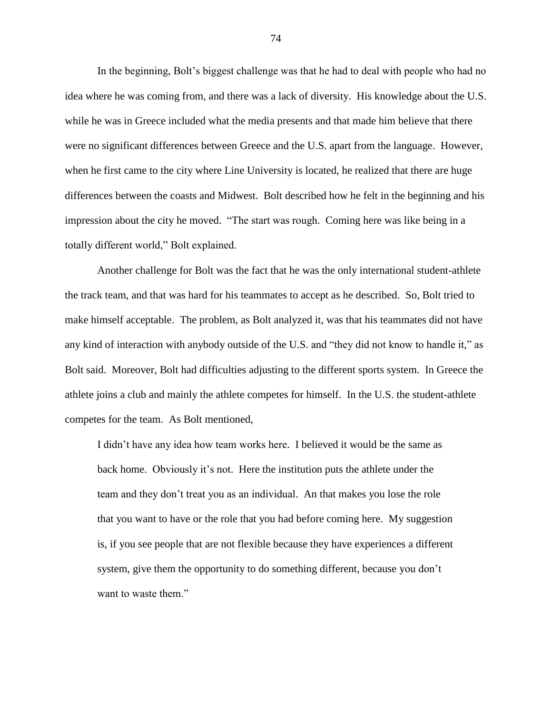In the beginning, Bolt's biggest challenge was that he had to deal with people who had no idea where he was coming from, and there was a lack of diversity. His knowledge about the U.S. while he was in Greece included what the media presents and that made him believe that there were no significant differences between Greece and the U.S. apart from the language. However, when he first came to the city where Line University is located, he realized that there are huge differences between the coasts and Midwest. Bolt described how he felt in the beginning and his impression about the city he moved. "The start was rough. Coming here was like being in a totally different world," Bolt explained.

Another challenge for Bolt was the fact that he was the only international student-athlete the track team, and that was hard for his teammates to accept as he described. So, Bolt tried to make himself acceptable. The problem, as Bolt analyzed it, was that his teammates did not have any kind of interaction with anybody outside of the U.S. and "they did not know to handle it," as Bolt said. Moreover, Bolt had difficulties adjusting to the different sports system. In Greece the athlete joins a club and mainly the athlete competes for himself. In the U.S. the student-athlete competes for the team. As Bolt mentioned,

I didn"t have any idea how team works here. I believed it would be the same as back home. Obviously it's not. Here the institution puts the athlete under the team and they don"t treat you as an individual. An that makes you lose the role that you want to have or the role that you had before coming here. My suggestion is, if you see people that are not flexible because they have experiences a different system, give them the opportunity to do something different, because you don"t want to waste them."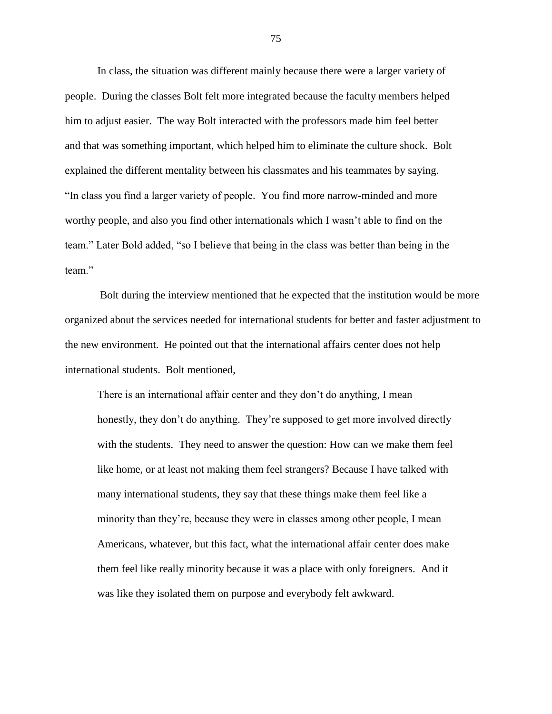In class, the situation was different mainly because there were a larger variety of people. During the classes Bolt felt more integrated because the faculty members helped him to adjust easier. The way Bolt interacted with the professors made him feel better and that was something important, which helped him to eliminate the culture shock. Bolt explained the different mentality between his classmates and his teammates by saying. "In class you find a larger variety of people. You find more narrow-minded and more worthy people, and also you find other internationals which I wasn't able to find on the team." Later Bold added, "so I believe that being in the class was better than being in the team"

Bolt during the interview mentioned that he expected that the institution would be more organized about the services needed for international students for better and faster adjustment to the new environment. He pointed out that the international affairs center does not help international students. Bolt mentioned,

There is an international affair center and they don"t do anything, I mean honestly, they don't do anything. They're supposed to get more involved directly with the students. They need to answer the question: How can we make them feel like home, or at least not making them feel strangers? Because I have talked with many international students, they say that these things make them feel like a minority than they're, because they were in classes among other people, I mean Americans, whatever, but this fact, what the international affair center does make them feel like really minority because it was a place with only foreigners. And it was like they isolated them on purpose and everybody felt awkward.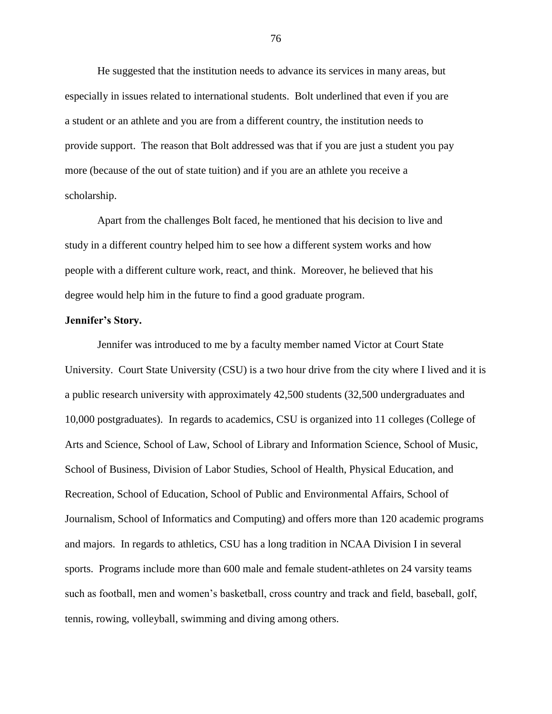He suggested that the institution needs to advance its services in many areas, but especially in issues related to international students. Bolt underlined that even if you are a student or an athlete and you are from a different country, the institution needs to provide support. The reason that Bolt addressed was that if you are just a student you pay more (because of the out of state tuition) and if you are an athlete you receive a scholarship.

Apart from the challenges Bolt faced, he mentioned that his decision to live and study in a different country helped him to see how a different system works and how people with a different culture work, react, and think. Moreover, he believed that his degree would help him in the future to find a good graduate program.

#### **Jennifer's Story.**

Jennifer was introduced to me by a faculty member named Victor at Court State University. Court State University (CSU) is a two hour drive from the city where I lived and it is a public research university with approximately 42,500 students (32,500 undergraduates and 10,000 postgraduates). In regards to academics, CSU is organized into 11 colleges (College of Arts and Science, School of Law, School of Library and Information Science, School of Music, School of Business, Division of Labor Studies, School of Health, Physical Education, and Recreation, School of Education, School of Public and Environmental Affairs, School of Journalism, School of Informatics and Computing) and offers more than 120 academic programs and majors. In regards to athletics, CSU has a long tradition in NCAA Division I in several sports. Programs include more than 600 male and female student-athletes on 24 varsity teams such as football, men and women"s basketball, cross country and track and field, baseball, golf, tennis, rowing, volleyball, swimming and diving among others.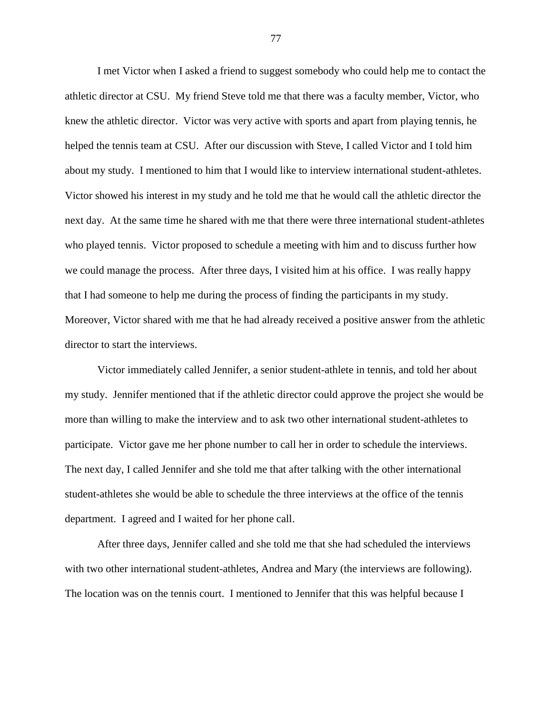I met Victor when I asked a friend to suggest somebody who could help me to contact the athletic director at CSU. My friend Steve told me that there was a faculty member, Victor, who knew the athletic director. Victor was very active with sports and apart from playing tennis, he helped the tennis team at CSU. After our discussion with Steve, I called Victor and I told him about my study. I mentioned to him that I would like to interview international student-athletes. Victor showed his interest in my study and he told me that he would call the athletic director the next day. At the same time he shared with me that there were three international student-athletes who played tennis. Victor proposed to schedule a meeting with him and to discuss further how we could manage the process. After three days, I visited him at his office. I was really happy that I had someone to help me during the process of finding the participants in my study. Moreover, Victor shared with me that he had already received a positive answer from the athletic director to start the interviews.

Victor immediately called Jennifer, a senior student-athlete in tennis, and told her about my study. Jennifer mentioned that if the athletic director could approve the project she would be more than willing to make the interview and to ask two other international student-athletes to participate. Victor gave me her phone number to call her in order to schedule the interviews. The next day, I called Jennifer and she told me that after talking with the other international student-athletes she would be able to schedule the three interviews at the office of the tennis department. I agreed and I waited for her phone call.

After three days, Jennifer called and she told me that she had scheduled the interviews with two other international student-athletes, Andrea and Mary (the interviews are following). The location was on the tennis court. I mentioned to Jennifer that this was helpful because I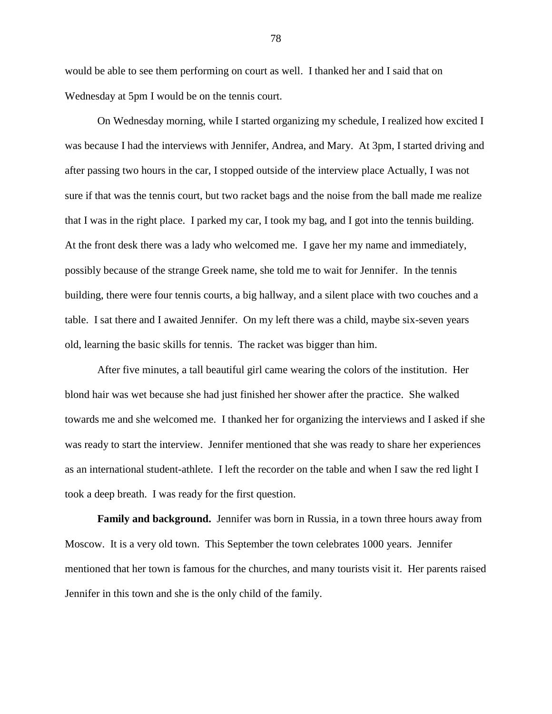would be able to see them performing on court as well. I thanked her and I said that on Wednesday at 5pm I would be on the tennis court.

On Wednesday morning, while I started organizing my schedule, I realized how excited I was because I had the interviews with Jennifer, Andrea, and Mary. At 3pm, I started driving and after passing two hours in the car, I stopped outside of the interview place Actually, I was not sure if that was the tennis court, but two racket bags and the noise from the ball made me realize that I was in the right place. I parked my car, I took my bag, and I got into the tennis building. At the front desk there was a lady who welcomed me. I gave her my name and immediately, possibly because of the strange Greek name, she told me to wait for Jennifer. In the tennis building, there were four tennis courts, a big hallway, and a silent place with two couches and a table. I sat there and I awaited Jennifer. On my left there was a child, maybe six-seven years old, learning the basic skills for tennis. The racket was bigger than him.

After five minutes, a tall beautiful girl came wearing the colors of the institution. Her blond hair was wet because she had just finished her shower after the practice. She walked towards me and she welcomed me. I thanked her for organizing the interviews and I asked if she was ready to start the interview. Jennifer mentioned that she was ready to share her experiences as an international student-athlete. I left the recorder on the table and when I saw the red light I took a deep breath. I was ready for the first question.

**Family and background.** Jennifer was born in Russia, in a town three hours away from Moscow. It is a very old town. This September the town celebrates 1000 years. Jennifer mentioned that her town is famous for the churches, and many tourists visit it. Her parents raised Jennifer in this town and she is the only child of the family.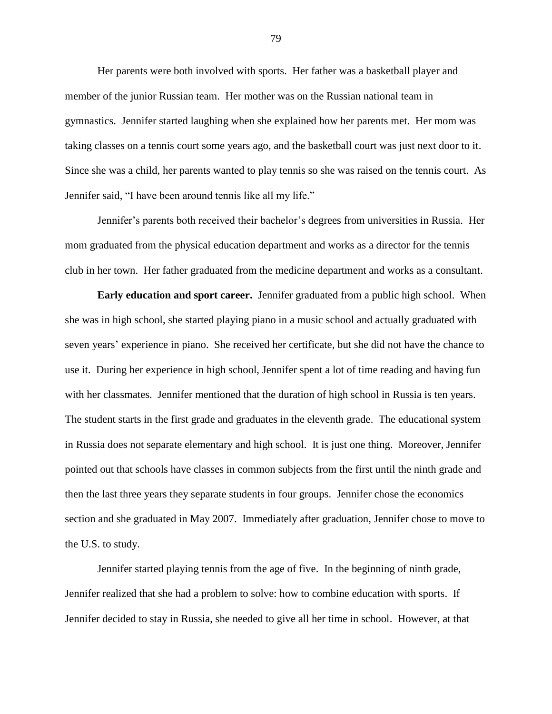Her parents were both involved with sports. Her father was a basketball player and member of the junior Russian team. Her mother was on the Russian national team in gymnastics. Jennifer started laughing when she explained how her parents met. Her mom was taking classes on a tennis court some years ago, and the basketball court was just next door to it. Since she was a child, her parents wanted to play tennis so she was raised on the tennis court. As Jennifer said, "I have been around tennis like all my life."

Jennifer"s parents both received their bachelor"s degrees from universities in Russia. Her mom graduated from the physical education department and works as a director for the tennis club in her town. Her father graduated from the medicine department and works as a consultant.

**Early education and sport career.** Jennifer graduated from a public high school. When she was in high school, she started playing piano in a music school and actually graduated with seven years" experience in piano. She received her certificate, but she did not have the chance to use it. During her experience in high school, Jennifer spent a lot of time reading and having fun with her classmates. Jennifer mentioned that the duration of high school in Russia is ten years. The student starts in the first grade and graduates in the eleventh grade. The educational system in Russia does not separate elementary and high school. It is just one thing. Moreover, Jennifer pointed out that schools have classes in common subjects from the first until the ninth grade and then the last three years they separate students in four groups. Jennifer chose the economics section and she graduated in May 2007. Immediately after graduation, Jennifer chose to move to the U.S. to study.

Jennifer started playing tennis from the age of five. In the beginning of ninth grade, Jennifer realized that she had a problem to solve: how to combine education with sports. If Jennifer decided to stay in Russia, she needed to give all her time in school. However, at that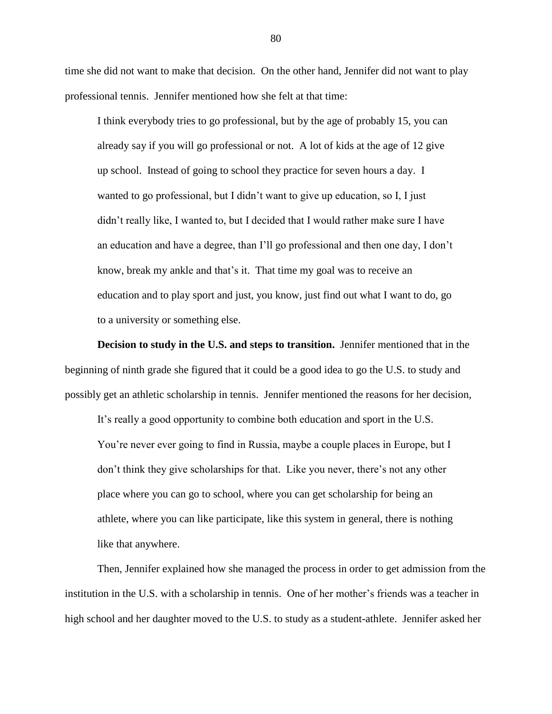time she did not want to make that decision. On the other hand, Jennifer did not want to play professional tennis. Jennifer mentioned how she felt at that time:

I think everybody tries to go professional, but by the age of probably 15, you can already say if you will go professional or not. A lot of kids at the age of 12 give up school. Instead of going to school they practice for seven hours a day. I wanted to go professional, but I didn't want to give up education, so I, I just didn"t really like, I wanted to, but I decided that I would rather make sure I have an education and have a degree, than I"ll go professional and then one day, I don"t know, break my ankle and that's it. That time my goal was to receive an education and to play sport and just, you know, just find out what I want to do, go to a university or something else.

**Decision to study in the U.S. and steps to transition.** Jennifer mentioned that in the beginning of ninth grade she figured that it could be a good idea to go the U.S. to study and possibly get an athletic scholarship in tennis. Jennifer mentioned the reasons for her decision,

It's really a good opportunity to combine both education and sport in the U.S. You"re never ever going to find in Russia, maybe a couple places in Europe, but I don"t think they give scholarships for that. Like you never, there"s not any other place where you can go to school, where you can get scholarship for being an athlete, where you can like participate, like this system in general, there is nothing like that anywhere.

Then, Jennifer explained how she managed the process in order to get admission from the institution in the U.S. with a scholarship in tennis. One of her mother's friends was a teacher in high school and her daughter moved to the U.S. to study as a student-athlete. Jennifer asked her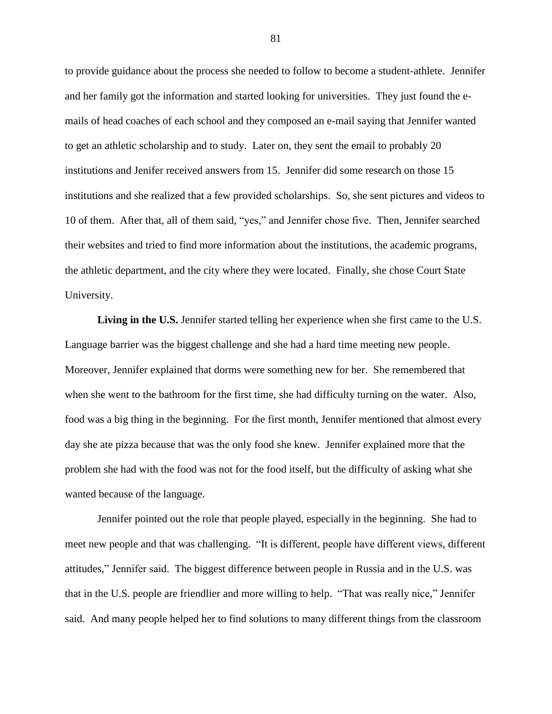to provide guidance about the process she needed to follow to become a student-athlete. Jennifer and her family got the information and started looking for universities. They just found the emails of head coaches of each school and they composed an e-mail saying that Jennifer wanted to get an athletic scholarship and to study. Later on, they sent the email to probably 20 institutions and Jenifer received answers from 15. Jennifer did some research on those 15 institutions and she realized that a few provided scholarships. So, she sent pictures and videos to 10 of them. After that, all of them said, "yes," and Jennifer chose five. Then, Jennifer searched their websites and tried to find more information about the institutions, the academic programs, the athletic department, and the city where they were located. Finally, she chose Court State University.

Living in the U.S. Jennifer started telling her experience when she first came to the U.S. Language barrier was the biggest challenge and she had a hard time meeting new people. Moreover, Jennifer explained that dorms were something new for her. She remembered that when she went to the bathroom for the first time, she had difficulty turning on the water. Also, food was a big thing in the beginning. For the first month, Jennifer mentioned that almost every day she ate pizza because that was the only food she knew. Jennifer explained more that the problem she had with the food was not for the food itself, but the difficulty of asking what she wanted because of the language.

Jennifer pointed out the role that people played, especially in the beginning. She had to meet new people and that was challenging. "It is different, people have different views, different attitudes," Jennifer said. The biggest difference between people in Russia and in the U.S. was that in the U.S. people are friendlier and more willing to help. "That was really nice," Jennifer said. And many people helped her to find solutions to many different things from the classroom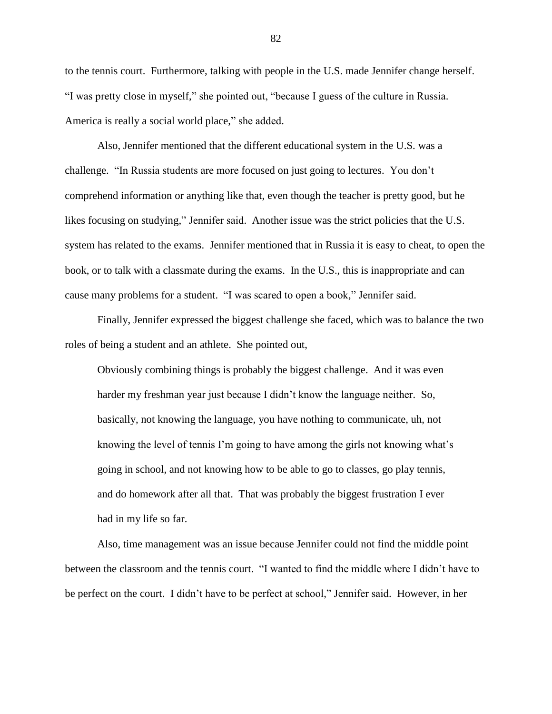to the tennis court. Furthermore, talking with people in the U.S. made Jennifer change herself. "I was pretty close in myself," she pointed out, "because I guess of the culture in Russia. America is really a social world place," she added.

Also, Jennifer mentioned that the different educational system in the U.S. was a challenge. "In Russia students are more focused on just going to lectures. You don"t comprehend information or anything like that, even though the teacher is pretty good, but he likes focusing on studying," Jennifer said. Another issue was the strict policies that the U.S. system has related to the exams. Jennifer mentioned that in Russia it is easy to cheat, to open the book, or to talk with a classmate during the exams. In the U.S., this is inappropriate and can cause many problems for a student. "I was scared to open a book," Jennifer said.

Finally, Jennifer expressed the biggest challenge she faced, which was to balance the two roles of being a student and an athlete. She pointed out,

Obviously combining things is probably the biggest challenge. And it was even harder my freshman year just because I didn"t know the language neither. So, basically, not knowing the language, you have nothing to communicate, uh, not knowing the level of tennis I'm going to have among the girls not knowing what's going in school, and not knowing how to be able to go to classes, go play tennis, and do homework after all that. That was probably the biggest frustration I ever had in my life so far.

Also, time management was an issue because Jennifer could not find the middle point between the classroom and the tennis court. "I wanted to find the middle where I didn"t have to be perfect on the court. I didn"t have to be perfect at school," Jennifer said. However, in her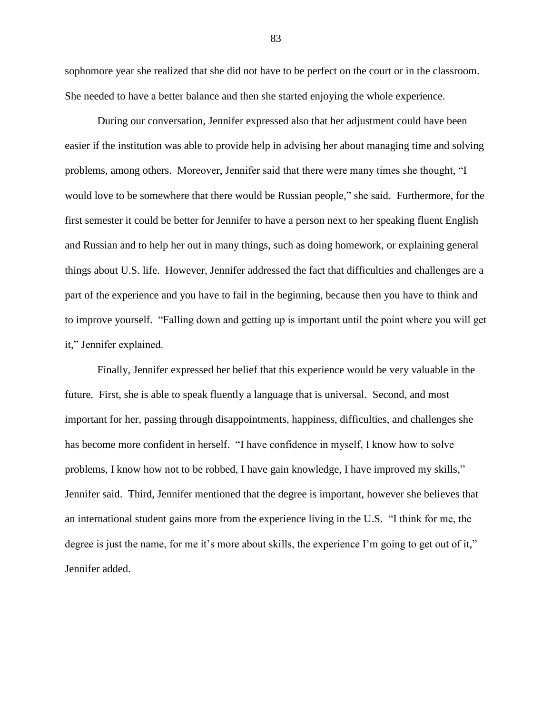sophomore year she realized that she did not have to be perfect on the court or in the classroom. She needed to have a better balance and then she started enjoying the whole experience.

During our conversation, Jennifer expressed also that her adjustment could have been easier if the institution was able to provide help in advising her about managing time and solving problems, among others. Moreover, Jennifer said that there were many times she thought, "I would love to be somewhere that there would be Russian people," she said. Furthermore, for the first semester it could be better for Jennifer to have a person next to her speaking fluent English and Russian and to help her out in many things, such as doing homework, or explaining general things about U.S. life. However, Jennifer addressed the fact that difficulties and challenges are a part of the experience and you have to fail in the beginning, because then you have to think and to improve yourself. "Falling down and getting up is important until the point where you will get it," Jennifer explained.

Finally, Jennifer expressed her belief that this experience would be very valuable in the future. First, she is able to speak fluently a language that is universal. Second, and most important for her, passing through disappointments, happiness, difficulties, and challenges she has become more confident in herself. "I have confidence in myself, I know how to solve problems, I know how not to be robbed, I have gain knowledge, I have improved my skills," Jennifer said. Third, Jennifer mentioned that the degree is important, however she believes that an international student gains more from the experience living in the U.S. "I think for me, the degree is just the name, for me it's more about skills, the experience I'm going to get out of it," Jennifer added.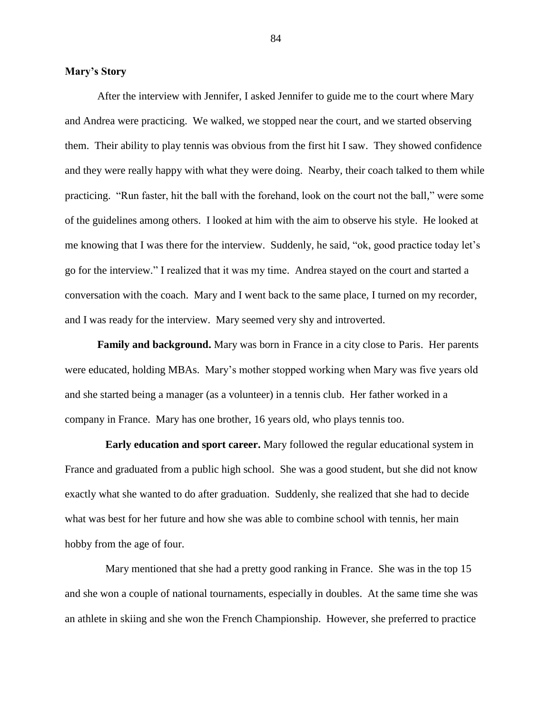#### **Mary's Story**

After the interview with Jennifer, I asked Jennifer to guide me to the court where Mary and Andrea were practicing. We walked, we stopped near the court, and we started observing them. Their ability to play tennis was obvious from the first hit I saw. They showed confidence and they were really happy with what they were doing. Nearby, their coach talked to them while practicing. "Run faster, hit the ball with the forehand, look on the court not the ball," were some of the guidelines among others. I looked at him with the aim to observe his style. He looked at me knowing that I was there for the interview. Suddenly, he said, "ok, good practice today let"s go for the interview." I realized that it was my time. Andrea stayed on the court and started a conversation with the coach. Mary and I went back to the same place, I turned on my recorder, and I was ready for the interview. Mary seemed very shy and introverted.

**Family and background.** Mary was born in France in a city close to Paris. Her parents were educated, holding MBAs. Mary"s mother stopped working when Mary was five years old and she started being a manager (as a volunteer) in a tennis club. Her father worked in a company in France. Mary has one brother, 16 years old, who plays tennis too.

**Early education and sport career.** Mary followed the regular educational system in France and graduated from a public high school. She was a good student, but she did not know exactly what she wanted to do after graduation. Suddenly, she realized that she had to decide what was best for her future and how she was able to combine school with tennis, her main hobby from the age of four.

Mary mentioned that she had a pretty good ranking in France. She was in the top 15 and she won a couple of national tournaments, especially in doubles. At the same time she was an athlete in skiing and she won the French Championship. However, she preferred to practice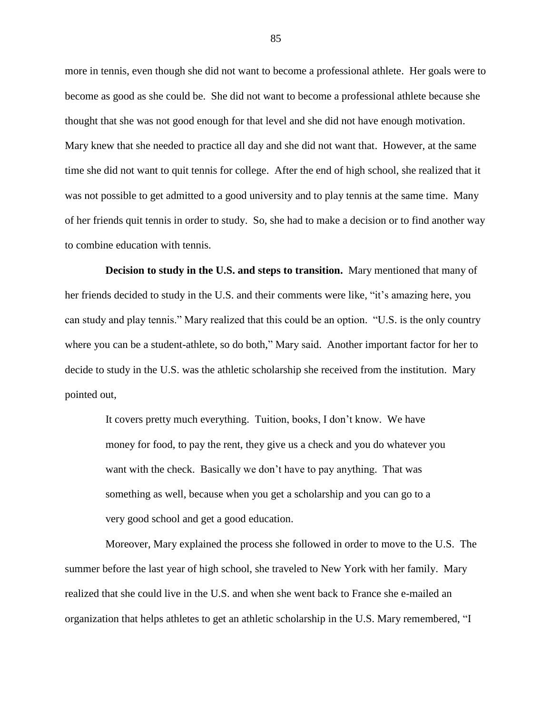more in tennis, even though she did not want to become a professional athlete. Her goals were to become as good as she could be. She did not want to become a professional athlete because she thought that she was not good enough for that level and she did not have enough motivation. Mary knew that she needed to practice all day and she did not want that. However, at the same time she did not want to quit tennis for college. After the end of high school, she realized that it was not possible to get admitted to a good university and to play tennis at the same time. Many of her friends quit tennis in order to study. So, she had to make a decision or to find another way to combine education with tennis.

**Decision to study in the U.S. and steps to transition.** Mary mentioned that many of her friends decided to study in the U.S. and their comments were like, "it"s amazing here, you can study and play tennis." Mary realized that this could be an option. "U.S. is the only country where you can be a student-athlete, so do both," Mary said. Another important factor for her to decide to study in the U.S. was the athletic scholarship she received from the institution. Mary pointed out,

It covers pretty much everything. Tuition, books, I don"t know. We have money for food, to pay the rent, they give us a check and you do whatever you want with the check. Basically we don"t have to pay anything. That was something as well, because when you get a scholarship and you can go to a very good school and get a good education.

Moreover, Mary explained the process she followed in order to move to the U.S. The summer before the last year of high school, she traveled to New York with her family. Mary realized that she could live in the U.S. and when she went back to France she e-mailed an organization that helps athletes to get an athletic scholarship in the U.S. Mary remembered, "I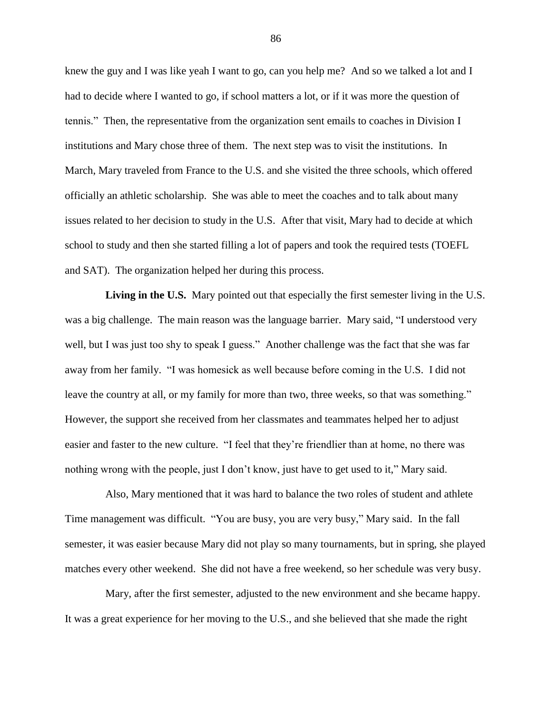knew the guy and I was like yeah I want to go, can you help me? And so we talked a lot and I had to decide where I wanted to go, if school matters a lot, or if it was more the question of tennis." Then, the representative from the organization sent emails to coaches in Division I institutions and Mary chose three of them. The next step was to visit the institutions. In March, Mary traveled from France to the U.S. and she visited the three schools, which offered officially an athletic scholarship. She was able to meet the coaches and to talk about many issues related to her decision to study in the U.S. After that visit, Mary had to decide at which school to study and then she started filling a lot of papers and took the required tests (TOEFL and SAT). The organization helped her during this process.

**Living in the U.S.** Mary pointed out that especially the first semester living in the U.S. was a big challenge. The main reason was the language barrier. Mary said, "I understood very well, but I was just too shy to speak I guess." Another challenge was the fact that she was far away from her family. "I was homesick as well because before coming in the U.S. I did not leave the country at all, or my family for more than two, three weeks, so that was something." However, the support she received from her classmates and teammates helped her to adjust easier and faster to the new culture. "I feel that they"re friendlier than at home, no there was nothing wrong with the people, just I don"t know, just have to get used to it," Mary said.

Also, Mary mentioned that it was hard to balance the two roles of student and athlete Time management was difficult. "You are busy, you are very busy," Mary said. In the fall semester, it was easier because Mary did not play so many tournaments, but in spring, she played matches every other weekend. She did not have a free weekend, so her schedule was very busy.

Mary, after the first semester, adjusted to the new environment and she became happy. It was a great experience for her moving to the U.S., and she believed that she made the right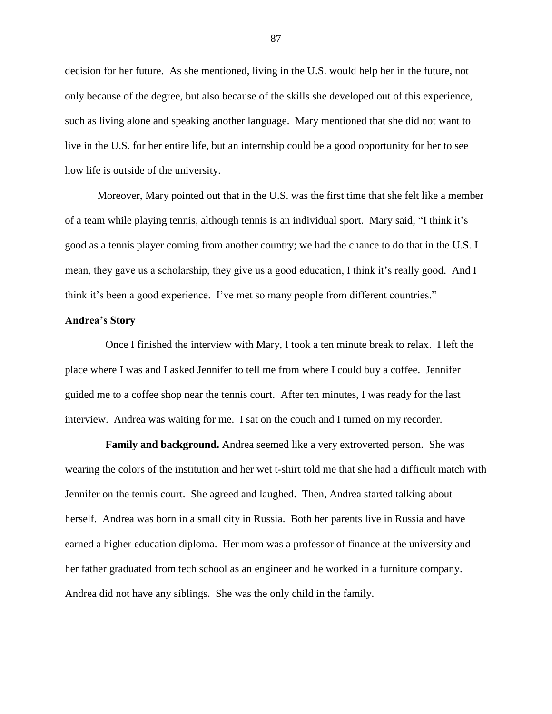decision for her future. As she mentioned, living in the U.S. would help her in the future, not only because of the degree, but also because of the skills she developed out of this experience, such as living alone and speaking another language. Mary mentioned that she did not want to live in the U.S. for her entire life, but an internship could be a good opportunity for her to see how life is outside of the university.

Moreover, Mary pointed out that in the U.S. was the first time that she felt like a member of a team while playing tennis, although tennis is an individual sport. Mary said, "I think it"s good as a tennis player coming from another country; we had the chance to do that in the U.S. I mean, they gave us a scholarship, they give us a good education, I think it"s really good. And I think it"s been a good experience. I"ve met so many people from different countries."

# **Andrea's Story**

Once I finished the interview with Mary, I took a ten minute break to relax. I left the place where I was and I asked Jennifer to tell me from where I could buy a coffee. Jennifer guided me to a coffee shop near the tennis court. After ten minutes, I was ready for the last interview. Andrea was waiting for me. I sat on the couch and I turned on my recorder.

**Family and background.** Andrea seemed like a very extroverted person. She was wearing the colors of the institution and her wet t-shirt told me that she had a difficult match with Jennifer on the tennis court. She agreed and laughed. Then, Andrea started talking about herself. Andrea was born in a small city in Russia. Both her parents live in Russia and have earned a higher education diploma. Her mom was a professor of finance at the university and her father graduated from tech school as an engineer and he worked in a furniture company. Andrea did not have any siblings. She was the only child in the family.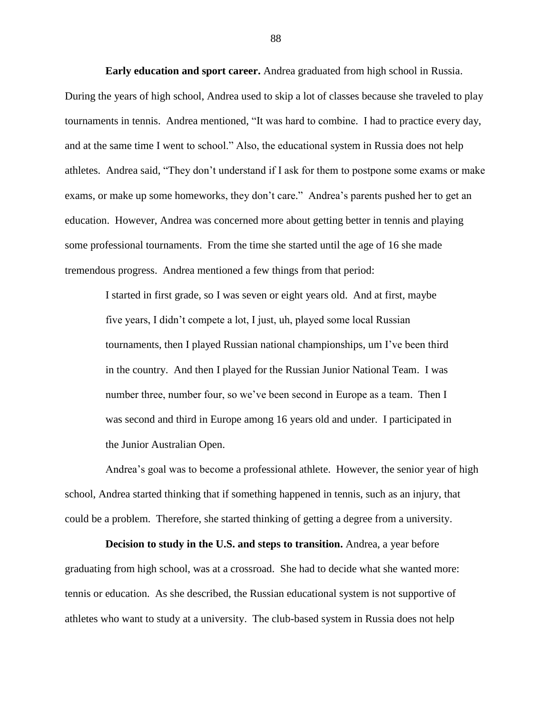**Early education and sport career.** Andrea graduated from high school in Russia. During the years of high school, Andrea used to skip a lot of classes because she traveled to play tournaments in tennis. Andrea mentioned, "It was hard to combine. I had to practice every day, and at the same time I went to school." Also, the educational system in Russia does not help athletes. Andrea said, "They don"t understand if I ask for them to postpone some exams or make exams, or make up some homeworks, they don't care." Andrea's parents pushed her to get an education. However, Andrea was concerned more about getting better in tennis and playing some professional tournaments. From the time she started until the age of 16 she made tremendous progress. Andrea mentioned a few things from that period:

I started in first grade, so I was seven or eight years old. And at first, maybe five years, I didn"t compete a lot, I just, uh, played some local Russian tournaments, then I played Russian national championships, um I"ve been third in the country. And then I played for the Russian Junior National Team. I was number three, number four, so we've been second in Europe as a team. Then I was second and third in Europe among 16 years old and under. I participated in the Junior Australian Open.

Andrea"s goal was to become a professional athlete. However, the senior year of high school, Andrea started thinking that if something happened in tennis, such as an injury, that could be a problem. Therefore, she started thinking of getting a degree from a university.

**Decision to study in the U.S. and steps to transition.** Andrea, a year before graduating from high school, was at a crossroad. She had to decide what she wanted more: tennis or education. As she described, the Russian educational system is not supportive of athletes who want to study at a university. The club-based system in Russia does not help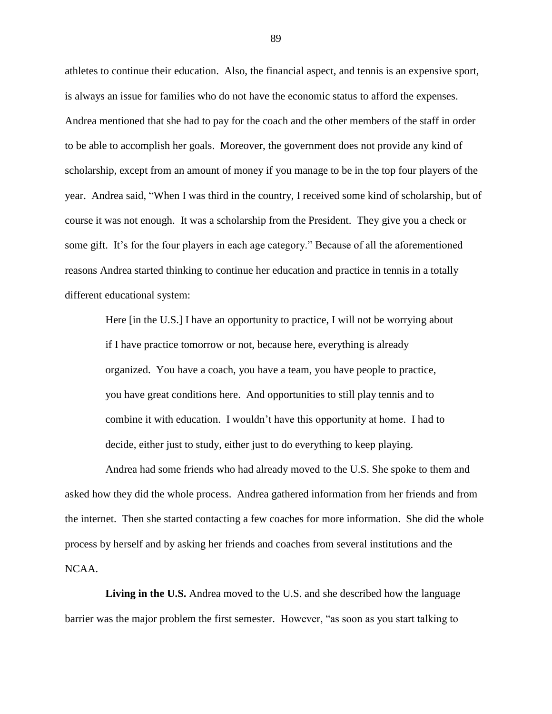athletes to continue their education. Also, the financial aspect, and tennis is an expensive sport, is always an issue for families who do not have the economic status to afford the expenses. Andrea mentioned that she had to pay for the coach and the other members of the staff in order to be able to accomplish her goals. Moreover, the government does not provide any kind of scholarship, except from an amount of money if you manage to be in the top four players of the year. Andrea said, "When I was third in the country, I received some kind of scholarship, but of course it was not enough. It was a scholarship from the President. They give you a check or some gift. It's for the four players in each age category." Because of all the aforementioned reasons Andrea started thinking to continue her education and practice in tennis in a totally different educational system:

Here [in the U.S.] I have an opportunity to practice, I will not be worrying about if I have practice tomorrow or not, because here, everything is already organized. You have a coach, you have a team, you have people to practice, you have great conditions here. And opportunities to still play tennis and to combine it with education. I wouldn"t have this opportunity at home. I had to decide, either just to study, either just to do everything to keep playing.

Andrea had some friends who had already moved to the U.S. She spoke to them and asked how they did the whole process. Andrea gathered information from her friends and from the internet. Then she started contacting a few coaches for more information. She did the whole process by herself and by asking her friends and coaches from several institutions and the NCAA.

Living in the U.S. Andrea moved to the U.S. and she described how the language barrier was the major problem the first semester. However, "as soon as you start talking to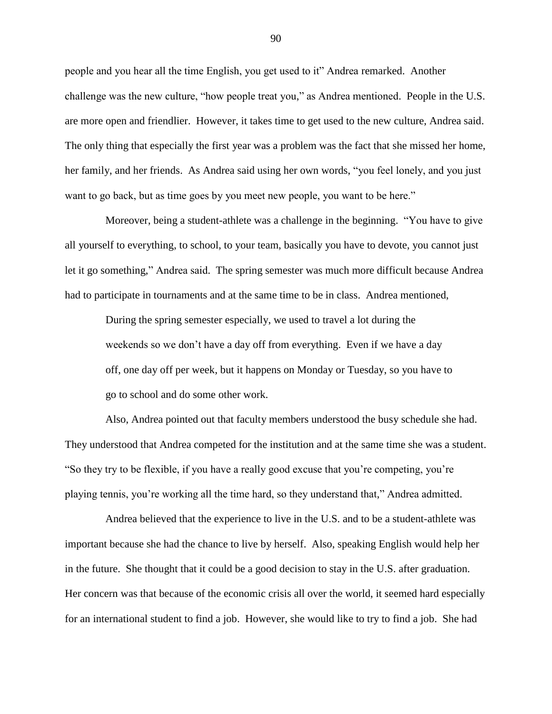people and you hear all the time English, you get used to it" Andrea remarked. Another challenge was the new culture, "how people treat you," as Andrea mentioned. People in the U.S. are more open and friendlier. However, it takes time to get used to the new culture, Andrea said. The only thing that especially the first year was a problem was the fact that she missed her home, her family, and her friends. As Andrea said using her own words, "you feel lonely, and you just want to go back, but as time goes by you meet new people, you want to be here."

Moreover, being a student-athlete was a challenge in the beginning. "You have to give all yourself to everything, to school, to your team, basically you have to devote, you cannot just let it go something," Andrea said. The spring semester was much more difficult because Andrea had to participate in tournaments and at the same time to be in class. Andrea mentioned,

During the spring semester especially, we used to travel a lot during the weekends so we don"t have a day off from everything. Even if we have a day off, one day off per week, but it happens on Monday or Tuesday, so you have to go to school and do some other work.

Also, Andrea pointed out that faculty members understood the busy schedule she had. They understood that Andrea competed for the institution and at the same time she was a student. "So they try to be flexible, if you have a really good excuse that you"re competing, you"re playing tennis, you"re working all the time hard, so they understand that," Andrea admitted.

Andrea believed that the experience to live in the U.S. and to be a student-athlete was important because she had the chance to live by herself. Also, speaking English would help her in the future. She thought that it could be a good decision to stay in the U.S. after graduation. Her concern was that because of the economic crisis all over the world, it seemed hard especially for an international student to find a job. However, she would like to try to find a job. She had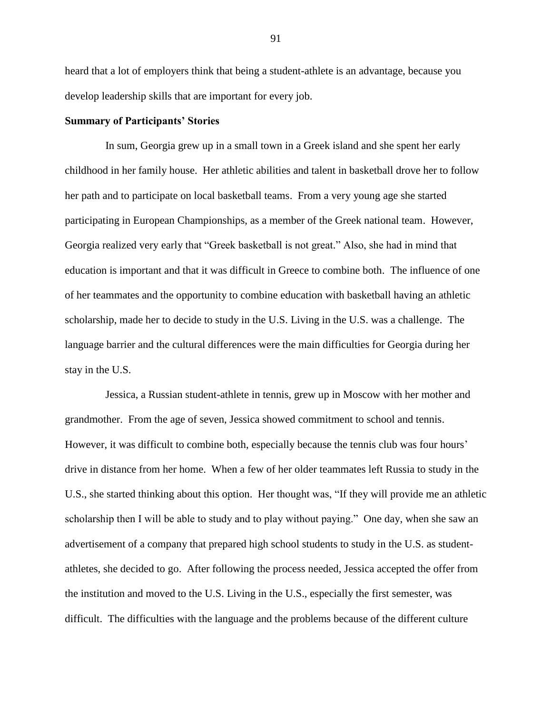heard that a lot of employers think that being a student-athlete is an advantage, because you develop leadership skills that are important for every job.

## **Summary of Participants' Stories**

In sum, Georgia grew up in a small town in a Greek island and she spent her early childhood in her family house. Her athletic abilities and talent in basketball drove her to follow her path and to participate on local basketball teams. From a very young age she started participating in European Championships, as a member of the Greek national team. However, Georgia realized very early that "Greek basketball is not great." Also, she had in mind that education is important and that it was difficult in Greece to combine both. The influence of one of her teammates and the opportunity to combine education with basketball having an athletic scholarship, made her to decide to study in the U.S. Living in the U.S. was a challenge. The language barrier and the cultural differences were the main difficulties for Georgia during her stay in the U.S.

Jessica, a Russian student-athlete in tennis, grew up in Moscow with her mother and grandmother. From the age of seven, Jessica showed commitment to school and tennis. However, it was difficult to combine both, especially because the tennis club was four hours' drive in distance from her home. When a few of her older teammates left Russia to study in the U.S., she started thinking about this option. Her thought was, "If they will provide me an athletic scholarship then I will be able to study and to play without paying." One day, when she saw an advertisement of a company that prepared high school students to study in the U.S. as studentathletes, she decided to go. After following the process needed, Jessica accepted the offer from the institution and moved to the U.S. Living in the U.S., especially the first semester, was difficult. The difficulties with the language and the problems because of the different culture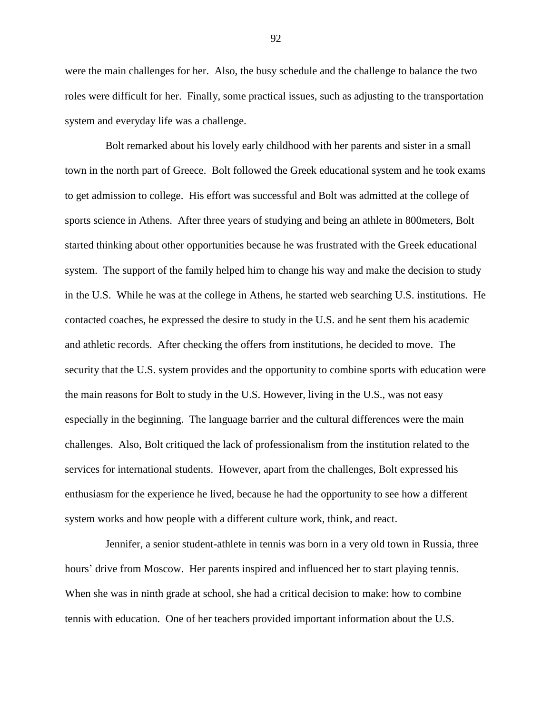were the main challenges for her. Also, the busy schedule and the challenge to balance the two roles were difficult for her. Finally, some practical issues, such as adjusting to the transportation system and everyday life was a challenge.

Bolt remarked about his lovely early childhood with her parents and sister in a small town in the north part of Greece. Bolt followed the Greek educational system and he took exams to get admission to college. His effort was successful and Bolt was admitted at the college of sports science in Athens. After three years of studying and being an athlete in 800meters, Bolt started thinking about other opportunities because he was frustrated with the Greek educational system. The support of the family helped him to change his way and make the decision to study in the U.S. While he was at the college in Athens, he started web searching U.S. institutions. He contacted coaches, he expressed the desire to study in the U.S. and he sent them his academic and athletic records. After checking the offers from institutions, he decided to move. The security that the U.S. system provides and the opportunity to combine sports with education were the main reasons for Bolt to study in the U.S. However, living in the U.S., was not easy especially in the beginning. The language barrier and the cultural differences were the main challenges. Also, Bolt critiqued the lack of professionalism from the institution related to the services for international students. However, apart from the challenges, Bolt expressed his enthusiasm for the experience he lived, because he had the opportunity to see how a different system works and how people with a different culture work, think, and react.

Jennifer, a senior student-athlete in tennis was born in a very old town in Russia, three hours' drive from Moscow. Her parents inspired and influenced her to start playing tennis. When she was in ninth grade at school, she had a critical decision to make: how to combine tennis with education. One of her teachers provided important information about the U.S.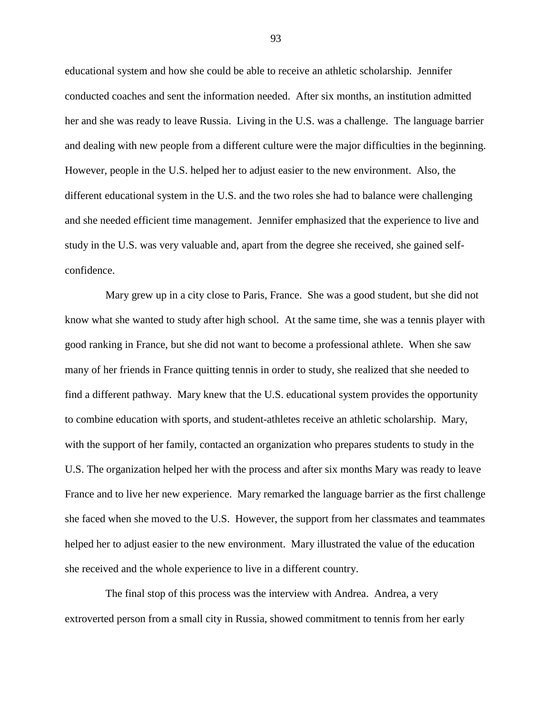educational system and how she could be able to receive an athletic scholarship. Jennifer conducted coaches and sent the information needed. After six months, an institution admitted her and she was ready to leave Russia. Living in the U.S. was a challenge. The language barrier and dealing with new people from a different culture were the major difficulties in the beginning. However, people in the U.S. helped her to adjust easier to the new environment. Also, the different educational system in the U.S. and the two roles she had to balance were challenging and she needed efficient time management. Jennifer emphasized that the experience to live and study in the U.S. was very valuable and, apart from the degree she received, she gained selfconfidence.

Mary grew up in a city close to Paris, France. She was a good student, but she did not know what she wanted to study after high school. At the same time, she was a tennis player with good ranking in France, but she did not want to become a professional athlete. When she saw many of her friends in France quitting tennis in order to study, she realized that she needed to find a different pathway. Mary knew that the U.S. educational system provides the opportunity to combine education with sports, and student-athletes receive an athletic scholarship. Mary, with the support of her family, contacted an organization who prepares students to study in the U.S. The organization helped her with the process and after six months Mary was ready to leave France and to live her new experience. Mary remarked the language barrier as the first challenge she faced when she moved to the U.S. However, the support from her classmates and teammates helped her to adjust easier to the new environment. Mary illustrated the value of the education she received and the whole experience to live in a different country.

The final stop of this process was the interview with Andrea. Andrea, a very extroverted person from a small city in Russia, showed commitment to tennis from her early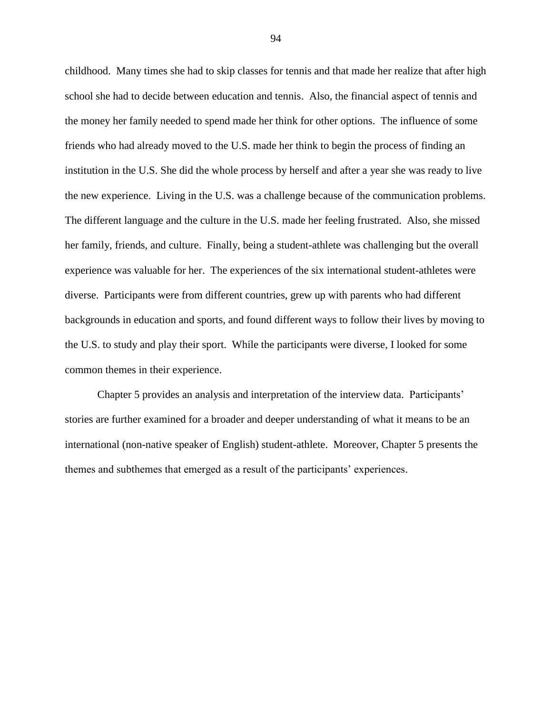childhood. Many times she had to skip classes for tennis and that made her realize that after high school she had to decide between education and tennis. Also, the financial aspect of tennis and the money her family needed to spend made her think for other options. The influence of some friends who had already moved to the U.S. made her think to begin the process of finding an institution in the U.S. She did the whole process by herself and after a year she was ready to live the new experience. Living in the U.S. was a challenge because of the communication problems. The different language and the culture in the U.S. made her feeling frustrated. Also, she missed her family, friends, and culture. Finally, being a student-athlete was challenging but the overall experience was valuable for her. The experiences of the six international student-athletes were diverse. Participants were from different countries, grew up with parents who had different backgrounds in education and sports, and found different ways to follow their lives by moving to the U.S. to study and play their sport. While the participants were diverse, I looked for some common themes in their experience.

Chapter 5 provides an analysis and interpretation of the interview data. Participants" stories are further examined for a broader and deeper understanding of what it means to be an international (non-native speaker of English) student-athlete. Moreover, Chapter 5 presents the themes and subthemes that emerged as a result of the participants" experiences.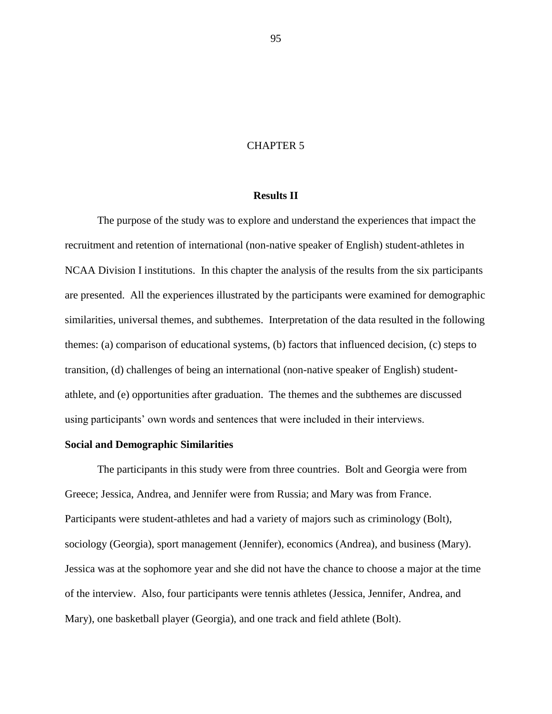## CHAPTER 5

# **Results II**

The purpose of the study was to explore and understand the experiences that impact the recruitment and retention of international (non-native speaker of English) student-athletes in NCAA Division I institutions. In this chapter the analysis of the results from the six participants are presented. All the experiences illustrated by the participants were examined for demographic similarities, universal themes, and subthemes. Interpretation of the data resulted in the following themes: (a) comparison of educational systems, (b) factors that influenced decision, (c) steps to transition, (d) challenges of being an international (non-native speaker of English) studentathlete, and (e) opportunities after graduation. The themes and the subthemes are discussed using participants" own words and sentences that were included in their interviews.

# **Social and Demographic Similarities**

The participants in this study were from three countries. Bolt and Georgia were from Greece; Jessica, Andrea, and Jennifer were from Russia; and Mary was from France. Participants were student-athletes and had a variety of majors such as criminology (Bolt), sociology (Georgia), sport management (Jennifer), economics (Andrea), and business (Mary). Jessica was at the sophomore year and she did not have the chance to choose a major at the time of the interview. Also, four participants were tennis athletes (Jessica, Jennifer, Andrea, and Mary), one basketball player (Georgia), and one track and field athlete (Bolt).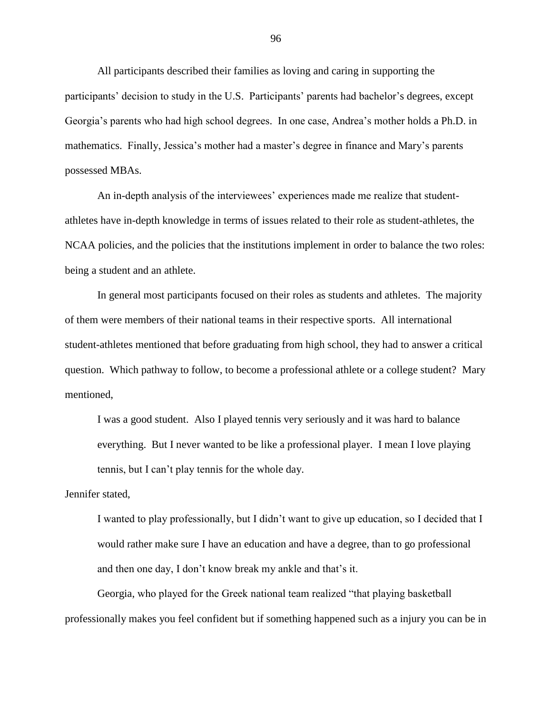All participants described their families as loving and caring in supporting the participants' decision to study in the U.S. Participants' parents had bachelor's degrees, except Georgia"s parents who had high school degrees. In one case, Andrea"s mother holds a Ph.D. in mathematics. Finally, Jessica's mother had a master's degree in finance and Mary's parents possessed MBAs.

An in-depth analysis of the interviewees' experiences made me realize that studentathletes have in-depth knowledge in terms of issues related to their role as student-athletes, the NCAA policies, and the policies that the institutions implement in order to balance the two roles: being a student and an athlete.

In general most participants focused on their roles as students and athletes. The majority of them were members of their national teams in their respective sports. All international student-athletes mentioned that before graduating from high school, they had to answer a critical question. Which pathway to follow, to become a professional athlete or a college student? Mary mentioned,

I was a good student. Also I played tennis very seriously and it was hard to balance everything. But I never wanted to be like a professional player. I mean I love playing tennis, but I can"t play tennis for the whole day.

Jennifer stated,

I wanted to play professionally, but I didn"t want to give up education, so I decided that I would rather make sure I have an education and have a degree, than to go professional and then one day, I don't know break my ankle and that's it.

Georgia, who played for the Greek national team realized "that playing basketball professionally makes you feel confident but if something happened such as a injury you can be in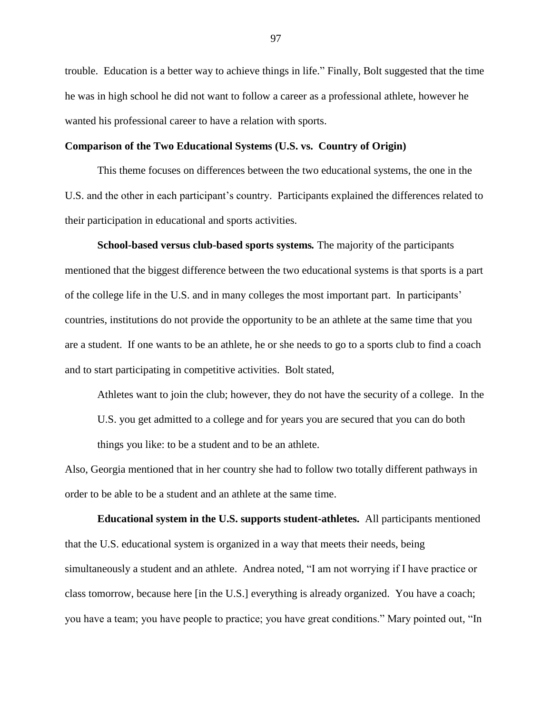trouble. Education is a better way to achieve things in life." Finally, Bolt suggested that the time he was in high school he did not want to follow a career as a professional athlete, however he wanted his professional career to have a relation with sports.

# **Comparison of the Two Educational Systems (U.S. vs. Country of Origin)**

This theme focuses on differences between the two educational systems, the one in the U.S. and the other in each participant's country. Participants explained the differences related to their participation in educational and sports activities.

**School-based versus club-based sports systems***.* The majority of the participants mentioned that the biggest difference between the two educational systems is that sports is a part of the college life in the U.S. and in many colleges the most important part. In participants" countries, institutions do not provide the opportunity to be an athlete at the same time that you are a student. If one wants to be an athlete, he or she needs to go to a sports club to find a coach and to start participating in competitive activities. Bolt stated,

Athletes want to join the club; however, they do not have the security of a college. In the U.S. you get admitted to a college and for years you are secured that you can do both things you like: to be a student and to be an athlete.

Also, Georgia mentioned that in her country she had to follow two totally different pathways in order to be able to be a student and an athlete at the same time.

**Educational system in the U.S. supports student-athletes.** All participants mentioned that the U.S. educational system is organized in a way that meets their needs, being simultaneously a student and an athlete. Andrea noted, "I am not worrying if I have practice or class tomorrow, because here [in the U.S.] everything is already organized. You have a coach; you have a team; you have people to practice; you have great conditions." Mary pointed out, "In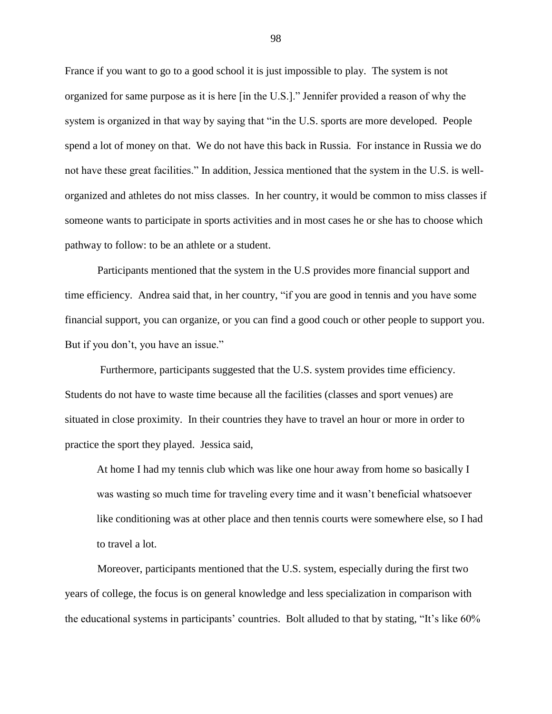France if you want to go to a good school it is just impossible to play. The system is not organized for same purpose as it is here [in the U.S.]." Jennifer provided a reason of why the system is organized in that way by saying that "in the U.S. sports are more developed. People spend a lot of money on that. We do not have this back in Russia. For instance in Russia we do not have these great facilities." In addition, Jessica mentioned that the system in the U.S. is wellorganized and athletes do not miss classes. In her country, it would be common to miss classes if someone wants to participate in sports activities and in most cases he or she has to choose which pathway to follow: to be an athlete or a student.

Participants mentioned that the system in the U.S provides more financial support and time efficiency. Andrea said that, in her country, "if you are good in tennis and you have some financial support, you can organize, or you can find a good couch or other people to support you. But if you don't, you have an issue."

Furthermore, participants suggested that the U.S. system provides time efficiency. Students do not have to waste time because all the facilities (classes and sport venues) are situated in close proximity. In their countries they have to travel an hour or more in order to practice the sport they played. Jessica said,

At home I had my tennis club which was like one hour away from home so basically I was wasting so much time for traveling every time and it wasn"t beneficial whatsoever like conditioning was at other place and then tennis courts were somewhere else, so I had to travel a lot.

Moreover, participants mentioned that the U.S. system, especially during the first two years of college, the focus is on general knowledge and less specialization in comparison with the educational systems in participants" countries. Bolt alluded to that by stating, "It"s like 60%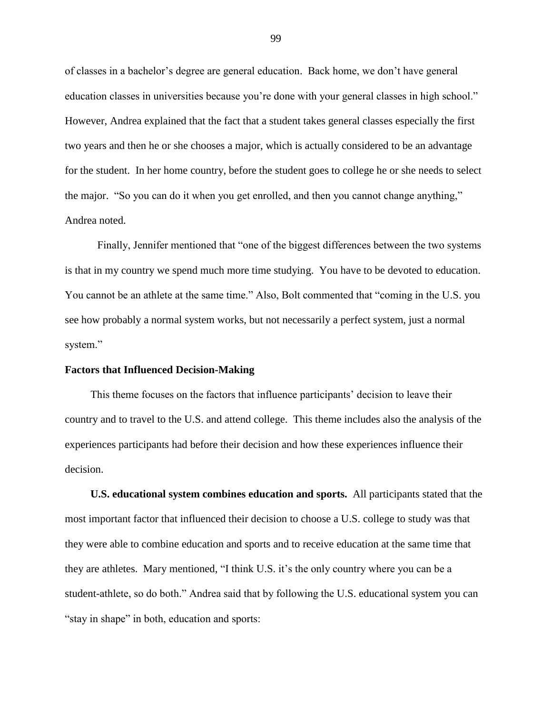of classes in a bachelor"s degree are general education. Back home, we don"t have general education classes in universities because you"re done with your general classes in high school." However, Andrea explained that the fact that a student takes general classes especially the first two years and then he or she chooses a major, which is actually considered to be an advantage for the student. In her home country, before the student goes to college he or she needs to select the major. "So you can do it when you get enrolled, and then you cannot change anything," Andrea noted.

Finally, Jennifer mentioned that "one of the biggest differences between the two systems is that in my country we spend much more time studying. You have to be devoted to education. You cannot be an athlete at the same time." Also, Bolt commented that "coming in the U.S. you see how probably a normal system works, but not necessarily a perfect system, just a normal system."

## **Factors that Influenced Decision-Making**

This theme focuses on the factors that influence participants" decision to leave their country and to travel to the U.S. and attend college. This theme includes also the analysis of the experiences participants had before their decision and how these experiences influence their decision.

**U.S. educational system combines education and sports.** All participants stated that the most important factor that influenced their decision to choose a U.S. college to study was that they were able to combine education and sports and to receive education at the same time that they are athletes. Mary mentioned, "I think U.S. it's the only country where you can be a student-athlete, so do both." Andrea said that by following the U.S. educational system you can "stay in shape" in both, education and sports: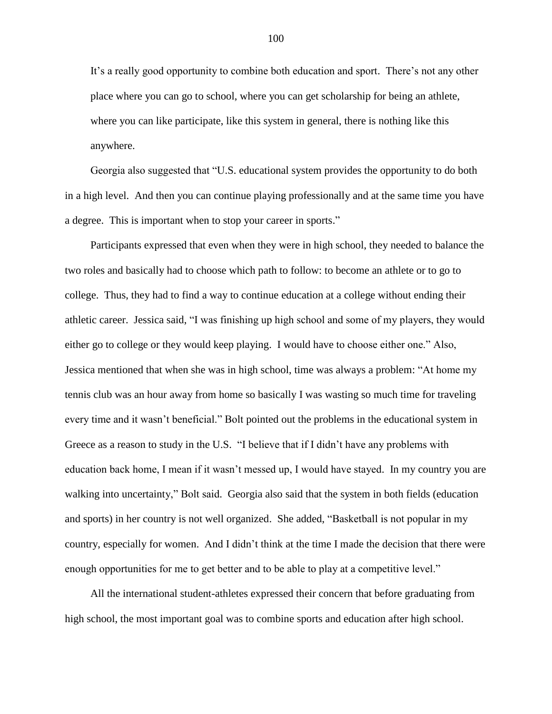It"s a really good opportunity to combine both education and sport. There"s not any other place where you can go to school, where you can get scholarship for being an athlete, where you can like participate, like this system in general, there is nothing like this anywhere.

Georgia also suggested that "U.S. educational system provides the opportunity to do both in a high level. And then you can continue playing professionally and at the same time you have a degree. This is important when to stop your career in sports."

Participants expressed that even when they were in high school, they needed to balance the two roles and basically had to choose which path to follow: to become an athlete or to go to college. Thus, they had to find a way to continue education at a college without ending their athletic career. Jessica said, "I was finishing up high school and some of my players, they would either go to college or they would keep playing. I would have to choose either one." Also, Jessica mentioned that when she was in high school, time was always a problem: "At home my tennis club was an hour away from home so basically I was wasting so much time for traveling every time and it wasn"t beneficial." Bolt pointed out the problems in the educational system in Greece as a reason to study in the U.S. "I believe that if I didn"t have any problems with education back home, I mean if it wasn"t messed up, I would have stayed. In my country you are walking into uncertainty," Bolt said. Georgia also said that the system in both fields (education and sports) in her country is not well organized. She added, "Basketball is not popular in my country, especially for women. And I didn"t think at the time I made the decision that there were enough opportunities for me to get better and to be able to play at a competitive level."

All the international student-athletes expressed their concern that before graduating from high school, the most important goal was to combine sports and education after high school.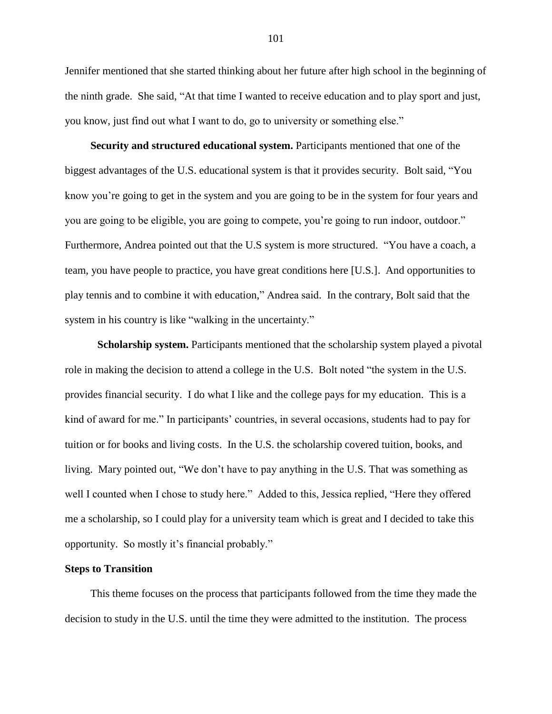Jennifer mentioned that she started thinking about her future after high school in the beginning of the ninth grade. She said, "At that time I wanted to receive education and to play sport and just, you know, just find out what I want to do, go to university or something else."

**Security and structured educational system.** Participants mentioned that one of the biggest advantages of the U.S. educational system is that it provides security. Bolt said, "You know you"re going to get in the system and you are going to be in the system for four years and you are going to be eligible, you are going to compete, you"re going to run indoor, outdoor." Furthermore, Andrea pointed out that the U.S system is more structured. "You have a coach, a team, you have people to practice, you have great conditions here [U.S.]. And opportunities to play tennis and to combine it with education," Andrea said. In the contrary, Bolt said that the system in his country is like "walking in the uncertainty."

**Scholarship system.** Participants mentioned that the scholarship system played a pivotal role in making the decision to attend a college in the U.S. Bolt noted "the system in the U.S. provides financial security. I do what I like and the college pays for my education. This is a kind of award for me." In participants' countries, in several occasions, students had to pay for tuition or for books and living costs. In the U.S. the scholarship covered tuition, books, and living. Mary pointed out, "We don"t have to pay anything in the U.S. That was something as well I counted when I chose to study here." Added to this, Jessica replied, "Here they offered me a scholarship, so I could play for a university team which is great and I decided to take this opportunity. So mostly it"s financial probably."

# **Steps to Transition**

This theme focuses on the process that participants followed from the time they made the decision to study in the U.S. until the time they were admitted to the institution. The process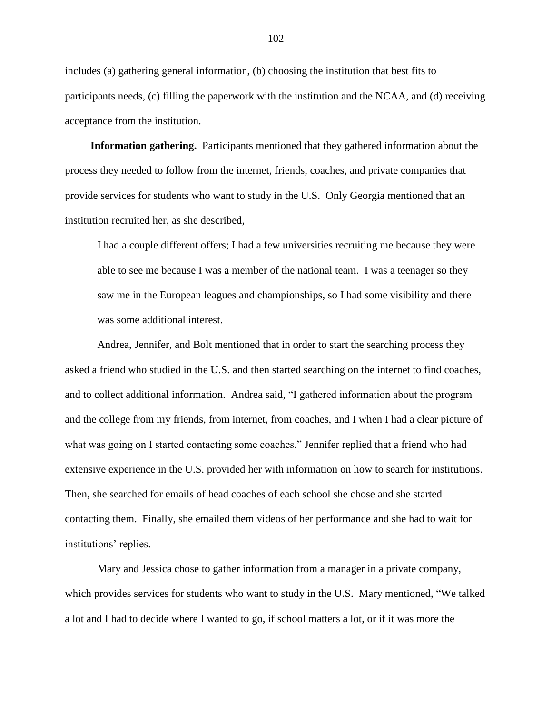includes (a) gathering general information, (b) choosing the institution that best fits to participants needs, (c) filling the paperwork with the institution and the NCAA, and (d) receiving acceptance from the institution.

**Information gathering.** Participants mentioned that they gathered information about the process they needed to follow from the internet, friends, coaches, and private companies that provide services for students who want to study in the U.S. Only Georgia mentioned that an institution recruited her, as she described,

I had a couple different offers; I had a few universities recruiting me because they were able to see me because I was a member of the national team. I was a teenager so they saw me in the European leagues and championships, so I had some visibility and there was some additional interest.

Andrea, Jennifer, and Bolt mentioned that in order to start the searching process they asked a friend who studied in the U.S. and then started searching on the internet to find coaches, and to collect additional information. Andrea said, "I gathered information about the program and the college from my friends, from internet, from coaches, and I when I had a clear picture of what was going on I started contacting some coaches." Jennifer replied that a friend who had extensive experience in the U.S. provided her with information on how to search for institutions. Then, she searched for emails of head coaches of each school she chose and she started contacting them. Finally, she emailed them videos of her performance and she had to wait for institutions' replies.

Mary and Jessica chose to gather information from a manager in a private company, which provides services for students who want to study in the U.S. Mary mentioned, "We talked a lot and I had to decide where I wanted to go, if school matters a lot, or if it was more the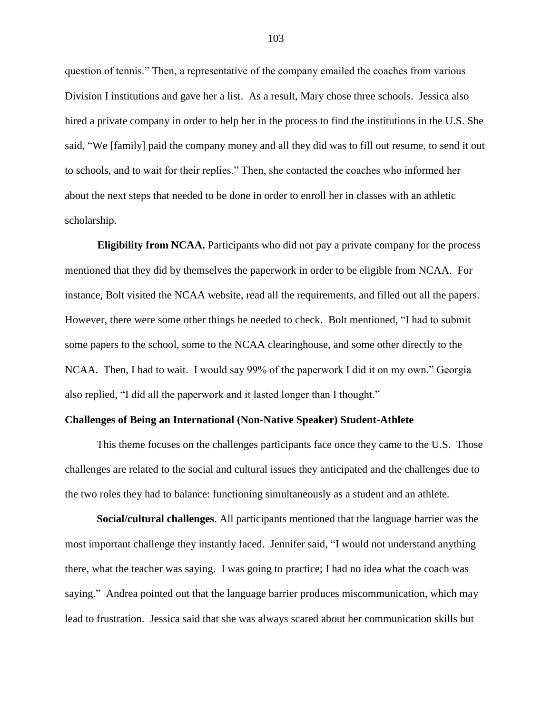question of tennis." Then, a representative of the company emailed the coaches from various Division I institutions and gave her a list. As a result, Mary chose three schools. Jessica also hired a private company in order to help her in the process to find the institutions in the U.S. She said, "We [family] paid the company money and all they did was to fill out resume, to send it out to schools, and to wait for their replies." Then, she contacted the coaches who informed her about the next steps that needed to be done in order to enroll her in classes with an athletic scholarship.

**Eligibility from NCAA.** Participants who did not pay a private company for the process mentioned that they did by themselves the paperwork in order to be eligible from NCAA. For instance, Bolt visited the NCAA website, read all the requirements, and filled out all the papers. However, there were some other things he needed to check. Bolt mentioned, "I had to submit some papers to the school, some to the NCAA clearinghouse, and some other directly to the NCAA. Then, I had to wait. I would say 99% of the paperwork I did it on my own." Georgia also replied, "I did all the paperwork and it lasted longer than I thought."

#### **Challenges of Being an International (Non-Native Speaker) Student-Athlete**

This theme focuses on the challenges participants face once they came to the U.S. Those challenges are related to the social and cultural issues they anticipated and the challenges due to the two roles they had to balance: functioning simultaneously as a student and an athlete.

**Social/cultural challenges**. All participants mentioned that the language barrier was the most important challenge they instantly faced. Jennifer said, "I would not understand anything there, what the teacher was saying. I was going to practice; I had no idea what the coach was saying." Andrea pointed out that the language barrier produces miscommunication, which may lead to frustration. Jessica said that she was always scared about her communication skills but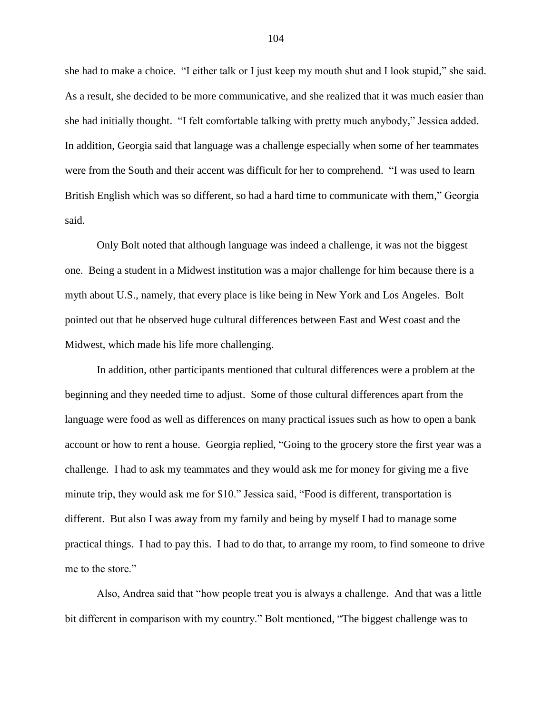she had to make a choice. "I either talk or I just keep my mouth shut and I look stupid," she said. As a result, she decided to be more communicative, and she realized that it was much easier than she had initially thought. "I felt comfortable talking with pretty much anybody," Jessica added. In addition, Georgia said that language was a challenge especially when some of her teammates were from the South and their accent was difficult for her to comprehend. "I was used to learn British English which was so different, so had a hard time to communicate with them," Georgia said.

Only Bolt noted that although language was indeed a challenge, it was not the biggest one. Being a student in a Midwest institution was a major challenge for him because there is a myth about U.S., namely, that every place is like being in New York and Los Angeles. Bolt pointed out that he observed huge cultural differences between East and West coast and the Midwest, which made his life more challenging.

In addition, other participants mentioned that cultural differences were a problem at the beginning and they needed time to adjust. Some of those cultural differences apart from the language were food as well as differences on many practical issues such as how to open a bank account or how to rent a house. Georgia replied, "Going to the grocery store the first year was a challenge. I had to ask my teammates and they would ask me for money for giving me a five minute trip, they would ask me for \$10." Jessica said, "Food is different, transportation is different. But also I was away from my family and being by myself I had to manage some practical things. I had to pay this. I had to do that, to arrange my room, to find someone to drive me to the store."

Also, Andrea said that "how people treat you is always a challenge. And that was a little bit different in comparison with my country." Bolt mentioned, "The biggest challenge was to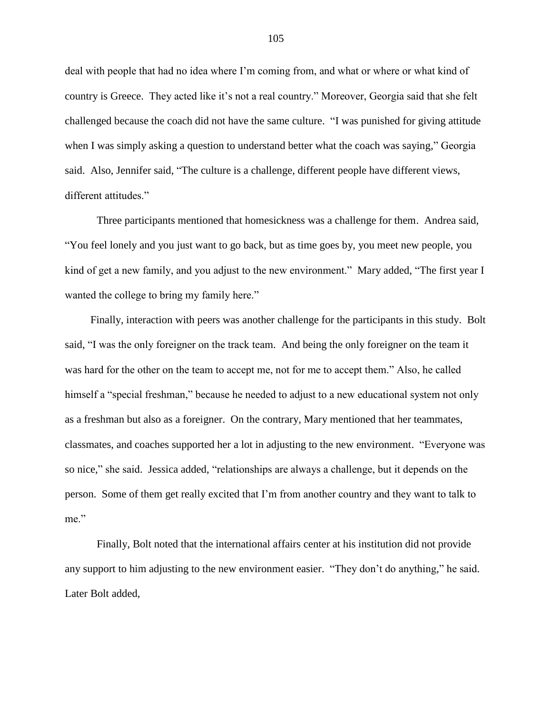deal with people that had no idea where I"m coming from, and what or where or what kind of country is Greece. They acted like it"s not a real country." Moreover, Georgia said that she felt challenged because the coach did not have the same culture. "I was punished for giving attitude when I was simply asking a question to understand better what the coach was saying," Georgia said. Also, Jennifer said, "The culture is a challenge, different people have different views, different attitudes."

Three participants mentioned that homesickness was a challenge for them. Andrea said, "You feel lonely and you just want to go back, but as time goes by, you meet new people, you kind of get a new family, and you adjust to the new environment." Mary added, "The first year I wanted the college to bring my family here."

Finally, interaction with peers was another challenge for the participants in this study. Bolt said, "I was the only foreigner on the track team. And being the only foreigner on the team it was hard for the other on the team to accept me, not for me to accept them." Also, he called himself a "special freshman," because he needed to adjust to a new educational system not only as a freshman but also as a foreigner. On the contrary, Mary mentioned that her teammates, classmates, and coaches supported her a lot in adjusting to the new environment. "Everyone was so nice," she said. Jessica added, "relationships are always a challenge, but it depends on the person. Some of them get really excited that I"m from another country and they want to talk to me."

Finally, Bolt noted that the international affairs center at his institution did not provide any support to him adjusting to the new environment easier. "They don"t do anything," he said. Later Bolt added,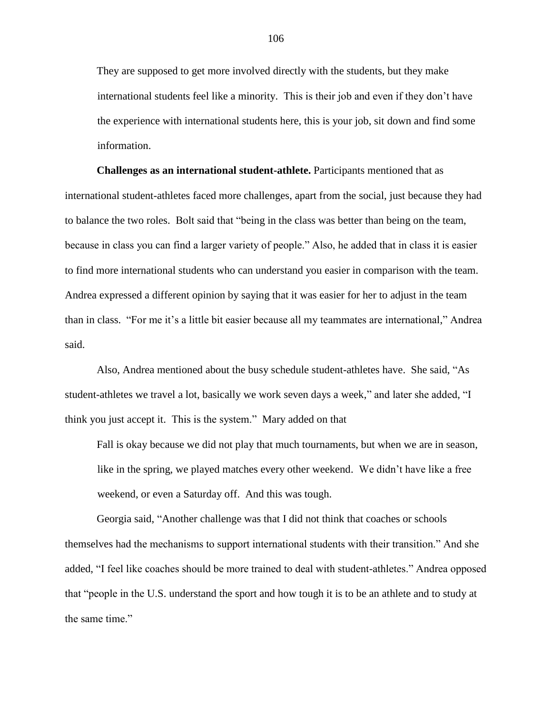They are supposed to get more involved directly with the students, but they make international students feel like a minority. This is their job and even if they don"t have the experience with international students here, this is your job, sit down and find some information.

**Challenges as an international student-athlete.** Participants mentioned that as international student-athletes faced more challenges, apart from the social, just because they had to balance the two roles. Bolt said that "being in the class was better than being on the team, because in class you can find a larger variety of people." Also, he added that in class it is easier to find more international students who can understand you easier in comparison with the team. Andrea expressed a different opinion by saying that it was easier for her to adjust in the team than in class. "For me it"s a little bit easier because all my teammates are international," Andrea said.

Also, Andrea mentioned about the busy schedule student-athletes have. She said, "As student-athletes we travel a lot, basically we work seven days a week," and later she added, "I think you just accept it. This is the system." Mary added on that

Fall is okay because we did not play that much tournaments, but when we are in season, like in the spring, we played matches every other weekend. We didn"t have like a free weekend, or even a Saturday off. And this was tough.

Georgia said, "Another challenge was that I did not think that coaches or schools themselves had the mechanisms to support international students with their transition." And she added, "I feel like coaches should be more trained to deal with student-athletes." Andrea opposed that "people in the U.S. understand the sport and how tough it is to be an athlete and to study at the same time."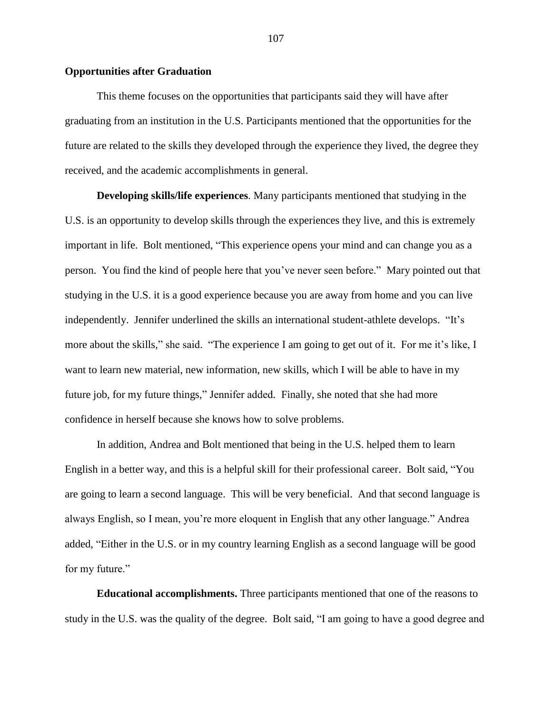# **Opportunities after Graduation**

This theme focuses on the opportunities that participants said they will have after graduating from an institution in the U.S. Participants mentioned that the opportunities for the future are related to the skills they developed through the experience they lived, the degree they received, and the academic accomplishments in general.

**Developing skills/life experiences**. Many participants mentioned that studying in the U.S. is an opportunity to develop skills through the experiences they live, and this is extremely important in life. Bolt mentioned, "This experience opens your mind and can change you as a person. You find the kind of people here that you"ve never seen before." Mary pointed out that studying in the U.S. it is a good experience because you are away from home and you can live independently. Jennifer underlined the skills an international student-athlete develops. "It's more about the skills," she said. "The experience I am going to get out of it. For me it's like, I want to learn new material, new information, new skills, which I will be able to have in my future job, for my future things," Jennifer added. Finally, she noted that she had more confidence in herself because she knows how to solve problems.

In addition, Andrea and Bolt mentioned that being in the U.S. helped them to learn English in a better way, and this is a helpful skill for their professional career. Bolt said, "You are going to learn a second language. This will be very beneficial. And that second language is always English, so I mean, you"re more eloquent in English that any other language." Andrea added, "Either in the U.S. or in my country learning English as a second language will be good for my future."

**Educational accomplishments.** Three participants mentioned that one of the reasons to study in the U.S. was the quality of the degree. Bolt said, "I am going to have a good degree and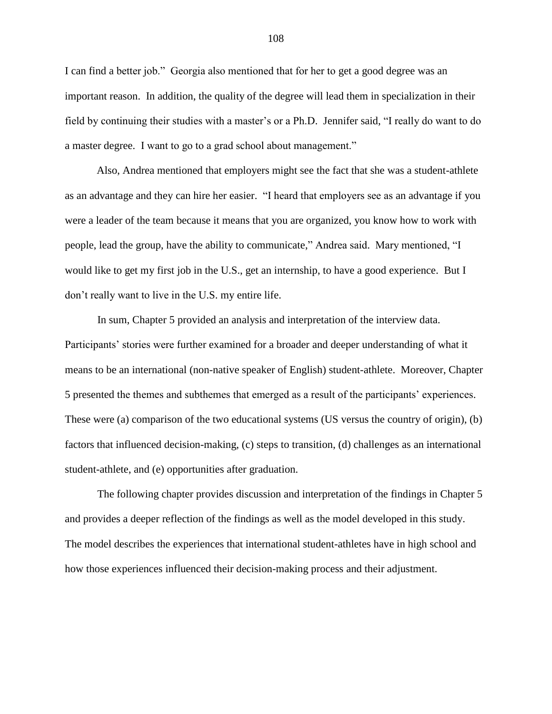I can find a better job." Georgia also mentioned that for her to get a good degree was an important reason. In addition, the quality of the degree will lead them in specialization in their field by continuing their studies with a master's or a Ph.D. Jennifer said, "I really do want to do a master degree. I want to go to a grad school about management."

Also, Andrea mentioned that employers might see the fact that she was a student-athlete as an advantage and they can hire her easier. "I heard that employers see as an advantage if you were a leader of the team because it means that you are organized, you know how to work with people, lead the group, have the ability to communicate," Andrea said. Mary mentioned, "I would like to get my first job in the U.S., get an internship, to have a good experience. But I don"t really want to live in the U.S. my entire life.

In sum, Chapter 5 provided an analysis and interpretation of the interview data. Participants' stories were further examined for a broader and deeper understanding of what it means to be an international (non-native speaker of English) student-athlete. Moreover, Chapter 5 presented the themes and subthemes that emerged as a result of the participants" experiences. These were (a) comparison of the two educational systems (US versus the country of origin), (b) factors that influenced decision-making, (c) steps to transition, (d) challenges as an international student-athlete, and (e) opportunities after graduation.

The following chapter provides discussion and interpretation of the findings in Chapter 5 and provides a deeper reflection of the findings as well as the model developed in this study. The model describes the experiences that international student-athletes have in high school and how those experiences influenced their decision-making process and their adjustment.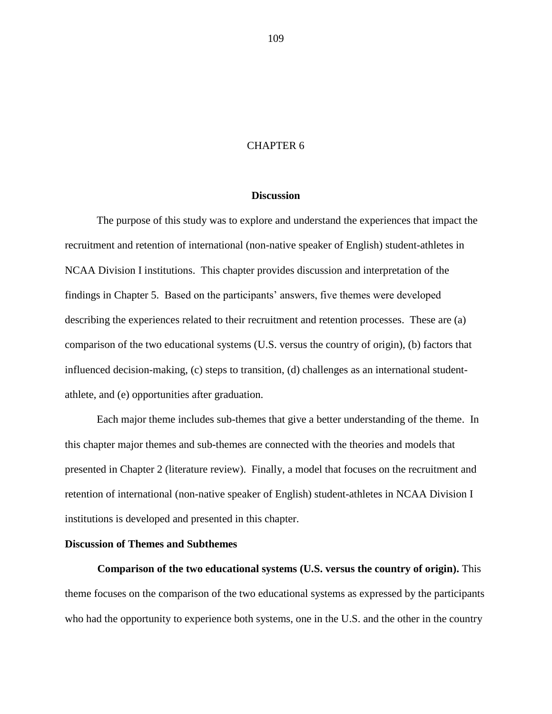# CHAPTER 6

#### **Discussion**

The purpose of this study was to explore and understand the experiences that impact the recruitment and retention of international (non-native speaker of English) student-athletes in NCAA Division I institutions. This chapter provides discussion and interpretation of the findings in Chapter 5. Based on the participants" answers, five themes were developed describing the experiences related to their recruitment and retention processes. These are (a) comparison of the two educational systems (U.S. versus the country of origin), (b) factors that influenced decision-making, (c) steps to transition, (d) challenges as an international studentathlete, and (e) opportunities after graduation.

Each major theme includes sub-themes that give a better understanding of the theme. In this chapter major themes and sub-themes are connected with the theories and models that presented in Chapter 2 (literature review). Finally, a model that focuses on the recruitment and retention of international (non-native speaker of English) student-athletes in NCAA Division I institutions is developed and presented in this chapter.

### **Discussion of Themes and Subthemes**

**Comparison of the two educational systems (U.S. versus the country of origin).** This theme focuses on the comparison of the two educational systems as expressed by the participants who had the opportunity to experience both systems, one in the U.S. and the other in the country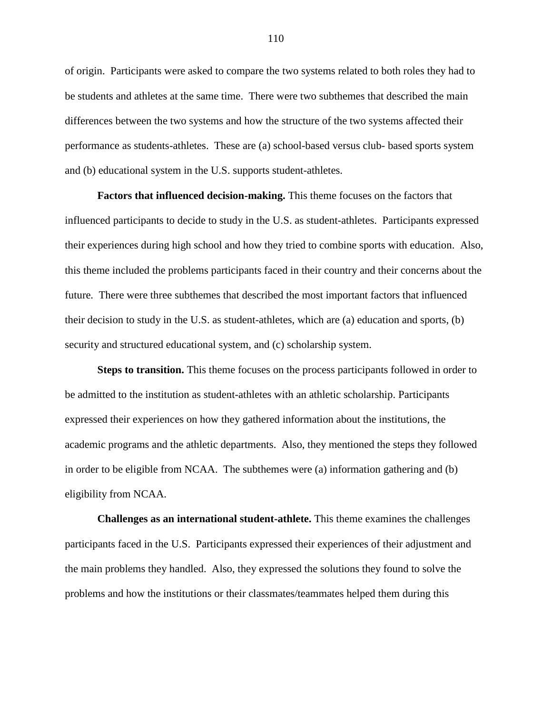of origin. Participants were asked to compare the two systems related to both roles they had to be students and athletes at the same time. There were two subthemes that described the main differences between the two systems and how the structure of the two systems affected their performance as students-athletes. These are (a) school-based versus club- based sports system and (b) educational system in the U.S. supports student-athletes.

**Factors that influenced decision-making.** This theme focuses on the factors that influenced participants to decide to study in the U.S. as student-athletes. Participants expressed their experiences during high school and how they tried to combine sports with education. Also, this theme included the problems participants faced in their country and their concerns about the future. There were three subthemes that described the most important factors that influenced their decision to study in the U.S. as student-athletes, which are (a) education and sports, (b) security and structured educational system, and (c) scholarship system.

**Steps to transition.** This theme focuses on the process participants followed in order to be admitted to the institution as student-athletes with an athletic scholarship. Participants expressed their experiences on how they gathered information about the institutions, the academic programs and the athletic departments. Also, they mentioned the steps they followed in order to be eligible from NCAA. The subthemes were (a) information gathering and (b) eligibility from NCAA.

**Challenges as an international student-athlete.** This theme examines the challenges participants faced in the U.S. Participants expressed their experiences of their adjustment and the main problems they handled. Also, they expressed the solutions they found to solve the problems and how the institutions or their classmates/teammates helped them during this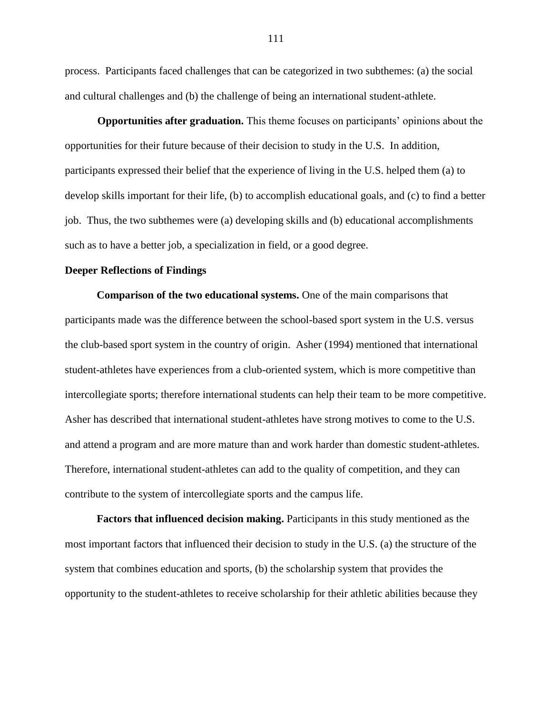process. Participants faced challenges that can be categorized in two subthemes: (a) the social and cultural challenges and (b) the challenge of being an international student-athlete.

**Opportunities after graduation.** This theme focuses on participants' opinions about the opportunities for their future because of their decision to study in the U.S. In addition, participants expressed their belief that the experience of living in the U.S. helped them (a) to develop skills important for their life, (b) to accomplish educational goals, and (c) to find a better job. Thus, the two subthemes were (a) developing skills and (b) educational accomplishments such as to have a better job, a specialization in field, or a good degree.

## **Deeper Reflections of Findings**

**Comparison of the two educational systems.** One of the main comparisons that participants made was the difference between the school-based sport system in the U.S. versus the club-based sport system in the country of origin. Asher (1994) mentioned that international student-athletes have experiences from a club-oriented system, which is more competitive than intercollegiate sports; therefore international students can help their team to be more competitive. Asher has described that international student-athletes have strong motives to come to the U.S. and attend a program and are more mature than and work harder than domestic student-athletes. Therefore, international student-athletes can add to the quality of competition, and they can contribute to the system of intercollegiate sports and the campus life.

**Factors that influenced decision making.** Participants in this study mentioned as the most important factors that influenced their decision to study in the U.S. (a) the structure of the system that combines education and sports, (b) the scholarship system that provides the opportunity to the student-athletes to receive scholarship for their athletic abilities because they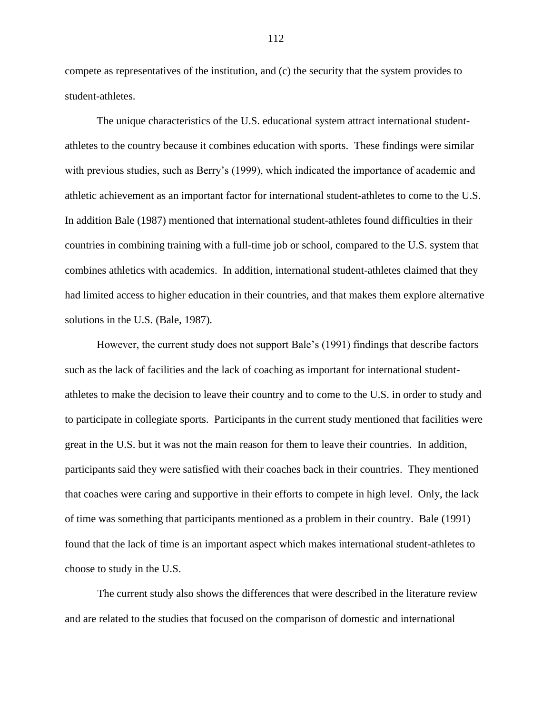compete as representatives of the institution, and (c) the security that the system provides to student-athletes.

The unique characteristics of the U.S. educational system attract international studentathletes to the country because it combines education with sports. These findings were similar with previous studies, such as Berry"s (1999), which indicated the importance of academic and athletic achievement as an important factor for international student-athletes to come to the U.S. In addition Bale (1987) mentioned that international student-athletes found difficulties in their countries in combining training with a full-time job or school, compared to the U.S. system that combines athletics with academics. In addition, international student-athletes claimed that they had limited access to higher education in their countries, and that makes them explore alternative solutions in the U.S. (Bale, 1987).

However, the current study does not support Bale"s (1991) findings that describe factors such as the lack of facilities and the lack of coaching as important for international studentathletes to make the decision to leave their country and to come to the U.S. in order to study and to participate in collegiate sports. Participants in the current study mentioned that facilities were great in the U.S. but it was not the main reason for them to leave their countries. In addition, participants said they were satisfied with their coaches back in their countries. They mentioned that coaches were caring and supportive in their efforts to compete in high level. Only, the lack of time was something that participants mentioned as a problem in their country. Bale (1991) found that the lack of time is an important aspect which makes international student-athletes to choose to study in the U.S.

The current study also shows the differences that were described in the literature review and are related to the studies that focused on the comparison of domestic and international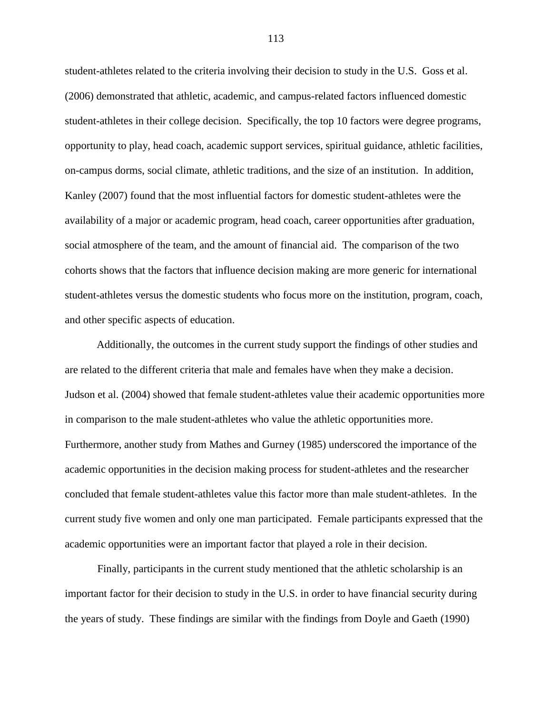student-athletes related to the criteria involving their decision to study in the U.S. Goss et al. (2006) demonstrated that athletic, academic, and campus-related factors influenced domestic student-athletes in their college decision. Specifically, the top 10 factors were degree programs, opportunity to play, head coach, academic support services, spiritual guidance, athletic facilities, on-campus dorms, social climate, athletic traditions, and the size of an institution. In addition, Kanley (2007) found that the most influential factors for domestic student-athletes were the availability of a major or academic program, head coach, career opportunities after graduation, social atmosphere of the team, and the amount of financial aid. The comparison of the two cohorts shows that the factors that influence decision making are more generic for international student-athletes versus the domestic students who focus more on the institution, program, coach, and other specific aspects of education.

Additionally, the outcomes in the current study support the findings of other studies and are related to the different criteria that male and females have when they make a decision. Judson et al. (2004) showed that female student-athletes value their academic opportunities more in comparison to the male student-athletes who value the athletic opportunities more. Furthermore, another study from Mathes and Gurney (1985) underscored the importance of the academic opportunities in the decision making process for student-athletes and the researcher concluded that female student-athletes value this factor more than male student-athletes. In the current study five women and only one man participated. Female participants expressed that the academic opportunities were an important factor that played a role in their decision.

Finally, participants in the current study mentioned that the athletic scholarship is an important factor for their decision to study in the U.S. in order to have financial security during the years of study. These findings are similar with the findings from Doyle and Gaeth (1990)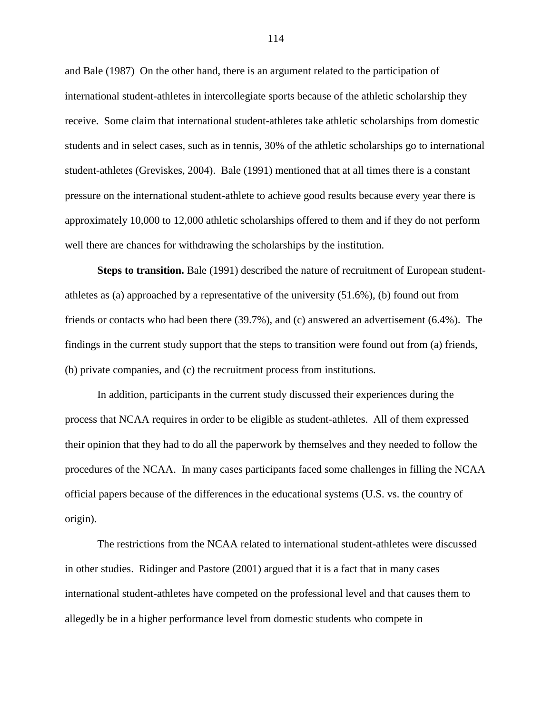and Bale (1987) On the other hand, there is an argument related to the participation of international student-athletes in intercollegiate sports because of the athletic scholarship they receive. Some claim that international student-athletes take athletic scholarships from domestic students and in select cases, such as in tennis, 30% of the athletic scholarships go to international student-athletes (Greviskes, 2004). Bale (1991) mentioned that at all times there is a constant pressure on the international student-athlete to achieve good results because every year there is approximately 10,000 to 12,000 athletic scholarships offered to them and if they do not perform well there are chances for withdrawing the scholarships by the institution.

**Steps to transition.** Bale (1991) described the nature of recruitment of European studentathletes as (a) approached by a representative of the university (51.6%), (b) found out from friends or contacts who had been there (39.7%), and (c) answered an advertisement (6.4%). The findings in the current study support that the steps to transition were found out from (a) friends, (b) private companies, and (c) the recruitment process from institutions.

In addition, participants in the current study discussed their experiences during the process that NCAA requires in order to be eligible as student-athletes. All of them expressed their opinion that they had to do all the paperwork by themselves and they needed to follow the procedures of the NCAA. In many cases participants faced some challenges in filling the NCAA official papers because of the differences in the educational systems (U.S. vs. the country of origin).

The restrictions from the NCAA related to international student-athletes were discussed in other studies. Ridinger and Pastore (2001) argued that it is a fact that in many cases international student-athletes have competed on the professional level and that causes them to allegedly be in a higher performance level from domestic students who compete in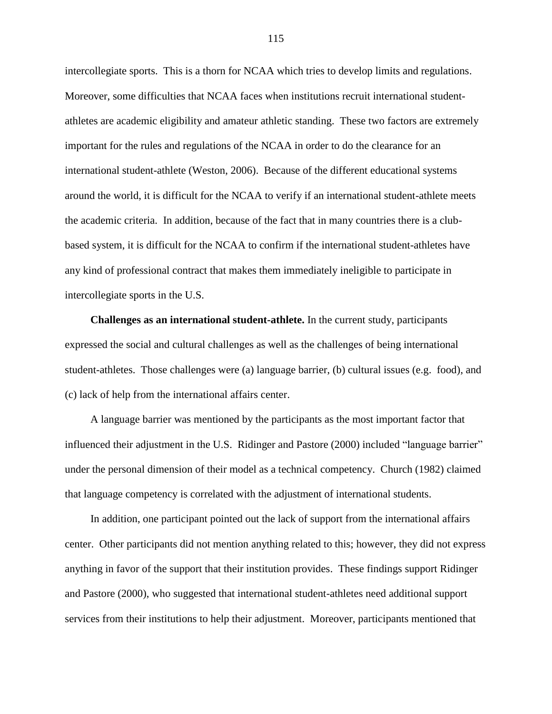intercollegiate sports. This is a thorn for NCAA which tries to develop limits and regulations. Moreover, some difficulties that NCAA faces when institutions recruit international studentathletes are academic eligibility and amateur athletic standing. These two factors are extremely important for the rules and regulations of the NCAA in order to do the clearance for an international student-athlete (Weston, 2006). Because of the different educational systems around the world, it is difficult for the NCAA to verify if an international student-athlete meets the academic criteria. In addition, because of the fact that in many countries there is a clubbased system, it is difficult for the NCAA to confirm if the international student-athletes have any kind of professional contract that makes them immediately ineligible to participate in intercollegiate sports in the U.S.

**Challenges as an international student-athlete.** In the current study, participants expressed the social and cultural challenges as well as the challenges of being international student-athletes. Those challenges were (a) language barrier, (b) cultural issues (e.g. food), and (c) lack of help from the international affairs center.

A language barrier was mentioned by the participants as the most important factor that influenced their adjustment in the U.S. Ridinger and Pastore (2000) included "language barrier" under the personal dimension of their model as a technical competency. Church (1982) claimed that language competency is correlated with the adjustment of international students.

In addition, one participant pointed out the lack of support from the international affairs center. Other participants did not mention anything related to this; however, they did not express anything in favor of the support that their institution provides. These findings support Ridinger and Pastore (2000), who suggested that international student-athletes need additional support services from their institutions to help their adjustment. Moreover, participants mentioned that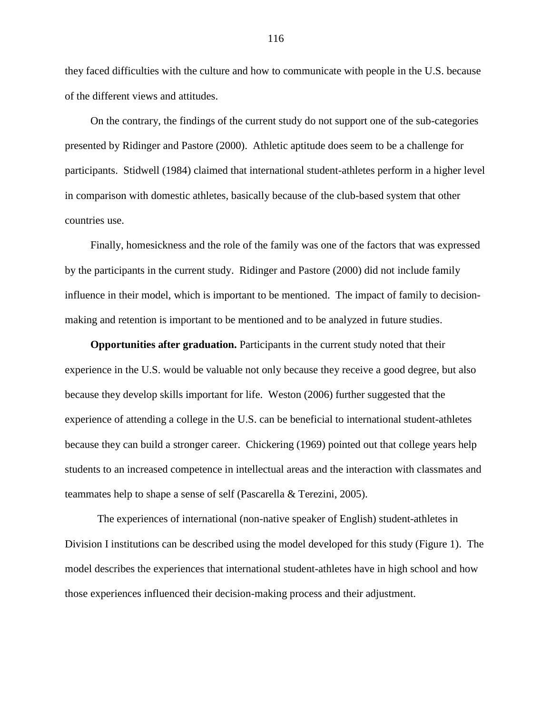they faced difficulties with the culture and how to communicate with people in the U.S. because of the different views and attitudes.

On the contrary, the findings of the current study do not support one of the sub-categories presented by Ridinger and Pastore (2000). Athletic aptitude does seem to be a challenge for participants. Stidwell (1984) claimed that international student-athletes perform in a higher level in comparison with domestic athletes, basically because of the club-based system that other countries use.

Finally, homesickness and the role of the family was one of the factors that was expressed by the participants in the current study. Ridinger and Pastore (2000) did not include family influence in their model, which is important to be mentioned. The impact of family to decisionmaking and retention is important to be mentioned and to be analyzed in future studies.

**Opportunities after graduation.** Participants in the current study noted that their experience in the U.S. would be valuable not only because they receive a good degree, but also because they develop skills important for life. Weston (2006) further suggested that the experience of attending a college in the U.S. can be beneficial to international student-athletes because they can build a stronger career. Chickering (1969) pointed out that college years help students to an increased competence in intellectual areas and the interaction with classmates and teammates help to shape a sense of self (Pascarella & Terezini, 2005).

The experiences of international (non-native speaker of English) student-athletes in Division I institutions can be described using the model developed for this study (Figure 1). The model describes the experiences that international student-athletes have in high school and how those experiences influenced their decision-making process and their adjustment.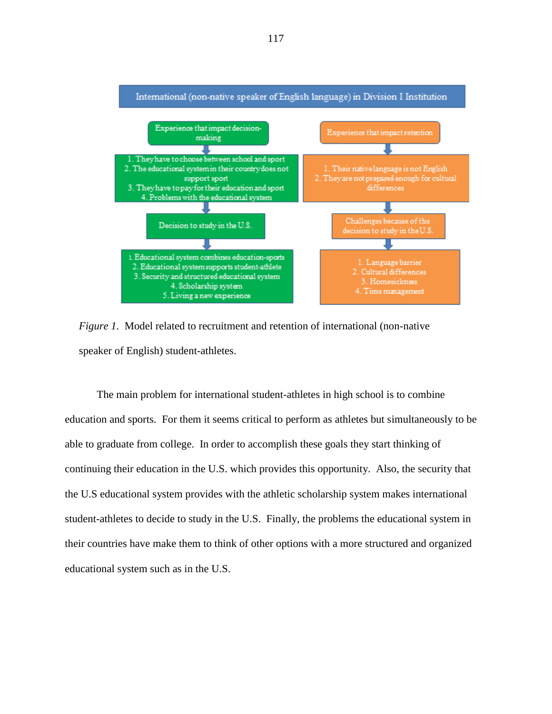

*Figure 1.* Model related to recruitment and retention of international (non-native speaker of English) student-athletes.

The main problem for international student-athletes in high school is to combine education and sports. For them it seems critical to perform as athletes but simultaneously to be able to graduate from college. In order to accomplish these goals they start thinking of continuing their education in the U.S. which provides this opportunity. Also, the security that the U.S educational system provides with the athletic scholarship system makes international student-athletes to decide to study in the U.S. Finally, the problems the educational system in their countries have make them to think of other options with a more structured and organized educational system such as in the U.S.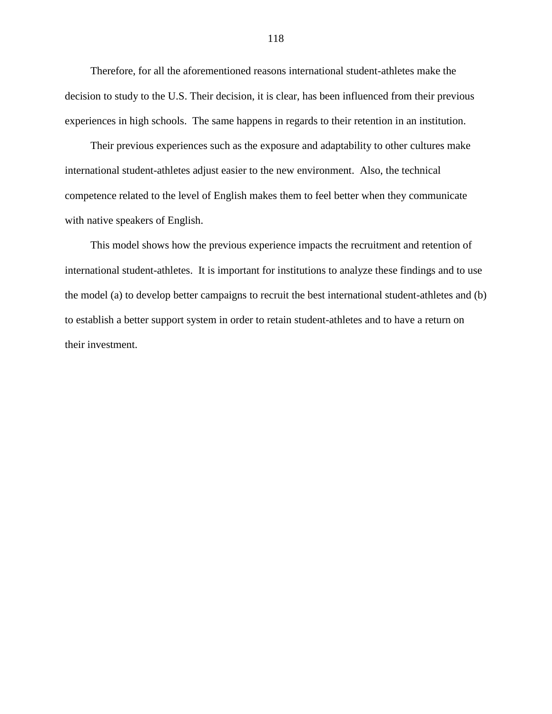Therefore, for all the aforementioned reasons international student-athletes make the decision to study to the U.S. Their decision, it is clear, has been influenced from their previous experiences in high schools. The same happens in regards to their retention in an institution.

Their previous experiences such as the exposure and adaptability to other cultures make international student-athletes adjust easier to the new environment. Also, the technical competence related to the level of English makes them to feel better when they communicate with native speakers of English.

This model shows how the previous experience impacts the recruitment and retention of international student-athletes. It is important for institutions to analyze these findings and to use the model (a) to develop better campaigns to recruit the best international student-athletes and (b) to establish a better support system in order to retain student-athletes and to have a return on their investment.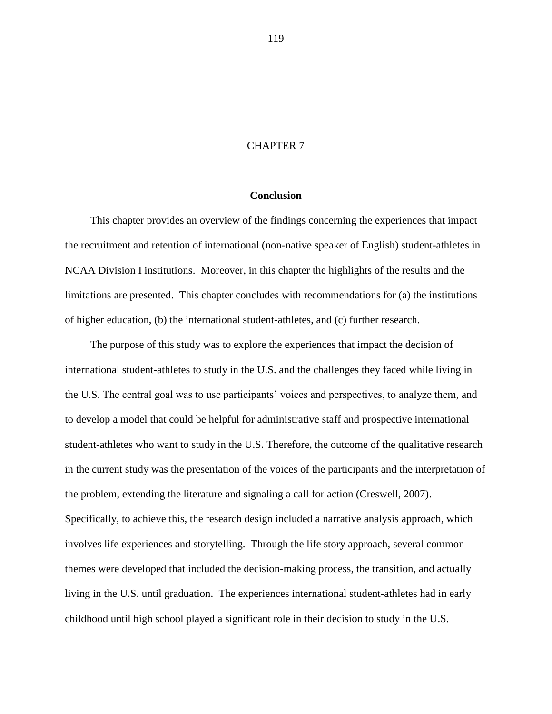# CHAPTER 7

# **Conclusion**

This chapter provides an overview of the findings concerning the experiences that impact the recruitment and retention of international (non-native speaker of English) student-athletes in NCAA Division I institutions. Moreover, in this chapter the highlights of the results and the limitations are presented. This chapter concludes with recommendations for (a) the institutions of higher education, (b) the international student-athletes, and (c) further research.

The purpose of this study was to explore the experiences that impact the decision of international student-athletes to study in the U.S. and the challenges they faced while living in the U.S. The central goal was to use participants" voices and perspectives, to analyze them, and to develop a model that could be helpful for administrative staff and prospective international student-athletes who want to study in the U.S. Therefore, the outcome of the qualitative research in the current study was the presentation of the voices of the participants and the interpretation of the problem, extending the literature and signaling a call for action (Creswell, 2007). Specifically, to achieve this, the research design included a narrative analysis approach, which involves life experiences and storytelling. Through the life story approach, several common themes were developed that included the decision-making process, the transition, and actually living in the U.S. until graduation. The experiences international student-athletes had in early childhood until high school played a significant role in their decision to study in the U.S.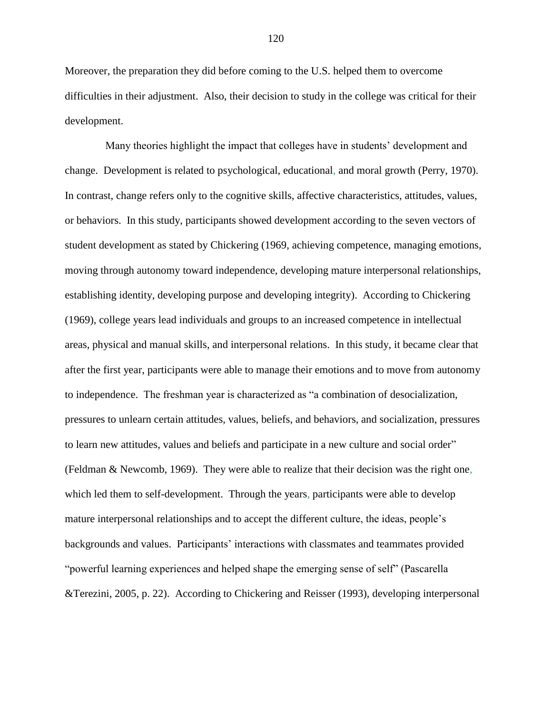Moreover, the preparation they did before coming to the U.S. helped them to overcome difficulties in their adjustment. Also, their decision to study in the college was critical for their development.

Many theories highlight the impact that colleges have in students" development and change. Development is related to psychological, educational, and moral growth (Perry, 1970). In contrast, change refers only to the cognitive skills, affective characteristics, attitudes, values, or behaviors. In this study, participants showed development according to the seven vectors of student development as stated by Chickering (1969, achieving competence, managing emotions, moving through autonomy toward independence, developing mature interpersonal relationships, establishing identity, developing purpose and developing integrity). According to Chickering (1969), college years lead individuals and groups to an increased competence in intellectual areas, physical and manual skills, and interpersonal relations. In this study, it became clear that after the first year, participants were able to manage their emotions and to move from autonomy to independence. The freshman year is characterized as "a combination of desocialization, pressures to unlearn certain attitudes, values, beliefs, and behaviors, and socialization, pressures to learn new attitudes, values and beliefs and participate in a new culture and social order" (Feldman & Newcomb, 1969). They were able to realize that their decision was the right one, which led them to self-development. Through the years, participants were able to develop mature interpersonal relationships and to accept the different culture, the ideas, people"s backgrounds and values. Participants" interactions with classmates and teammates provided "powerful learning experiences and helped shape the emerging sense of self" (Pascarella &Terezini, 2005, p. 22). According to Chickering and Reisser (1993), developing interpersonal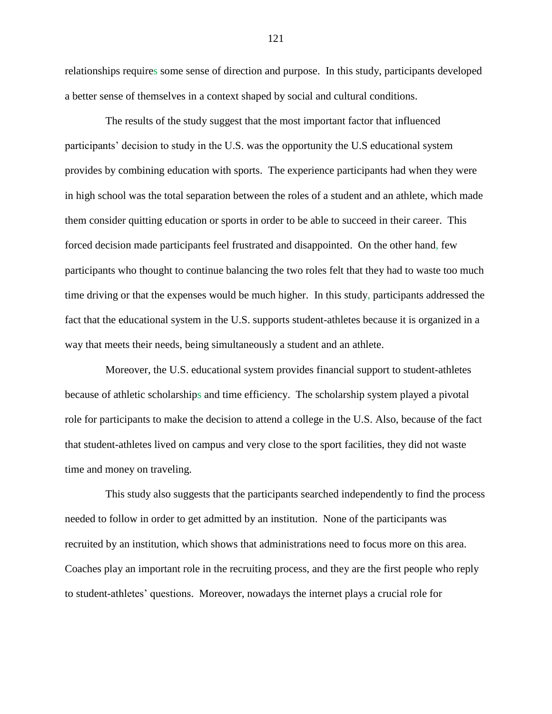relationships requires some sense of direction and purpose. In this study, participants developed a better sense of themselves in a context shaped by social and cultural conditions.

The results of the study suggest that the most important factor that influenced participants" decision to study in the U.S. was the opportunity the U.S educational system provides by combining education with sports. The experience participants had when they were in high school was the total separation between the roles of a student and an athlete, which made them consider quitting education or sports in order to be able to succeed in their career. This forced decision made participants feel frustrated and disappointed. On the other hand, few participants who thought to continue balancing the two roles felt that they had to waste too much time driving or that the expenses would be much higher. In this study, participants addressed the fact that the educational system in the U.S. supports student-athletes because it is organized in a way that meets their needs, being simultaneously a student and an athlete.

Moreover, the U.S. educational system provides financial support to student-athletes because of athletic scholarships and time efficiency. The scholarship system played a pivotal role for participants to make the decision to attend a college in the U.S. Also, because of the fact that student-athletes lived on campus and very close to the sport facilities, they did not waste time and money on traveling.

This study also suggests that the participants searched independently to find the process needed to follow in order to get admitted by an institution. None of the participants was recruited by an institution, which shows that administrations need to focus more on this area. Coaches play an important role in the recruiting process, and they are the first people who reply to student-athletes" questions. Moreover, nowadays the internet plays a crucial role for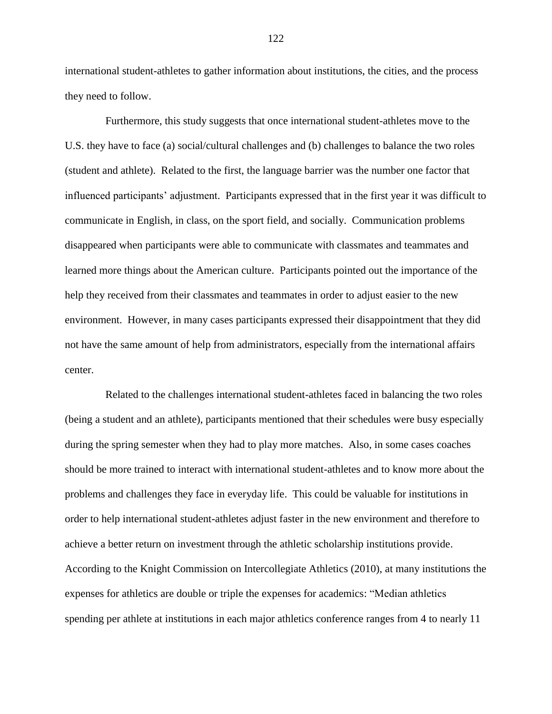international student-athletes to gather information about institutions, the cities, and the process they need to follow.

Furthermore, this study suggests that once international student-athletes move to the U.S. they have to face (a) social/cultural challenges and (b) challenges to balance the two roles (student and athlete). Related to the first, the language barrier was the number one factor that influenced participants" adjustment. Participants expressed that in the first year it was difficult to communicate in English, in class, on the sport field, and socially. Communication problems disappeared when participants were able to communicate with classmates and teammates and learned more things about the American culture. Participants pointed out the importance of the help they received from their classmates and teammates in order to adjust easier to the new environment. However, in many cases participants expressed their disappointment that they did not have the same amount of help from administrators, especially from the international affairs center.

Related to the challenges international student-athletes faced in balancing the two roles (being a student and an athlete), participants mentioned that their schedules were busy especially during the spring semester when they had to play more matches. Also, in some cases coaches should be more trained to interact with international student-athletes and to know more about the problems and challenges they face in everyday life. This could be valuable for institutions in order to help international student-athletes adjust faster in the new environment and therefore to achieve a better return on investment through the athletic scholarship institutions provide. According to the Knight Commission on Intercollegiate Athletics (2010), at many institutions the expenses for athletics are double or triple the expenses for academics: "Median athletics spending per athlete at institutions in each major athletics conference ranges from 4 to nearly 11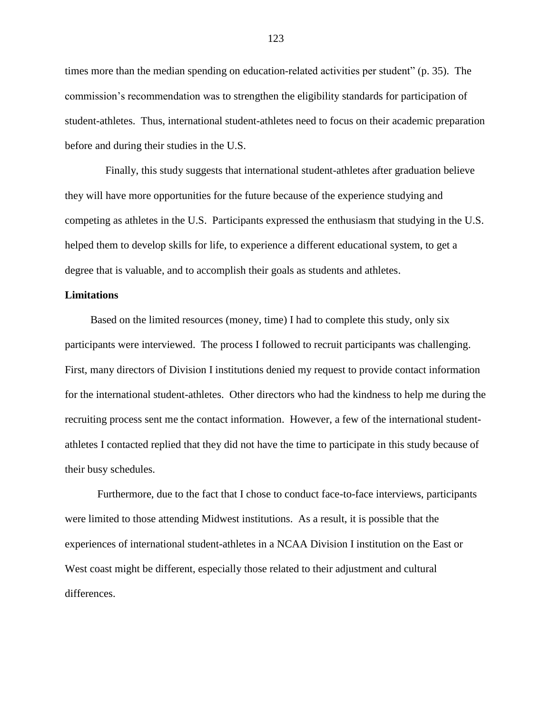times more than the median spending on education-related activities per student" (p. 35). The commission"s recommendation was to strengthen the eligibility standards for participation of student-athletes. Thus, international student-athletes need to focus on their academic preparation before and during their studies in the U.S.

Finally, this study suggests that international student-athletes after graduation believe they will have more opportunities for the future because of the experience studying and competing as athletes in the U.S. Participants expressed the enthusiasm that studying in the U.S. helped them to develop skills for life, to experience a different educational system, to get a degree that is valuable, and to accomplish their goals as students and athletes.

# **Limitations**

Based on the limited resources (money, time) I had to complete this study, only six participants were interviewed. The process I followed to recruit participants was challenging. First, many directors of Division I institutions denied my request to provide contact information for the international student-athletes. Other directors who had the kindness to help me during the recruiting process sent me the contact information. However, a few of the international studentathletes I contacted replied that they did not have the time to participate in this study because of their busy schedules.

Furthermore, due to the fact that I chose to conduct face-to-face interviews, participants were limited to those attending Midwest institutions. As a result, it is possible that the experiences of international student-athletes in a NCAA Division I institution on the East or West coast might be different, especially those related to their adjustment and cultural differences.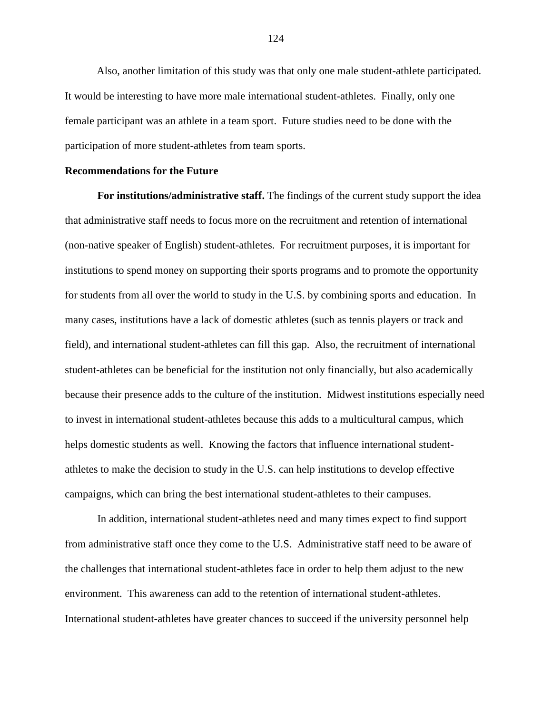Also, another limitation of this study was that only one male student-athlete participated. It would be interesting to have more male international student-athletes. Finally, only one female participant was an athlete in a team sport. Future studies need to be done with the participation of more student-athletes from team sports.

## **Recommendations for the Future**

**For institutions/administrative staff.** The findings of the current study support the idea that administrative staff needs to focus more on the recruitment and retention of international (non-native speaker of English) student-athletes. For recruitment purposes, it is important for institutions to spend money on supporting their sports programs and to promote the opportunity for students from all over the world to study in the U.S. by combining sports and education. In many cases, institutions have a lack of domestic athletes (such as tennis players or track and field), and international student-athletes can fill this gap. Also, the recruitment of international student-athletes can be beneficial for the institution not only financially, but also academically because their presence adds to the culture of the institution. Midwest institutions especially need to invest in international student-athletes because this adds to a multicultural campus, which helps domestic students as well. Knowing the factors that influence international studentathletes to make the decision to study in the U.S. can help institutions to develop effective campaigns, which can bring the best international student-athletes to their campuses.

In addition, international student-athletes need and many times expect to find support from administrative staff once they come to the U.S. Administrative staff need to be aware of the challenges that international student-athletes face in order to help them adjust to the new environment. This awareness can add to the retention of international student-athletes. International student-athletes have greater chances to succeed if the university personnel help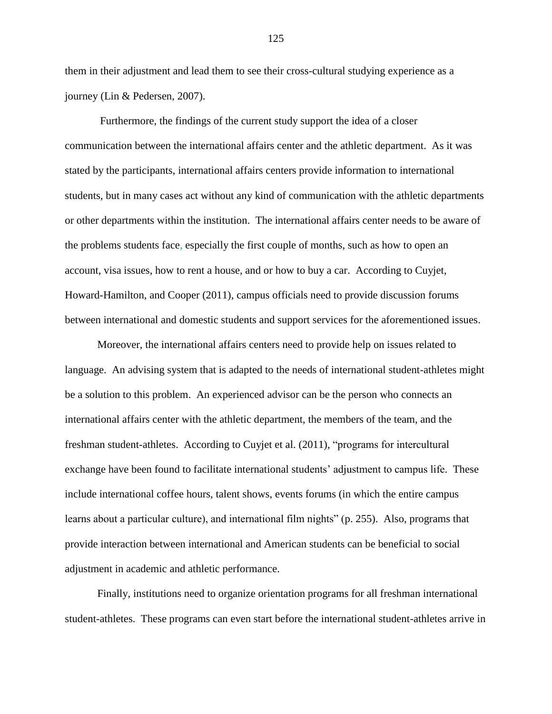them in their adjustment and lead them to see their cross-cultural studying experience as a journey (Lin & Pedersen, 2007).

Furthermore, the findings of the current study support the idea of a closer communication between the international affairs center and the athletic department. As it was stated by the participants, international affairs centers provide information to international students, but in many cases act without any kind of communication with the athletic departments or other departments within the institution. The international affairs center needs to be aware of the problems students face, especially the first couple of months, such as how to open an account, visa issues, how to rent a house, and or how to buy a car. According to Cuyjet, Howard-Hamilton, and Cooper (2011), campus officials need to provide discussion forums between international and domestic students and support services for the aforementioned issues.

Moreover, the international affairs centers need to provide help on issues related to language. An advising system that is adapted to the needs of international student-athletes might be a solution to this problem. An experienced advisor can be the person who connects an international affairs center with the athletic department, the members of the team, and the freshman student-athletes. According to Cuyjet et al. (2011), "programs for intercultural exchange have been found to facilitate international students' adjustment to campus life. These include international coffee hours, talent shows, events forums (in which the entire campus learns about a particular culture), and international film nights" (p. 255). Also, programs that provide interaction between international and American students can be beneficial to social adjustment in academic and athletic performance.

Finally, institutions need to organize orientation programs for all freshman international student-athletes. These programs can even start before the international student-athletes arrive in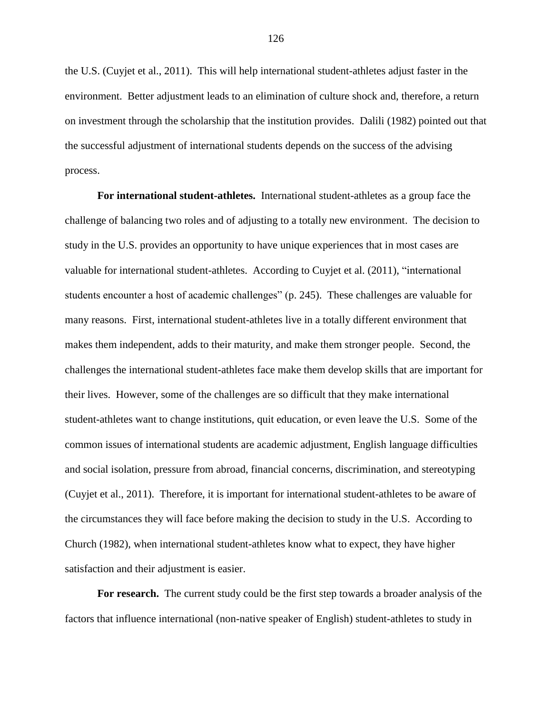the U.S. (Cuyjet et al., 2011). This will help international student-athletes adjust faster in the environment. Better adjustment leads to an elimination of culture shock and, therefore, a return on investment through the scholarship that the institution provides. Dalili (1982) pointed out that the successful adjustment of international students depends on the success of the advising process.

**For international student-athletes.** International student-athletes as a group face the challenge of balancing two roles and of adjusting to a totally new environment. The decision to study in the U.S. provides an opportunity to have unique experiences that in most cases are valuable for international student-athletes. According to Cuyjet et al. (2011), "international students encounter a host of academic challenges" (p. 245). These challenges are valuable for many reasons. First, international student-athletes live in a totally different environment that makes them independent, adds to their maturity, and make them stronger people. Second, the challenges the international student-athletes face make them develop skills that are important for their lives. However, some of the challenges are so difficult that they make international student-athletes want to change institutions, quit education, or even leave the U.S. Some of the common issues of international students are academic adjustment, English language difficulties and social isolation, pressure from abroad, financial concerns, discrimination, and stereotyping (Cuyjet et al., 2011). Therefore, it is important for international student-athletes to be aware of the circumstances they will face before making the decision to study in the U.S. According to Church (1982), when international student-athletes know what to expect, they have higher satisfaction and their adjustment is easier.

**For research.** The current study could be the first step towards a broader analysis of the factors that influence international (non-native speaker of English) student-athletes to study in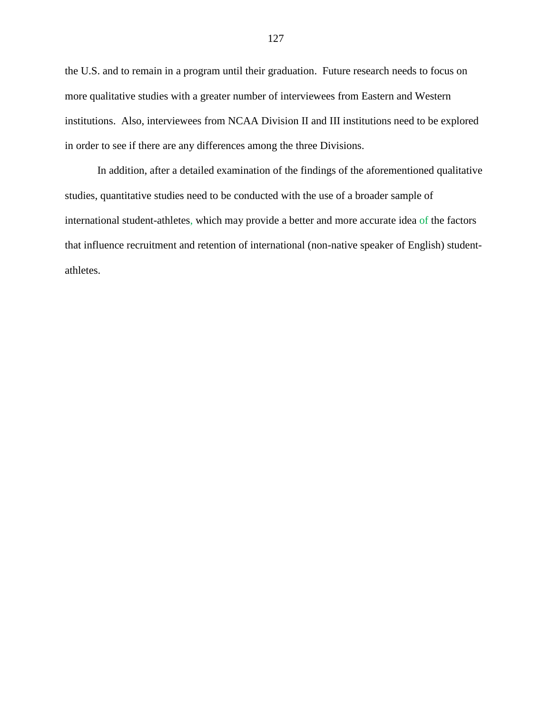the U.S. and to remain in a program until their graduation. Future research needs to focus on more qualitative studies with a greater number of interviewees from Eastern and Western institutions. Also, interviewees from NCAA Division II and III institutions need to be explored in order to see if there are any differences among the three Divisions.

In addition, after a detailed examination of the findings of the aforementioned qualitative studies, quantitative studies need to be conducted with the use of a broader sample of international student-athletes, which may provide a better and more accurate idea of the factors that influence recruitment and retention of international (non-native speaker of English) studentathletes.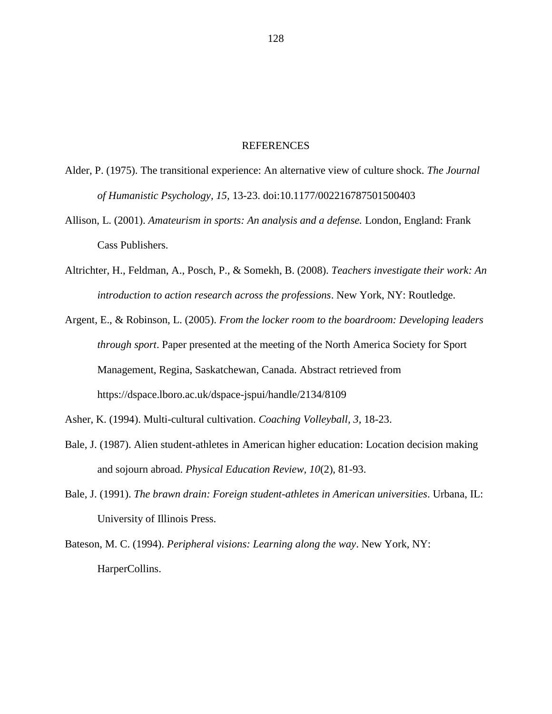## REFERENCES

- Alder, P. (1975). The transitional experience: An alternative view of culture shock. *The Journal of Humanistic Psychology, 15,* 13-23. doi:10.1177/002216787501500403
- Allison, L. (2001). *Amateurism in sports: An analysis and a defense.* London, England: Frank Cass Publishers.
- Altrichter, H., Feldman, A., Posch, P., & Somekh, B. (2008). *Teachers investigate their work: An introduction to action research across the professions*. New York, NY: Routledge.
- Argent, E., & Robinson, L. (2005). *From the locker room to the boardroom: Developing leaders through sport*. Paper presented at the meeting of the North America Society for Sport Management, Regina, Saskatchewan, Canada. Abstract retrieved from https://dspace.lboro.ac.uk/dspace-jspui/handle/2134/8109
- Asher, K. (1994). Multi-cultural cultivation. *Coaching Volleyball, 3,* 18-23.
- Bale, J. (1987). Alien student-athletes in American higher education: Location decision making and sojourn abroad. *Physical Education Review, 10*(2), 81-93.
- Bale, J. (1991). *The brawn drain: Foreign student-athletes in American universities*. Urbana, IL: University of Illinois Press.
- Bateson, M. C. (1994). *Peripheral visions: Learning along the way*. New York, NY: HarperCollins.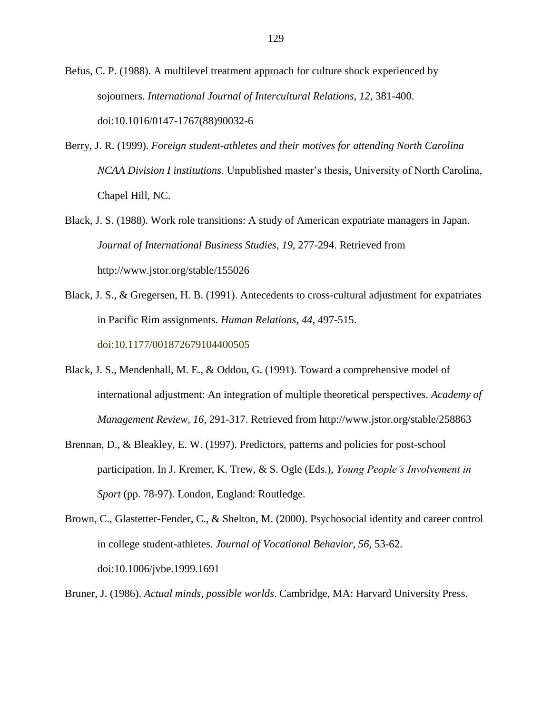Befus, C. P. (1988). A multilevel treatment approach for culture shock experienced by sojourners. *International Journal of Intercultural Relations, 12,* 381-400. doi:10.1016/0147-1767(88)90032-6

- Berry, J. R. (1999). *Foreign student-athletes and their motives for attending North Carolina NCAA Division I institutions*. Unpublished master"s thesis, University of North Carolina, Chapel Hill, NC.
- Black, J. S. (1988). Work role transitions: A study of American expatriate managers in Japan. *Journal of International Business Studies, 19,* 277-294. Retrieved from http://www.jstor.org/stable/155026
- Black, J. S., & Gregersen, H. B. (1991). Antecedents to cross-cultural adjustment for expatriates in Pacific Rim assignments. *Human Relations, 44,* 497-515. doi:10.1177/001872679104400505
- Black, J. S., Mendenhall, M. E., & Oddou, G. (1991). Toward a comprehensive model of international adjustment: An integration of multiple theoretical perspectives. *Academy of Management Review, 16*, 291-317. Retrieved from http://www.jstor.org/stable/258863
- Brennan, D., & Bleakley, E. W. (1997). Predictors, patterns and policies for post-school participation. In J. Kremer, K. Trew, & S. Ogle (Eds.), *Young People's Involvement in Sport* (pp. 78-97). London, England: Routledge.
- Brown, C., Glastetter-Fender, C., & Shelton, M. (2000). Psychosocial identity and career control in college student-athletes*. Journal of Vocational Behavior, 56,* 53-62. doi:10.1006/jvbe.1999.1691
- Bruner, J. (1986). *Actual minds, possible worlds*. Cambridge, MA: Harvard University Press.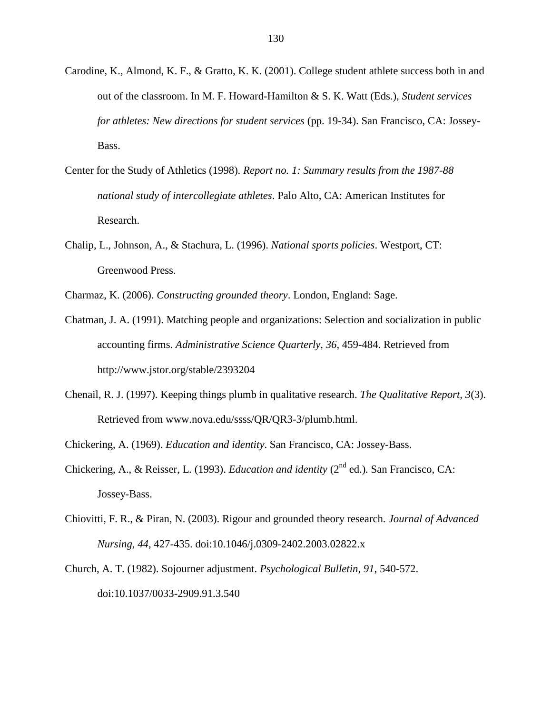- Carodine, K., Almond, K. F., & Gratto, K. K. (2001). College student athlete success both in and out of the classroom. In M. F. Howard-Hamilton & S. K. Watt (Eds.), *Student services for athletes: New directions for student services* (pp. 19-34). San Francisco, CA: Jossey-Bass.
- Center for the Study of Athletics (1998). *Report no. 1: Summary results from the 1987-88 national study of intercollegiate athletes*. Palo Alto, CA: American Institutes for Research.
- Chalip, L., Johnson, A., & Stachura, L. (1996). *National sports policies*. Westport, CT: Greenwood Press.

Charmaz, K. (2006). *Constructing grounded theory*. London, England: Sage.

- Chatman, J. A. (1991). Matching people and organizations: Selection and socialization in public accounting firms. *Administrative Science Quarterly, 36,* 459-484. Retrieved from http://www.jstor.org/stable/2393204
- Chenail, R. J. (1997). Keeping things plumb in qualitative research. *The Qualitative Report, 3*(3). Retrieved from www.nova.edu/ssss/QR/QR3-3/plumb.html.
- Chickering, A. (1969). *Education and identity*. San Francisco, CA: Jossey-Bass.
- Chickering, A., & Reisser, L. (1993). *Education and identity* (2<sup>nd</sup> ed.). San Francisco. CA: Jossey-Bass.
- Chiovitti, F. R., & Piran, N. (2003). Rigour and grounded theory research*. Journal of Advanced Nursing, 44*, 427-435. doi:10.1046/j.0309-2402.2003.02822.x
- Church, A. T. (1982). Sojourner adjustment. *Psychological Bulletin, 91,* 540-572. doi:10.1037/0033-2909.91.3.540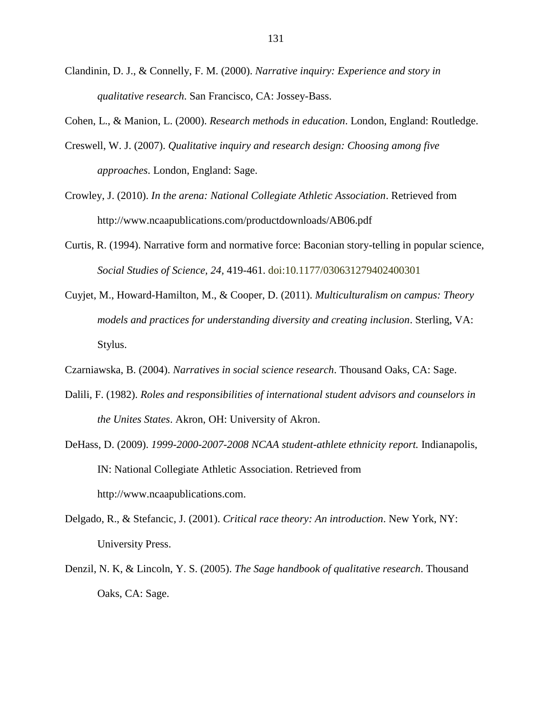- Clandinin, D. J., & Connelly, F. M. (2000). *Narrative inquiry: Experience and story in qualitative research*. San Francisco, CA: Jossey-Bass.
- Cohen, L., & Manion, L. (2000). *Research methods in education*. London, England: Routledge.
- Creswell, W. J. (2007). *Qualitative inquiry and research design: Choosing among five approaches*. London, England: Sage.
- Crowley, J. (2010). *In the arena: National Collegiate Athletic Association*. Retrieved from http://www.ncaapublications.com/productdownloads/AB06.pdf
- Curtis, R. (1994). Narrative form and normative force: Baconian story-telling in popular science, *Social Studies of Science, 24,* 419-461. doi:10.1177/030631279402400301
- Cuyjet, M., Howard-Hamilton, M., & Cooper, D. (2011). *Multiculturalism on campus: Theory models and practices for understanding diversity and creating inclusion*. Sterling, VA: Stylus.
- Czarniawska, B. (2004). *Narratives in social science research*. Thousand Oaks, CA: Sage.
- Dalili, F. (1982). *Roles and responsibilities of international student advisors and counselors in the Unites States*. Akron, OH: University of Akron.
- DeHass, D. (2009). *1999-2000-2007-2008 NCAA student-athlete ethnicity report.* Indianapolis, IN: National Collegiate Athletic Association. Retrieved from [http://www.ncaapublications.com.](http://www.ncaapublications.com/)
- Delgado, R., & Stefancic, J. (2001). *Critical race theory: An introduction*. New York, NY: University Press.
- Denzil, N. K, & Lincoln, Y. S. (2005). *The Sage handbook of qualitative research*. Thousand Oaks, CA: Sage.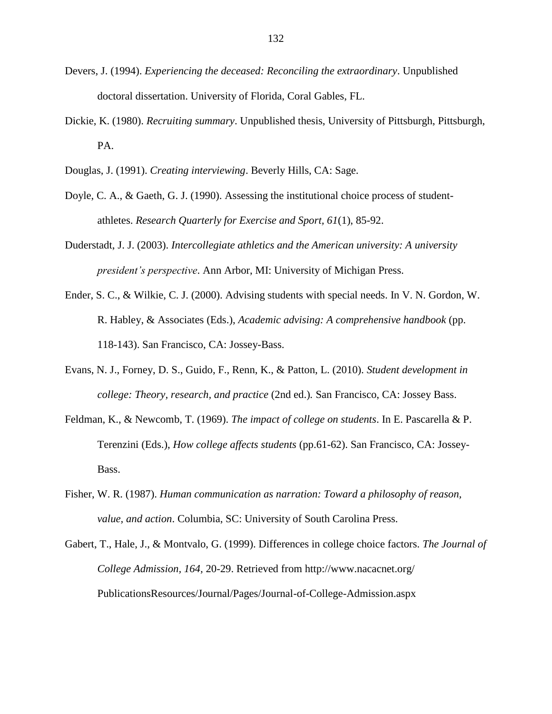- Devers, J. (1994). *Experiencing the deceased: Reconciling the extraordinary*. Unpublished doctoral dissertation. University of Florida, Coral Gables, FL.
- Dickie, K. (1980). *Recruiting summary*. Unpublished thesis, University of Pittsburgh, Pittsburgh, PA.
- Douglas, J. (1991). *Creating interviewing*. Beverly Hills, CA: Sage.
- Doyle, C. A., & Gaeth, G. J. (1990). Assessing the institutional choice process of studentathletes. *Research Quarterly for Exercise and Sport, 61*(1), 85-92.
- Duderstadt, J. J. (2003). *Intercollegiate athletics and the American university: A university president's perspective*. Ann Arbor, MI: University of Michigan Press.
- Ender, S. C., & Wilkie, C. J. (2000). Advising students with special needs. In V. N. Gordon, W. R. Habley, & Associates (Eds.), *Academic advising: A comprehensive handbook* (pp. 118-143). San Francisco, CA: Jossey-Bass.
- Evans, N. J., Forney, D. S., Guido, F., Renn, K., & Patton, L. (2010). *Student development in college: Theory, research, and practice* (2nd ed.)*.* San Francisco, CA: Jossey Bass.
- Feldman, K., & Newcomb, T. (1969). *The impact of college on students*. In E. Pascarella & P. Terenzini (Eds.), *How college affects students* (pp.61-62). San Francisco, CA: Jossey-Bass.
- Fisher, W. R. (1987). *Human communication as narration: Toward a philosophy of reason, value, and action*. Columbia, SC: University of South Carolina Press.
- Gabert, T., Hale, J., & Montvalo, G. (1999). Differences in college choice factors. *The Journal of College Admission, 164,* 20-29. Retrieved from http://www.nacacnet.org/ PublicationsResources/Journal/Pages/Journal-of-College-Admission.aspx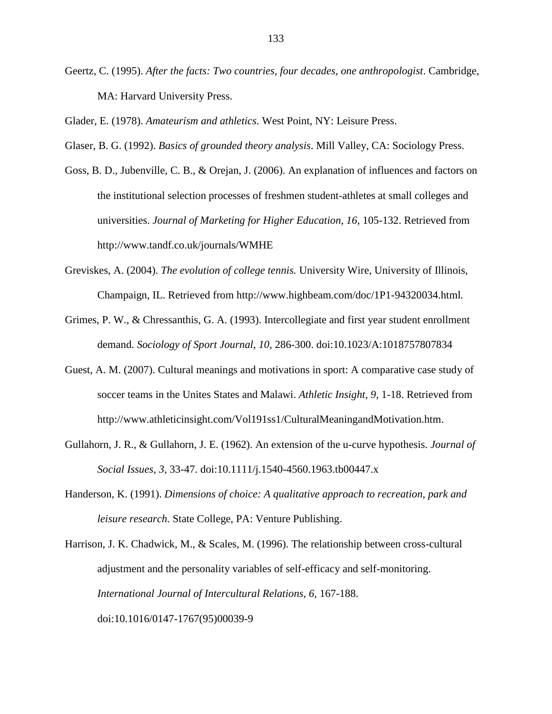Geertz, C. (1995). *After the facts: Two countries, four decades, one anthropologist*. Cambridge, MA: Harvard University Press.

Glader, E. (1978). *Amateurism and athletics*. West Point, NY: Leisure Press.

Glaser, B. G. (1992). *Basics of grounded theory analysis*. Mill Valley, CA: Sociology Press.

- Goss, B. D., Jubenville, C. B., & Orejan, J. (2006). An explanation of influences and factors on the institutional selection processes of freshmen student-athletes at small colleges and universities. *Journal of Marketing for Higher Education, 16,* 105-132. Retrieved from http://www.tandf.co.uk/journals/WMHE
- Greviskes, A. (2004). *The evolution of college tennis.* University Wire, University of Illinois, Champaign, IL. Retrieved from http://www.highbeam.com/doc/1P1-94320034.html*.*
- Grimes, P. W., & Chressanthis, G. A. (1993). Intercollegiate and first year student enrollment demand. *Sociology of Sport Journal, 10,* 286-300. doi:10.1023/A:1018757807834
- Guest, A. M. (2007). Cultural meanings and motivations in sport: A comparative case study of soccer teams in the Unites States and Malawi. *Athletic Insight, 9,* 1-18. Retrieved from http://www.athleticinsight.com/Vol191ss1/CulturalMeaningandMotivation.htm.
- Gullahorn, J. R., & Gullahorn, J. E. (1962). An extension of the u-curve hypothesis. *Journal of Social Issues, 3*, 33-47. doi:10.1111/j.1540-4560.1963.tb00447.x
- Handerson, K. (1991). *Dimensions of choice: A qualitative approach to recreation, park and leisure research*. State College, PA: Venture Publishing.
- Harrison, J. K. Chadwick, M., & Scales, M. (1996). The relationship between cross-cultural adjustment and the personality variables of self-efficacy and self-monitoring. *International Journal of Intercultural Relations, 6,* 167-188. doi:10.1016/0147-1767(95)00039-9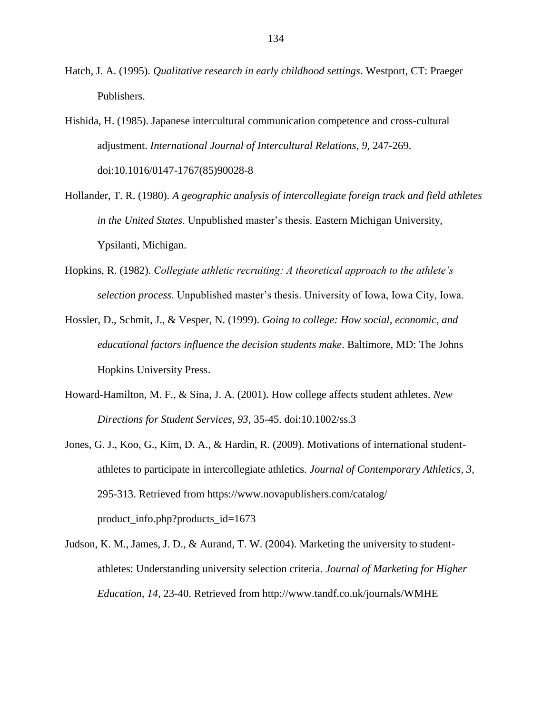- Hatch, J. A. (1995). *Qualitative research in early childhood settings*. Westport, CT: Praeger Publishers.
- Hishida, H. (1985). Japanese intercultural communication competence and cross-cultural adjustment. *International Journal of Intercultural Relations, 9,* 247-269. doi:10.1016/0147-1767(85)90028-8
- Hollander, T. R. (1980). *A geographic analysis of intercollegiate foreign track and field athletes in the United States*. Unpublished master"s thesis. Eastern Michigan University, Ypsilanti, Michigan.
- Hopkins, R. (1982). *Collegiate athletic recruiting: A theoretical approach to the athlete's selection process*. Unpublished master"s thesis. University of Iowa, Iowa City, Iowa.
- Hossler, D., Schmit, J., & Vesper, N. (1999). *Going to college: How social, economic, and educational factors influence the decision students make*. Baltimore, MD: The Johns Hopkins University Press.
- Howard-Hamilton, M. F., & Sina, J. A. (2001). How college affects student athletes. *New Directions for Student Services, 93,* 35-45. doi:10.1002/ss.3
- Jones, G. J., Koo, G., Kim, D. A., & Hardin, R. (2009). Motivations of international studentathletes to participate in intercollegiate athletics. *Journal of Contemporary Athletics, 3,* 295-313. Retrieved from https://www.novapublishers.com/catalog/ product\_info.php?products\_id=1673
- Judson, K. M., James, J. D., & Aurand, T. W. (2004). Marketing the university to studentathletes: Understanding university selection criteria. *Journal of Marketing for Higher Education, 14,* 23-40. Retrieved from http://www.tandf.co.uk/journals/WMHE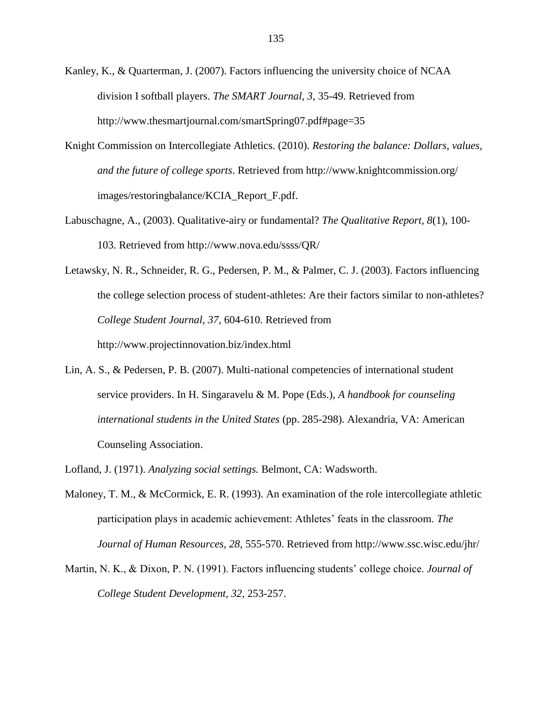- Kanley, K., & Quarterman, J. (2007). Factors influencing the university choice of NCAA division I softball players. *The SMART Journal, 3,* 35-49. Retrieved from http://www.thesmartjournal.com/smartSpring07.pdf#page=35
- Knight Commission on Intercollegiate Athletics. (2010). *Restoring the balance: Dollars, values, and the future of college sports*. Retrieved from http://www.knightcommission.org/ images/restoringbalance/KCIA\_Report\_F.pdf.
- Labuschagne, A., (2003). Qualitative-airy or fundamental? *The Qualitative Report, 8*(1), 100- 103. Retrieved from http://www.nova.edu/ssss/QR/
- Letawsky, N. R., Schneider, R. G., Pedersen, P. M., & Palmer, C. J. (2003). Factors influencing the college selection process of student-athletes: Are their factors similar to non-athletes? *College Student Journal, 37,* 604-610. Retrieved from http://www.projectinnovation.biz/index.html
- Lin, A. S., & Pedersen, P. B. (2007). Multi-national competencies of international student service providers. In H. Singaravelu & M. Pope (Eds.), *A handbook for counseling international students in the United States* (pp. 285-298). Alexandria, VA: American Counseling Association.
- Lofland, J. (1971). *Analyzing social settings.* Belmont, CA: Wadsworth.
- Maloney, T. M., & McCormick, E. R. (1993). An examination of the role intercollegiate athletic participation plays in academic achievement: Athletes' feats in the classroom. *The Journal of Human Resources, 28,* 555-570. Retrieved from http://www.ssc.wisc.edu/jhr/
- Martin, N. K., & Dixon, P. N. (1991). Factors influencing students" college choice. *Journal of College Student Development, 32,* 253-257.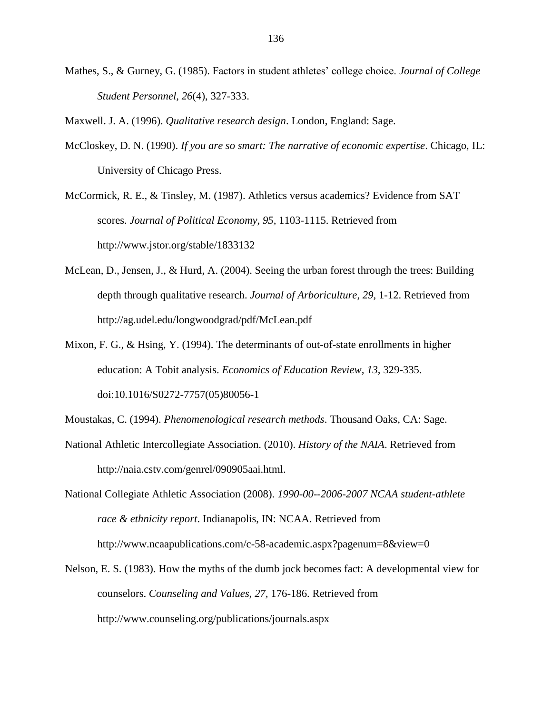Mathes, S., & Gurney, G. (1985). Factors in student athletes" college choice. *Journal of College Student Personnel, 26*(4), 327-333.

Maxwell. J. A. (1996). *Qualitative research design*. London, England: Sage.

McCloskey, D. N. (1990). *If you are so smart: The narrative of economic expertise*. Chicago, IL: University of Chicago Press.

McCormick, R. E., & Tinsley, M. (1987). Athletics versus academics? Evidence from SAT scores. *Journal of Political Economy, 95,* 1103-1115. Retrieved from http://www.jstor.org/stable/1833132

- McLean, D., Jensen, J., & Hurd, A. (2004). Seeing the urban forest through the trees: Building depth through qualitative research. *Journal of Arboriculture, 29,* 1-12. Retrieved from http://ag.udel.edu/longwoodgrad/pdf/McLean.pdf
- Mixon, F. G., & Hsing, Y. (1994). The determinants of out-of-state enrollments in higher education: A Tobit analysis. *Economics of Education Review, 13,* 329-335. doi:10.1016/S0272-7757(05)80056-1
- Moustakas, C. (1994). *Phenomenological research methods*. Thousand Oaks, CA: Sage.
- National Athletic Intercollegiate Association. (2010). *History of the NAIA*. Retrieved from http://naia.cstv.com/genrel/090905aai.html.

National Collegiate Athletic Association (2008). *1990-00--2006-2007 NCAA student-athlete race & ethnicity report*. Indianapolis, IN: NCAA. Retrieved from http://www.ncaapublications.com/c-58-academic.aspx?pagenum=8&view=0

Nelson, E. S. (1983). How the myths of the dumb jock becomes fact: A developmental view for counselors. *Counseling and Values, 27,* 176-186. Retrieved from http://www.counseling.org/publications/journals.aspx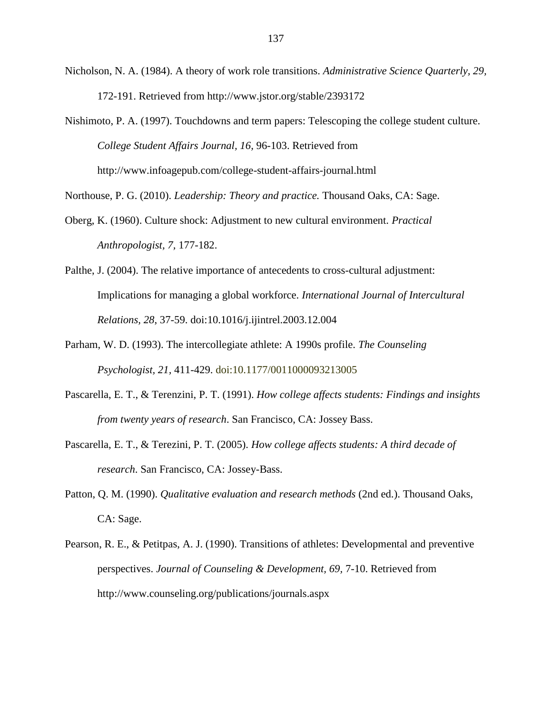Nicholson, N. A. (1984). A theory of work role transitions. *Administrative Science Quarterly, 29,* 172-191. Retrieved from http://www.jstor.org/stable/2393172

Nishimoto, P. A. (1997). Touchdowns and term papers: Telescoping the college student culture. *College Student Affairs Journal, 16,* 96-103. Retrieved from http://www.infoagepub.com/college-student-affairs-journal.html

Northouse, P. G. (2010). *Leadership: Theory and practice.* Thousand Oaks, CA: Sage.

- Oberg, K. (1960). Culture shock: Adjustment to new cultural environment. *Practical Anthropologist, 7,* 177-182.
- Palthe, J. (2004). The relative importance of antecedents to cross-cultural adjustment: Implications for managing a global workforce. *International Journal of Intercultural Relations, 28*, 37-59. doi:10.1016/j.ijintrel.2003.12.004
- Parham, W. D. (1993). The intercollegiate athlete: A 1990s profile. *The Counseling Psychologist, 21,* 411-429. doi:10.1177/0011000093213005
- Pascarella, E. T., & Terenzini, P. T. (1991). *How college affects students: Findings and insights from twenty years of research*. San Francisco, CA: Jossey Bass.
- Pascarella, E. T., & Terezini, P. T. (2005). *How college affects students: A third decade of research*. San Francisco, CA: Jossey-Bass.
- Patton, Q. M. (1990). *Qualitative evaluation and research methods* (2nd ed.). Thousand Oaks, CA: Sage.
- Pearson, R. E., & Petitpas, A. J. (1990). Transitions of athletes: Developmental and preventive perspectives. *Journal of Counseling & Development, 69,* 7-10. Retrieved from http://www.counseling.org/publications/journals.aspx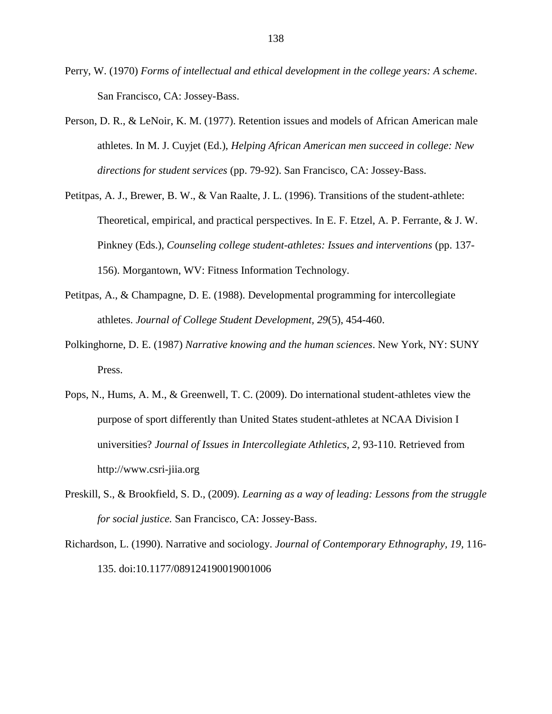- Perry, W. (1970) *Forms of intellectual and ethical development in the college years: A scheme*. San Francisco, CA: Jossey-Bass.
- Person, D. R., & LeNoir, K. M. (1977). Retention issues and models of African American male athletes. In M. J. Cuyjet (Ed.), *Helping African American men succeed in college: New directions for student services* (pp. 79-92). San Francisco, CA: Jossey-Bass.
- Petitpas, A. J., Brewer, B. W., & Van Raalte, J. L. (1996). Transitions of the student-athlete: Theoretical, empirical, and practical perspectives. In E. F. Etzel, A. P. Ferrante, & J. W. Pinkney (Eds.), *Counseling college student-athletes: Issues and interventions* (pp. 137- 156). Morgantown, WV: Fitness Information Technology.
- Petitpas, A., & Champagne, D. E. (1988). Developmental programming for intercollegiate athletes. *Journal of College Student Development, 29*(5), 454-460.
- Polkinghorne, D. E. (1987) *Narrative knowing and the human sciences*. New York, NY: SUNY Press.
- Pops, N., Hums, A. M., & Greenwell, T. C. (2009). Do international student-athletes view the purpose of sport differently than United States student-athletes at NCAA Division I universities? *Journal of Issues in Intercollegiate Athletics, 2,* 93-110. Retrieved from http://www.csri-jiia.org
- Preskill, S., & Brookfield, S. D., (2009). *Learning as a way of leading: Lessons from the struggle for social justice.* San Francisco, CA: Jossey-Bass.
- Richardson, L. (1990). Narrative and sociology. *Journal of Contemporary Ethnography, 19,* 116- 135. doi:10.1177/089124190019001006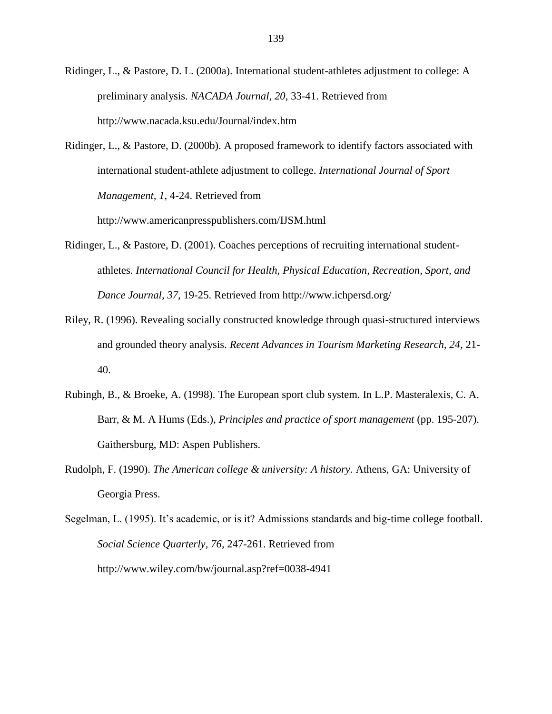Ridinger, L., & Pastore, D. L. (2000a). International student-athletes adjustment to college: A preliminary analysis. *NACADA Journal, 20,* 33-41. Retrieved from http://www.nacada.ksu.edu/Journal/index.htm

Ridinger, L., & Pastore, D. (2000b). A proposed framework to identify factors associated with international student-athlete adjustment to college. *International Journal of Sport Management, 1*, 4-24. Retrieved from

http://www.americanpresspublishers.com/IJSM.html

- Ridinger, L., & Pastore, D. (2001). Coaches perceptions of recruiting international studentathletes. *International Council for Health, Physical Education, Recreation, Sport, and Dance Journal, 37,* 19-25. Retrieved from http://www.ichpersd.org/
- Riley, R. (1996). Revealing socially constructed knowledge through quasi-structured interviews and grounded theory analysis. *Recent Advances in Tourism Marketing Research, 24,* 21- 40.
- Rubingh, B., & Broeke, A. (1998). The European sport club system. In L.P. Masteralexis, C. A. Barr, & M. A Hums (Eds.), *Principles and practice of sport management* (pp. 195-207). Gaithersburg, MD: Aspen Publishers.
- Rudolph, F. (1990). *The American college & university: A history.* Athens, GA: University of Georgia Press.

Segelman, L. (1995). It's academic, or is it? Admissions standards and big-time college football. *Social Science Quarterly, 76,* 247-261. Retrieved from http://www.wiley.com/bw/journal.asp?ref=0038-4941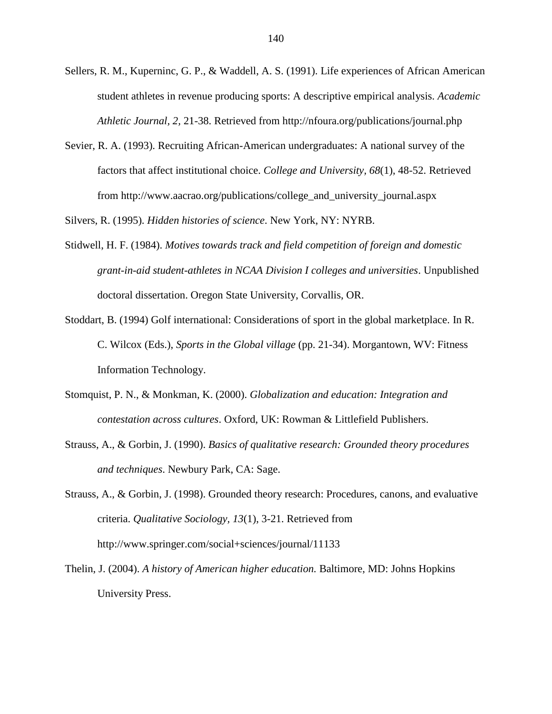- Sellers, R. M., Kuperninc, G. P., & Waddell, A. S. (1991). Life experiences of African American student athletes in revenue producing sports: A descriptive empirical analysis. *Academic Athletic Journal, 2,* 21-38. Retrieved from http://nfoura.org/publications/journal.php
- Sevier, R. A. (1993). Recruiting African-American undergraduates: A national survey of the factors that affect institutional choice. *College and University, 68*(1), 48-52. Retrieved from http://www.aacrao.org/publications/college\_and\_university\_journal.aspx

Silvers, R. (1995). *Hidden histories of science*. New York, NY: NYRB.

- Stidwell, H. F. (1984). *Motives towards track and field competition of foreign and domestic grant-in-aid student-athletes in NCAA Division I colleges and universities*. Unpublished doctoral dissertation. Oregon State University, Corvallis, OR.
- Stoddart, B. (1994) Golf international: Considerations of sport in the global marketplace. In R. C. Wilcox (Eds.), *Sports in the Global village* (pp. 21-34). Morgantown, WV: Fitness Information Technology.
- Stomquist, P. N., & Monkman, K. (2000). *Globalization and education: Integration and contestation across cultures*. Oxford, UK: Rowman & Littlefield Publishers.
- Strauss, A., & Gorbin, J. (1990). *Basics of qualitative research: Grounded theory procedures and techniques*. Newbury Park, CA: Sage.

Strauss, A., & Gorbin, J. (1998). Grounded theory research: Procedures, canons, and evaluative criteria. *Qualitative Sociology, 13*(1), 3-21. Retrieved from http://www.springer.com/social+sciences/journal/11133

Thelin, J. (2004). *A history of American higher education.* Baltimore, MD: Johns Hopkins University Press.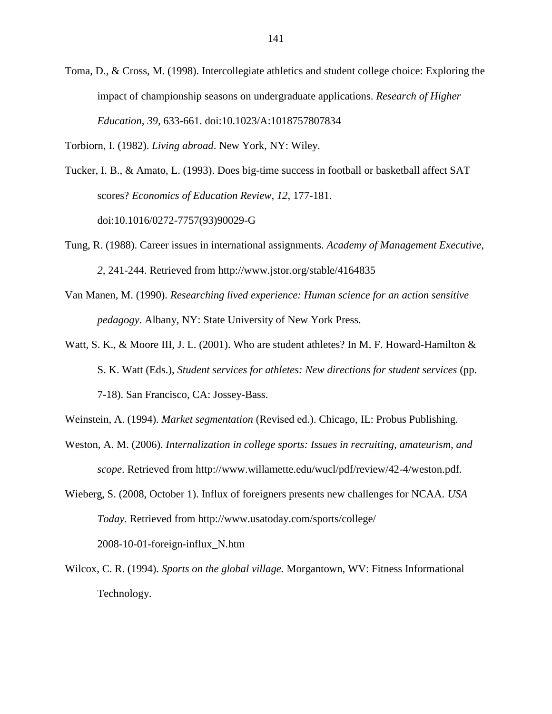Toma, D., & Cross, M. (1998). Intercollegiate athletics and student college choice: Exploring the impact of championship seasons on undergraduate applications. *Research of Higher Education, 39,* 633-661. doi:10.1023/A:1018757807834

Torbiorn, I. (1982). *Living abroad*. New York, NY: Wiley.

Tucker, I. B., & Amato, L. (1993). Does big-time success in football or basketball affect SAT scores? *Economics of Education Review, 12*, 177-181. doi:10.1016/0272-7757(93)90029-G

- Tung, R. (1988). Career issues in international assignments. *Academy of Management Executive, 2,* 241-244. Retrieved from http://www.jstor.org/stable/4164835
- Van Manen, M. (1990). *Researching lived experience: Human science for an action sensitive pedagogy*. Albany, NY: State University of New York Press.
- Watt, S. K., & Moore III, J. L. (2001). Who are student athletes? In M. F. Howard-Hamilton & S. K. Watt (Eds.), *Student services for athletes: New directions for student services* (pp. 7-18). San Francisco, CA: Jossey-Bass.
- Weinstein, A. (1994). *Market segmentation* (Revised ed.). Chicago, IL: Probus Publishing.
- Weston, A. M. (2006). *Internalization in college sports: Issues in recruiting, amateurism, and scope*. Retrieved from http://www.willamette.edu/wucl/pdf/review/42-4/weston.pdf.
- Wieberg, S. (2008, October 1). Influx of foreigners presents new challenges for NCAA. *USA Today.* Retrieved from http://www.usatoday.com/sports/college/ 2008-10-01-foreign-influx\_N.htm
- Wilcox, C. R. (1994). *Sports on the global village.* Morgantown, WV: Fitness Informational Technology.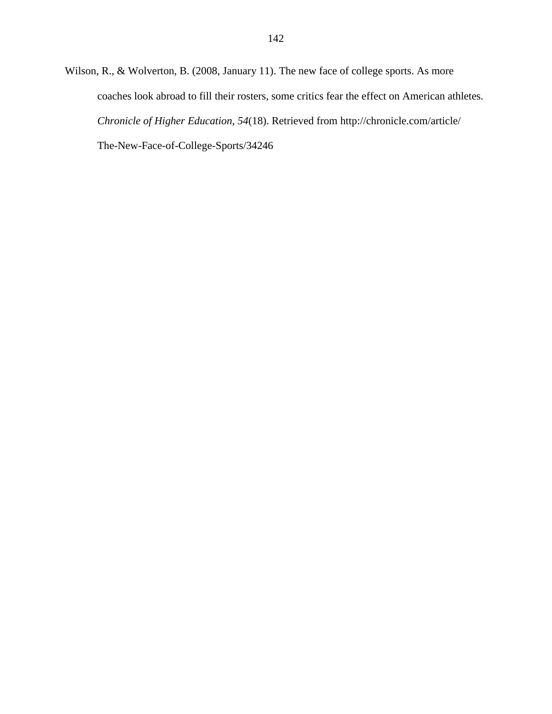Wilson, R., & Wolverton, B. (2008, January 11). The new face of college sports. As more coaches look abroad to fill their rosters, some critics fear the effect on American athletes. *Chronicle of Higher Education, 54*(18). Retrieved from http://chronicle.com/article/ The-New-Face-of-College-Sports/34246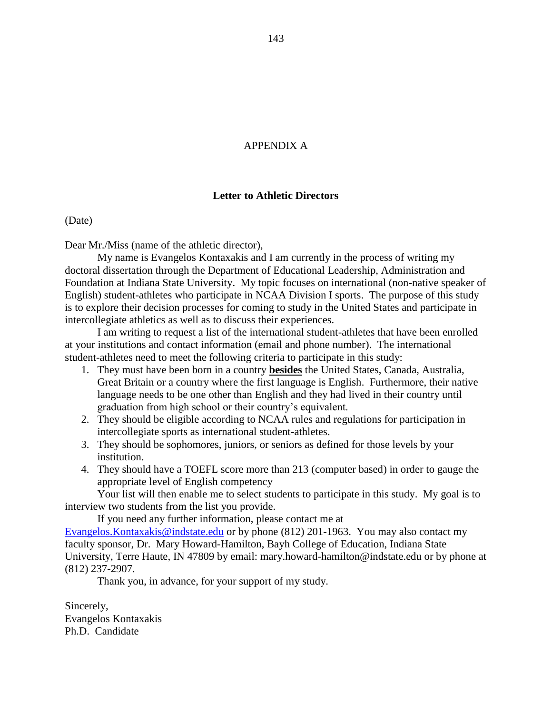## APPENDIX A

#### **Letter to Athletic Directors**

(Date)

Dear Mr./Miss (name of the athletic director),

My name is Evangelos Kontaxakis and I am currently in the process of writing my doctoral dissertation through the Department of Educational Leadership, Administration and Foundation at Indiana State University. My topic focuses on international (non-native speaker of English) student-athletes who participate in NCAA Division I sports. The purpose of this study is to explore their decision processes for coming to study in the United States and participate in intercollegiate athletics as well as to discuss their experiences.

I am writing to request a list of the international student-athletes that have been enrolled at your institutions and contact information (email and phone number). The international student-athletes need to meet the following criteria to participate in this study:

- 1. They must have been born in a country **besides** the United States, Canada, Australia, Great Britain or a country where the first language is English. Furthermore, their native language needs to be one other than English and they had lived in their country until graduation from high school or their country"s equivalent.
- 2. They should be eligible according to NCAA rules and regulations for participation in intercollegiate sports as international student-athletes.
- 3. They should be sophomores, juniors, or seniors as defined for those levels by your institution.
- 4. They should have a TOEFL score more than 213 (computer based) in order to gauge the appropriate level of English competency

Your list will then enable me to select students to participate in this study. My goal is to interview two students from the list you provide.

If you need any further information, please contact me at

[Evangelos.Kontaxakis@indstate.edu](mailto:Evangelos.Kontaxakis@indstate.edu) or by phone (812) 201-1963. You may also contact my faculty sponsor, Dr. Mary Howard-Hamilton, Bayh College of Education, Indiana State University, Terre Haute, IN 47809 by email: mary.howard-hamilton@indstate.edu or by phone at (812) 237-2907.

Thank you, in advance, for your support of my study.

Sincerely, Evangelos Kontaxakis Ph.D. Candidate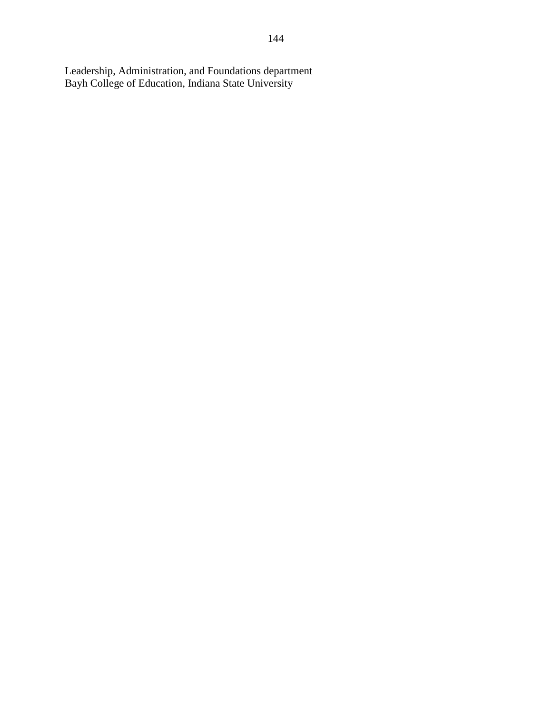Leadership, Administration, and Foundations department Bayh College of Education, Indiana State University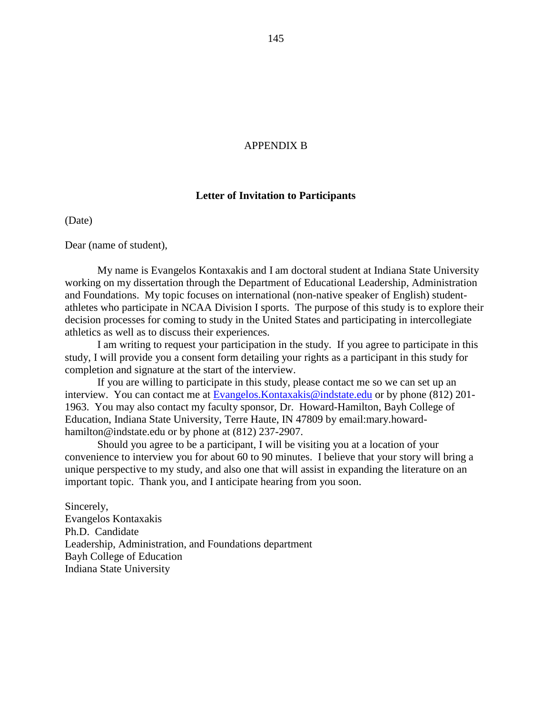#### APPENDIX B

#### **Letter of Invitation to Participants**

(Date)

Dear (name of student),

My name is Evangelos Kontaxakis and I am doctoral student at Indiana State University working on my dissertation through the Department of Educational Leadership, Administration and Foundations. My topic focuses on international (non-native speaker of English) studentathletes who participate in NCAA Division I sports. The purpose of this study is to explore their decision processes for coming to study in the United States and participating in intercollegiate athletics as well as to discuss their experiences.

I am writing to request your participation in the study. If you agree to participate in this study, I will provide you a consent form detailing your rights as a participant in this study for completion and signature at the start of the interview.

If you are willing to participate in this study, please contact me so we can set up an interview. You can contact me at Evangelos. Kontaxakis@indstate.edu or by phone (812) 201-1963. You may also contact my faculty sponsor, Dr. Howard-Hamilton, Bayh College of Education, Indiana State University, Terre Haute, IN 47809 by email:mary.howardhamilton@indstate.edu or by phone at (812) 237-2907.

Should you agree to be a participant, I will be visiting you at a location of your convenience to interview you for about 60 to 90 minutes. I believe that your story will bring a unique perspective to my study, and also one that will assist in expanding the literature on an important topic. Thank you, and I anticipate hearing from you soon.

Sincerely, Evangelos Kontaxakis Ph.D. Candidate Leadership, Administration, and Foundations department Bayh College of Education Indiana State University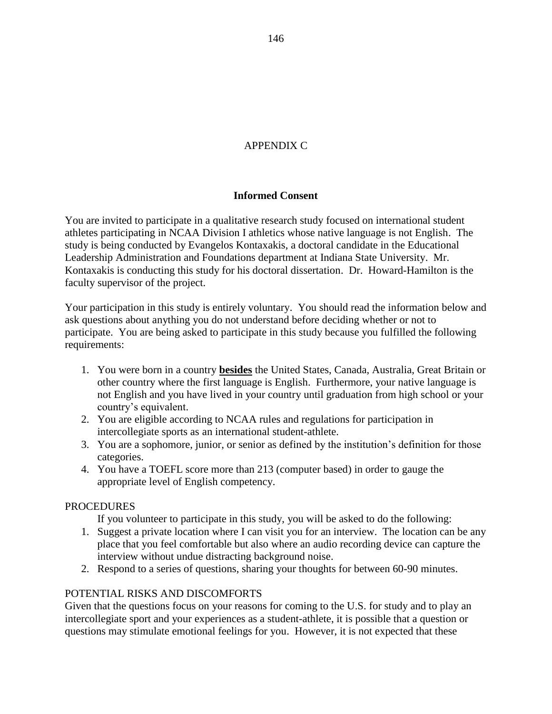# APPENDIX C

## **Informed Consent**

You are invited to participate in a qualitative research study focused on international student athletes participating in NCAA Division I athletics whose native language is not English. The study is being conducted by Evangelos Kontaxakis, a doctoral candidate in the Educational Leadership Administration and Foundations department at Indiana State University. Mr. Kontaxakis is conducting this study for his doctoral dissertation. Dr. Howard-Hamilton is the faculty supervisor of the project.

Your participation in this study is entirely voluntary. You should read the information below and ask questions about anything you do not understand before deciding whether or not to participate. You are being asked to participate in this study because you fulfilled the following requirements:

- 1. You were born in a country **besides** the United States, Canada, Australia, Great Britain or other country where the first language is English. Furthermore, your native language is not English and you have lived in your country until graduation from high school or your country"s equivalent.
- 2. You are eligible according to NCAA rules and regulations for participation in intercollegiate sports as an international student-athlete.
- 3. You are a sophomore, junior, or senior as defined by the institution"s definition for those categories.
- 4. You have a TOEFL score more than 213 (computer based) in order to gauge the appropriate level of English competency.

### PROCEDURES

If you volunteer to participate in this study, you will be asked to do the following:

- 1. Suggest a private location where I can visit you for an interview. The location can be any place that you feel comfortable but also where an audio recording device can capture the interview without undue distracting background noise.
- 2. Respond to a series of questions, sharing your thoughts for between 60-90 minutes.

### POTENTIAL RISKS AND DISCOMFORTS

Given that the questions focus on your reasons for coming to the U.S. for study and to play an intercollegiate sport and your experiences as a student-athlete, it is possible that a question or questions may stimulate emotional feelings for you. However, it is not expected that these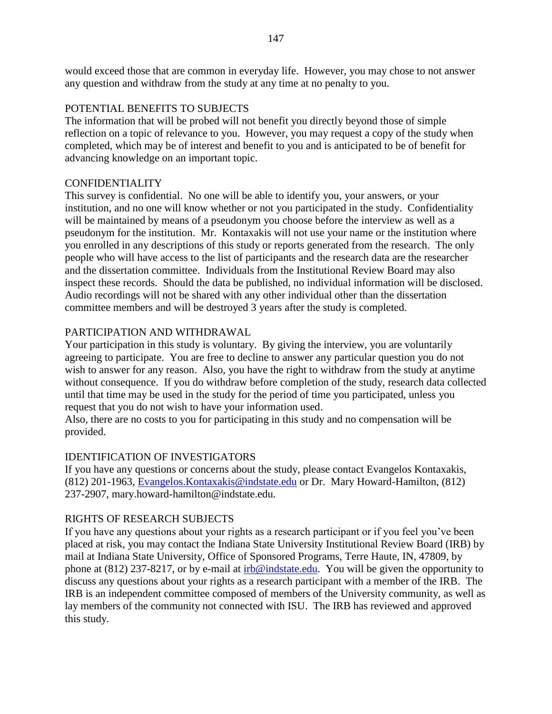would exceed those that are common in everyday life. However, you may chose to not answer any question and withdraw from the study at any time at no penalty to you.

## POTENTIAL BENEFITS TO SUBJECTS

The information that will be probed will not benefit you directly beyond those of simple reflection on a topic of relevance to you. However, you may request a copy of the study when completed, which may be of interest and benefit to you and is anticipated to be of benefit for advancing knowledge on an important topic.

### CONFIDENTIALITY

This survey is confidential. No one will be able to identify you, your answers, or your institution, and no one will know whether or not you participated in the study. Confidentiality will be maintained by means of a pseudonym you choose before the interview as well as a pseudonym for the institution. Mr. Kontaxakis will not use your name or the institution where you enrolled in any descriptions of this study or reports generated from the research. The only people who will have access to the list of participants and the research data are the researcher and the dissertation committee. Individuals from the Institutional Review Board may also inspect these records. Should the data be published, no individual information will be disclosed. Audio recordings will not be shared with any other individual other than the dissertation committee members and will be destroyed 3 years after the study is completed.

# PARTICIPATION AND WITHDRAWAL

Your participation in this study is voluntary. By giving the interview, you are voluntarily agreeing to participate. You are free to decline to answer any particular question you do not wish to answer for any reason. Also, you have the right to withdraw from the study at anytime without consequence. If you do withdraw before completion of the study, research data collected until that time may be used in the study for the period of time you participated, unless you request that you do not wish to have your information used.

Also, there are no costs to you for participating in this study and no compensation will be provided.

# IDENTIFICATION OF INVESTIGATORS

If you have any questions or concerns about the study, please contact Evangelos Kontaxakis, (812) 201-1963, [Evangelos.Kontaxakis@indstate.edu](mailto:Evangelos.Kontaxakis@indstate.edu) or Dr. Mary Howard-Hamilton, (812) 237-2907, mary.howard-hamilton@indstate.edu.

### RIGHTS OF RESEARCH SUBJECTS

If you have any questions about your rights as a research participant or if you feel you"ve been placed at risk, you may contact the Indiana State University Institutional Review Board (IRB) by mail at Indiana State University, Office of Sponsored Programs, Terre Haute, IN, 47809, by phone at (812) 237-8217, or by e-mail at [irb@indstate.edu.](mailto:irb@indstate.edu) You will be given the opportunity to discuss any questions about your rights as a research participant with a member of the IRB. The IRB is an independent committee composed of members of the University community, as well as lay members of the community not connected with ISU. The IRB has reviewed and approved this study.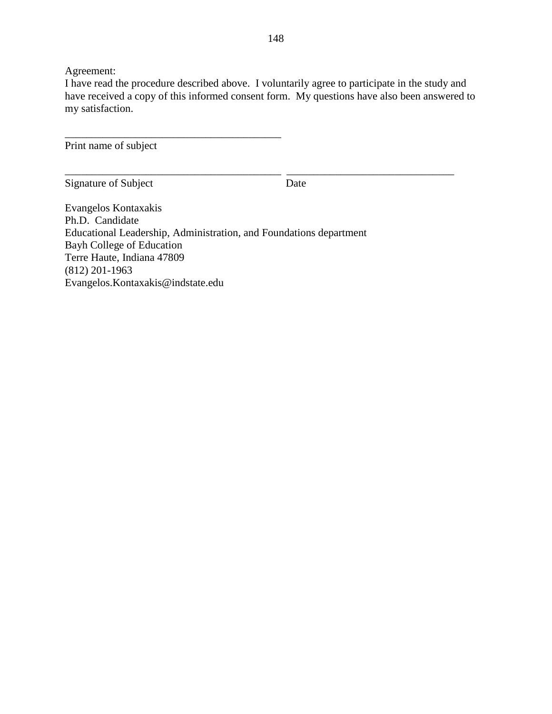Agreement:

I have read the procedure described above. I voluntarily agree to participate in the study and have received a copy of this informed consent form. My questions have also been answered to my satisfaction.

\_\_\_\_\_\_\_\_\_\_\_\_\_\_\_\_\_\_\_\_\_\_\_\_\_\_\_\_\_\_\_\_\_\_\_\_\_\_\_\_ \_\_\_\_\_\_\_\_\_\_\_\_\_\_\_\_\_\_\_\_\_\_\_\_\_\_\_\_\_\_\_

Print name of subject

\_\_\_\_\_\_\_\_\_\_\_\_\_\_\_\_\_\_\_\_\_\_\_\_\_\_\_\_\_\_\_\_\_\_\_\_\_\_\_\_

Signature of Subject Date

Evangelos Kontaxakis Ph.D. Candidate Educational Leadership, Administration, and Foundations department Bayh College of Education Terre Haute, Indiana 47809 (812) 201-1963 Evangelos.Kontaxakis@indstate.edu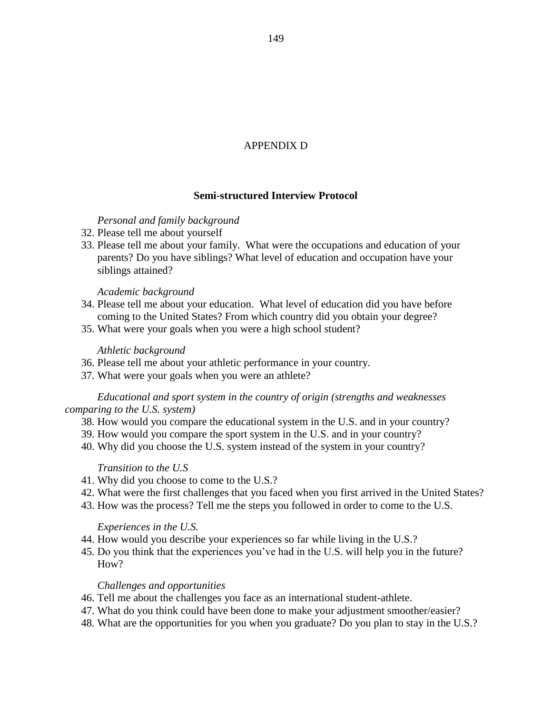# APPENDIX D

## **Semi-structured Interview Protocol**

### *Personal and family background*

- 32. Please tell me about yourself
- 33. Please tell me about your family. What were the occupations and education of your parents? Do you have siblings? What level of education and occupation have your siblings attained?

#### *Academic background*

- 34. Please tell me about your education. What level of education did you have before coming to the United States? From which country did you obtain your degree?
- 35. What were your goals when you were a high school student?

#### *Athletic background*

- 36. Please tell me about your athletic performance in your country.
- 37. What were your goals when you were an athlete?

#### *Educational and sport system in the country of origin (strengths and weaknesses comparing to the U.S. system)*

- 38. How would you compare the educational system in the U.S. and in your country?
- 39. How would you compare the sport system in the U.S. and in your country?
- 40. Why did you choose the U.S. system instead of the system in your country?

#### *Transition to the U.S*

- 41. Why did you choose to come to the U.S.?
- 42. What were the first challenges that you faced when you first arrived in the United States?
- 43. How was the process? Tell me the steps you followed in order to come to the U.S.

#### *Experiences in the U.S.*

- 44. How would you describe your experiences so far while living in the U.S.?
- 45. Do you think that the experiences you"ve had in the U.S. will help you in the future? How?

### *Challenges and opportunities*

- 46. Tell me about the challenges you face as an international student-athlete.
- 47. What do you think could have been done to make your adjustment smoother/easier?
- 48. What are the opportunities for you when you graduate? Do you plan to stay in the U.S.?